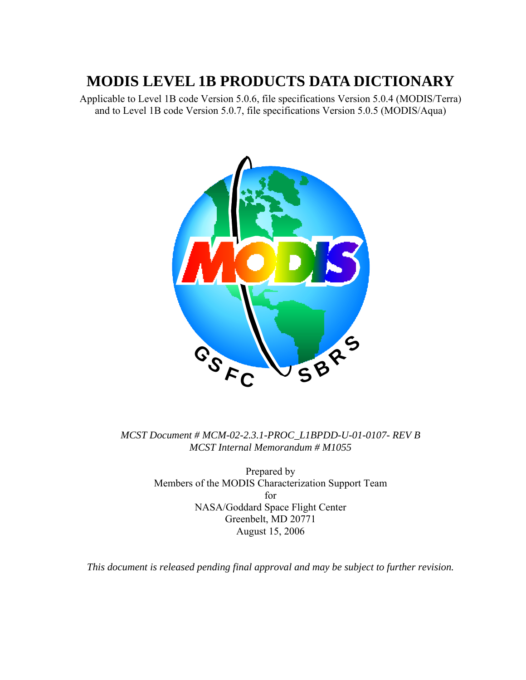# **MODIS LEVEL 1B PRODUCTS DATA DICTIONARY**

Applicable to Level 1B code Version 5.0.6, file specifications Version 5.0.4 (MODIS/Terra) and to Level 1B code Version 5.0.7, file specifications Version 5.0.5 (MODIS/Aqua)



*MCST Document # MCM-02-2.3.1-PROC\_L1BPDD-U-01-0107- REV B MCST Internal Memorandum # M1055*

> Prepared by Members of the MODIS Characterization Support Team for NASA/Goddard Space Flight Center Greenbelt, MD 20771 August 15, 2006

*This document is released pending final approval and may be subject to further revision.*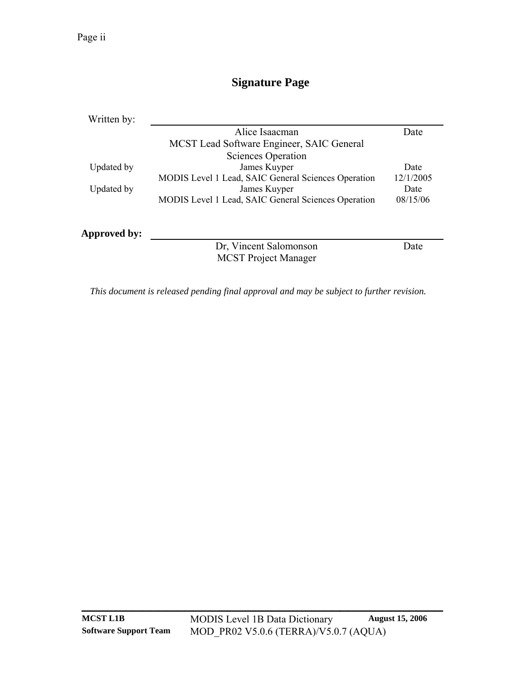# **Signature Page**

| Written by:  |                                                     |           |
|--------------|-----------------------------------------------------|-----------|
|              | Alice Isaacman                                      | Date      |
|              | MCST Lead Software Engineer, SAIC General           |           |
|              | Sciences Operation                                  |           |
| Updated by   | James Kuyper                                        | Date      |
|              | MODIS Level 1 Lead, SAIC General Sciences Operation | 12/1/2005 |
| Updated by   | James Kuyper                                        | Date      |
|              | MODIS Level 1 Lead, SAIC General Sciences Operation | 08/15/06  |
| Approved by: |                                                     |           |
|              | Dr. Vincent Salomonson                              | Date      |
|              | <b>MCST</b> Project Manager                         |           |

*This document is released pending final approval and may be subject to further revision.*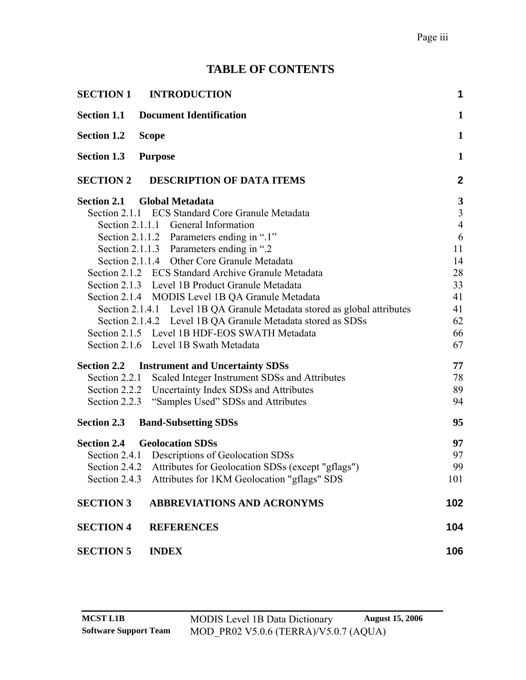# **TABLE OF CONTENTS**

| <b>SECTION 1</b>   | <b>INTRODUCTION</b>                                                      | 1                       |
|--------------------|--------------------------------------------------------------------------|-------------------------|
| <b>Section 1.1</b> | <b>Document Identification</b>                                           | 1                       |
| <b>Section 1.2</b> | <b>Scope</b>                                                             | 1                       |
| <b>Section 1.3</b> | <b>Purpose</b>                                                           | $\mathbf{1}$            |
| <b>SECTION 2</b>   | <b>DESCRIPTION OF DATA ITEMS</b>                                         | $\mathbf{2}$            |
|                    | <b>Section 2.1 Global Metadata</b>                                       | $\mathbf{3}$            |
|                    | Section 2.1.1 ECS Standard Core Granule Metadata                         | $\overline{\mathbf{3}}$ |
|                    | Section 2.1.1.1 General Information                                      | $\overline{4}$          |
|                    | Section 2.1.1.2 Parameters ending in ".1"                                | 6                       |
|                    | Section 2.1.1.3 Parameters ending in ".2                                 | 11                      |
|                    | Section 2.1.1.4 Other Core Granule Metadata                              | 14                      |
|                    | Section 2.1.2 ECS Standard Archive Granule Metadata                      | 28                      |
|                    | Section 2.1.3 Level 1B Product Granule Metadata                          | 33                      |
|                    | Section 2.1.4 MODIS Level 1B QA Granule Metadata                         | 41                      |
|                    | Section 2.1.4.1 Level 1B QA Granule Metadata stored as global attributes | 41                      |
|                    | Section 2.1.4.2 Level 1B QA Granule Metadata stored as SDSs              | 62                      |
|                    | Section 2.1.5 Level 1B HDF-EOS SWATH Metadata                            | 66                      |
|                    | Section 2.1.6 Level 1B Swath Metadata                                    | 67                      |
|                    | <b>Section 2.2 Instrument and Uncertainty SDSs</b>                       | 77                      |
| Section 2.2.1      | Scaled Integer Instrument SDSs and Attributes                            | 78                      |
|                    | Section 2.2.2 Uncertainty Index SDSs and Attributes                      | 89                      |
| Section 2.2.3      | "Samples Used" SDSs and Attributes                                       | 94                      |
| <b>Section 2.3</b> | <b>Band-Subsetting SDSs</b>                                              | 95                      |
| <b>Section 2.4</b> | <b>Geolocation SDSs</b>                                                  | 97                      |
|                    | Section 2.4.1 Descriptions of Geolocation SDSs                           | 97                      |
|                    | Section 2.4.2 Attributes for Geolocation SDSs (except "gflags")          | 99                      |
|                    | Section 2.4.3 Attributes for 1KM Geolocation "gflags" SDS                | 101                     |
| <b>SECTION 3</b>   | <b>ABBREVIATIONS AND ACRONYMS</b>                                        | 102                     |
| <b>SECTION 4</b>   | <b>REFERENCES</b>                                                        | 104                     |
| <b>SECTION 5</b>   | <b>INDEX</b>                                                             | 106                     |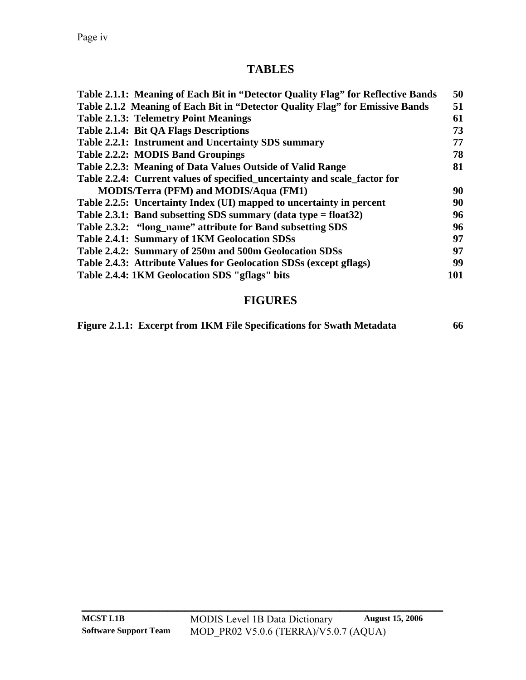### **TABLES**

| Table 2.1.1: Meaning of Each Bit in "Detector Quality Flag" for Reflective Bands | 50  |
|----------------------------------------------------------------------------------|-----|
| Table 2.1.2 Meaning of Each Bit in "Detector Quality Flag" for Emissive Bands    | 51  |
| <b>Table 2.1.3: Telemetry Point Meanings</b>                                     | 61  |
| <b>Table 2.1.4: Bit QA Flags Descriptions</b>                                    | 73  |
| Table 2.2.1: Instrument and Uncertainty SDS summary                              | 77  |
| Table 2.2.2: MODIS Band Groupings                                                | 78  |
| Table 2.2.3: Meaning of Data Values Outside of Valid Range                       | 81  |
| Table 2.2.4: Current values of specified_uncertainty and scale_factor for        |     |
| <b>MODIS/Terra (PFM) and MODIS/Aqua (FM1)</b>                                    | 90  |
| Table 2.2.5: Uncertainty Index (UI) mapped to uncertainty in percent             | 90  |
| Table 2.3.1: Band subsetting SDS summary (data type = float $32$ )               | 96  |
| Table 2.3.2: "long_name" attribute for Band subsetting SDS                       | 96  |
| Table 2.4.1: Summary of 1KM Geolocation SDSs                                     | 97  |
| Table 2.4.2: Summary of 250m and 500m Geolocation SDSs                           | 97  |
| Table 2.4.3: Attribute Values for Geolocation SDSs (except gflags)               | 99  |
| Table 2.4.4: 1KM Geolocation SDS "gflags" bits                                   | 101 |
|                                                                                  |     |

# **FIGURES**

|  |  | Figure 2.1.1: Excerpt from 1KM File Specifications for Swath Metadata | 66 |
|--|--|-----------------------------------------------------------------------|----|
|  |  |                                                                       |    |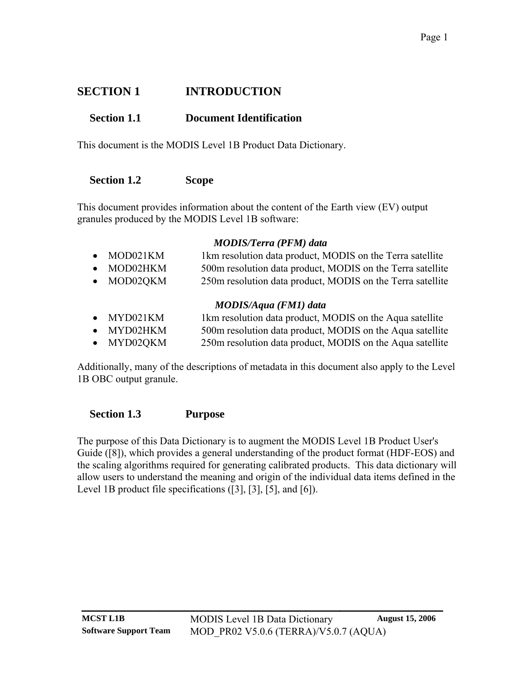# <span id="page-4-0"></span>**SECTION 1 INTRODUCTION**

# **Section 1.1 Document Identification**

This document is the MODIS Level 1B Product Data Dictionary.

#### **Section 1.2 Scope**

This document provides information about the content of the Earth view (EV) output granules produced by the MODIS Level 1B software:

#### *MODIS/Terra (PFM) data*

| $\bullet$ MOD021KM | 1km resolution data product, MODIS on the Terra satellite  |
|--------------------|------------------------------------------------------------|
| $\bullet$ MOD02HKM | 500m resolution data product, MODIS on the Terra satellite |
| $\bullet$ MOD020KM | 250m resolution data product, MODIS on the Terra satellite |
|                    |                                                            |

#### *MODIS/Aqua (FM1) data*

- MYD021KM 1km resolution data product, MODIS on the Aqua satellite
- MYD02HKM 500m resolution data product, MODIS on the Aqua satellite
- MYD02QKM 250m resolution data product, MODIS on the Aqua satellite

Additionally, many of the descriptions of metadata in this document also apply to the Level 1B OBC output granule.

#### **Section 1.3 Purpose**

The purpose of this Data Dictionary is to augment the MODIS Level 1B Product User's Guide [\(\[8\]](#page-107-1)), which provides a general understanding of the product format (HDF-EOS) and the scaling algorithms required for generating calibrated products. This data dictionary will allow users to understand the meaning and origin of the individual data items defined in the Level 1B product file specifications [\(\[3\]](#page-107-2), [\[3\]](#page-107-2), [\[5\],](#page-107-3) and [\[6\]](#page-107-4)).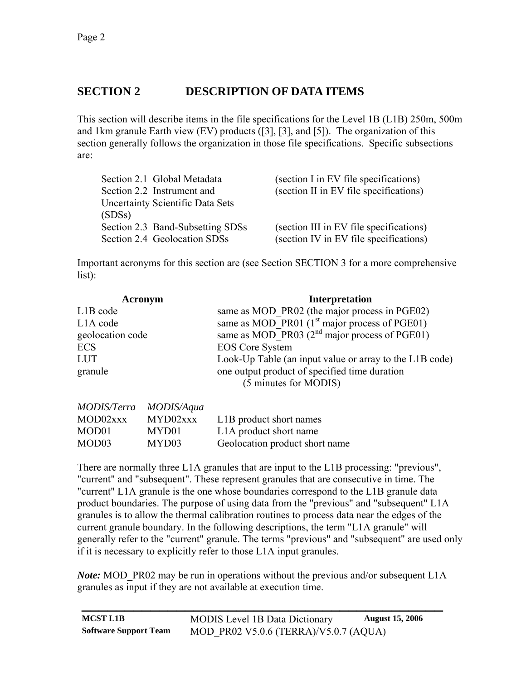# <span id="page-5-0"></span>**SECTION 2 DESCRIPTION OF DATA ITEMS**

This section will describe items in the file specifications for the Level 1B (L1B) 250m, 500m and 1km granule Earth view (EV) products [\(\[3\]](#page-107-2), [\[3\]](#page-107-2), and [\[5\]\)](#page-107-3). The organization of this section generally follows the organization in those file specifications. Specific subsections are:

| Section 2.1 Global Metadata             | (section I in EV file specifications)   |
|-----------------------------------------|-----------------------------------------|
| Section 2.2 Instrument and              | (section II in EV file specifications)  |
| <b>Uncertainty Scientific Data Sets</b> |                                         |
| (SDSs)                                  |                                         |
| Section 2.3 Band-Subsetting SDSs        | (section III in EV file specifications) |
| Section 2.4 Geolocation SDSs            | (section IV in EV file specifications)  |

Important acronyms for this section are (see Section [SECTION 3](#page-105-1) for a more comprehensive list):

| Acronym               | <b>Interpretation</b>                                                  |
|-----------------------|------------------------------------------------------------------------|
| L <sub>1</sub> B code | same as MOD PR02 (the major process in PGE02)                          |
| L1A code              | same as MOD PR01 $(1st$ major process of PGE01)                        |
| geolocation code      | same as MOD PR03 $(2^{nd}$ major process of PGE01)                     |
| <b>ECS</b>            | <b>EOS</b> Core System                                                 |
| <b>LUT</b>            | Look-Up Table (an input value or array to the L1B code)                |
| granule               | one output product of specified time duration<br>(5 minutes for MODIS) |

| MODIS/Terra MODIS/Aqua |          |                                |
|------------------------|----------|--------------------------------|
| MOD02xxx               | MYD02xxx | L1B product short names        |
| MOD01                  | MYD01    | L1A product short name         |
| MOD03                  | MYD03    | Geolocation product short name |

There are normally three L1A granules that are input to the L1B processing: "previous", "current" and "subsequent". These represent granules that are consecutive in time. The "current" L1A granule is the one whose boundaries correspond to the L1B granule data product boundaries. The purpose of using data from the "previous" and "subsequent" L1A granules is to allow the thermal calibration routines to process data near the edges of the current granule boundary. In the following descriptions, the term "L1A granule" will generally refer to the "current" granule. The terms "previous" and "subsequent" are used only if it is necessary to explicitly refer to those L1A input granules.

*Note:* MOD PR02 may be run in operations without the previous and/or subsequent L1A granules as input if they are not available at execution time.

| <b>MCST L1B</b>              | <b>MODIS</b> Level 1B Data Dictionary | <b>August 15, 2006</b> |
|------------------------------|---------------------------------------|------------------------|
| <b>Software Support Team</b> | MOD PR02 V5.0.6 (TERRA)/V5.0.7 (AQUA) |                        |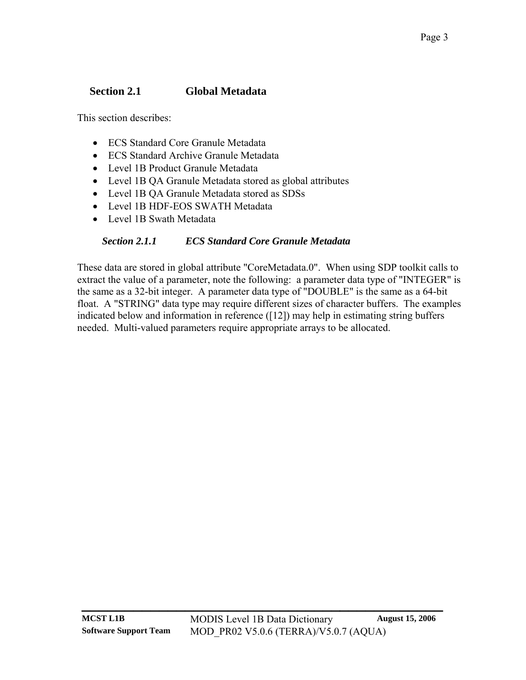# <span id="page-6-0"></span>**Section 2.1 Global Metadata**

<span id="page-6-1"></span>This section describes:

- ECS Standard Core Granule Metadata
- ECS Standard Archive Granule Metadata
- Level 1B Product Granule Metadata
- Level 1B QA Granule Metadata stored as global attributes
- Level 1B QA Granule Metadata stored as SDSs
- Level 1B HDF-EOS SWATH Metadata
- Level 1B Swath Metadata

### *Section 2.1.1 ECS Standard Core Granule Metadata*

These data are stored in global attribute "CoreMetadata.0". When using SDP toolkit calls to extract the value of a parameter, note the following: a parameter data type of "INTEGER" is the same as a 32-bit integer. A parameter data type of "DOUBLE" is the same as a 64-bit float. A "STRING" data type may require different sizes of character buffers. The examples indicated below and information in reference ([\[12\]](#page-108-0)) may help in estimating string buffers needed. Multi-valued parameters require appropriate arrays to be allocated.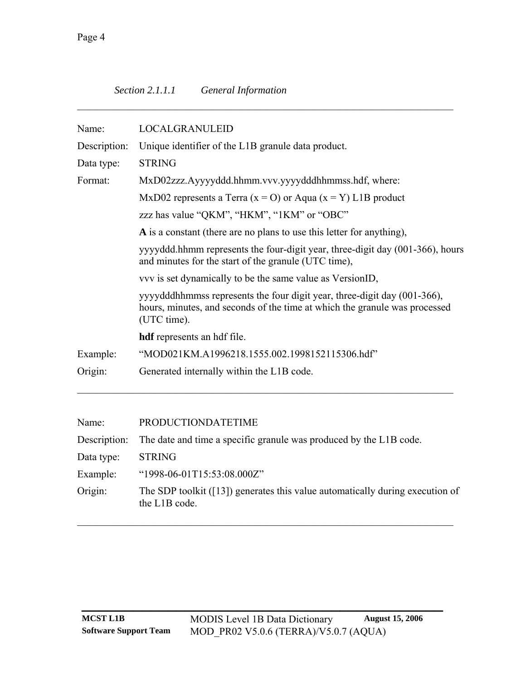<span id="page-7-0"></span>

| Name:                                                              | <b>LOCALGRANULEID</b>                                                                                                                                                                              |                                                |  |  |
|--------------------------------------------------------------------|----------------------------------------------------------------------------------------------------------------------------------------------------------------------------------------------------|------------------------------------------------|--|--|
| Description:<br>Unique identifier of the L1B granule data product. |                                                                                                                                                                                                    |                                                |  |  |
| <b>STRING</b><br>Data type:                                        |                                                                                                                                                                                                    |                                                |  |  |
| Format:                                                            | MxD02zzz.Ayyyyddd.hhmm.vvv.yyyydddhhmmss.hdf, where:                                                                                                                                               |                                                |  |  |
|                                                                    | MxD02 represents a Terra ( $x = O$ ) or Aqua ( $x = Y$ ) L1B product<br>zzz has value "QKM", "HKM", "1KM" or "OBC"<br>A is a constant (there are no plans to use this letter for anything),        |                                                |  |  |
|                                                                    |                                                                                                                                                                                                    |                                                |  |  |
|                                                                    |                                                                                                                                                                                                    |                                                |  |  |
|                                                                    | yyyyddd.hhmm represents the four-digit year, three-digit day (001-366), hours<br>and minutes for the start of the granule (UTC time),<br>vvv is set dynamically to be the same value as VersionID, |                                                |  |  |
|                                                                    |                                                                                                                                                                                                    |                                                |  |  |
|                                                                    | <b>hdf</b> represents an hdf file.                                                                                                                                                                 |                                                |  |  |
|                                                                    | Example:                                                                                                                                                                                           | "MOD021KM.A1996218.1555.002.1998152115306.hdf" |  |  |
| Origin:                                                            | Generated internally within the L1B code.                                                                                                                                                          |                                                |  |  |
|                                                                    |                                                                                                                                                                                                    |                                                |  |  |
| Name:                                                              | PRODUCTIONDATETIME                                                                                                                                                                                 |                                                |  |  |

|            | Description: The date and time a specific granule was produced by the L1B code.                |
|------------|------------------------------------------------------------------------------------------------|
| Data type: | <b>STRING</b>                                                                                  |
| Example:   | "1998-06-01T15:53:08.000Z"                                                                     |
| Origin:    | The SDP toolkit $(13)$ generates this value automatically during execution of<br>the L1B code. |

 $\mathcal{L}_\text{max} = \mathcal{L}_\text{max} = \mathcal{L}_\text{max} = \mathcal{L}_\text{max} = \mathcal{L}_\text{max} = \mathcal{L}_\text{max} = \mathcal{L}_\text{max} = \mathcal{L}_\text{max} = \mathcal{L}_\text{max} = \mathcal{L}_\text{max} = \mathcal{L}_\text{max} = \mathcal{L}_\text{max} = \mathcal{L}_\text{max} = \mathcal{L}_\text{max} = \mathcal{L}_\text{max} = \mathcal{L}_\text{max} = \mathcal{L}_\text{max} = \mathcal{L}_\text{max} = \mathcal{$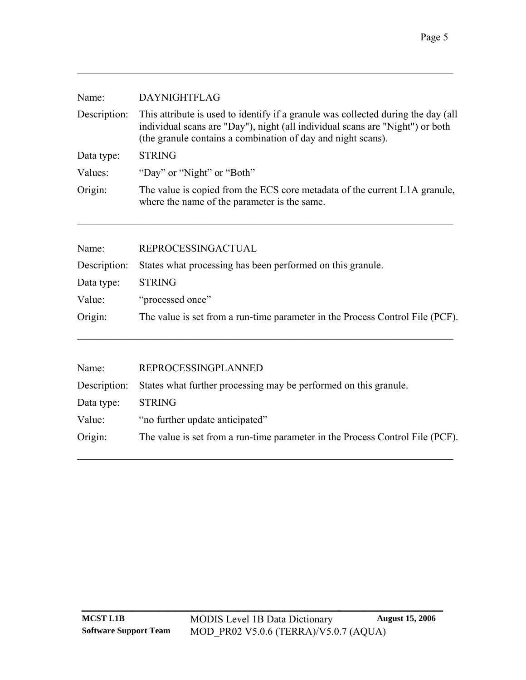| Name:        | <b>DAYNIGHTFLAG</b>                                                                                                                                                                                                                |
|--------------|------------------------------------------------------------------------------------------------------------------------------------------------------------------------------------------------------------------------------------|
| Description: | This attribute is used to identify if a granule was collected during the day (all<br>individual scans are "Day"), night (all individual scans are "Night") or both<br>(the granule contains a combination of day and night scans). |
| Data type:   | <b>STRING</b>                                                                                                                                                                                                                      |
| Values:      | "Day" or "Night" or "Both"                                                                                                                                                                                                         |
| Origin:      | The value is copied from the ECS core metadata of the current L1A granule,<br>where the name of the parameter is the same.                                                                                                         |

| Name:      | REPROCESSINGACTUAL                                                            |
|------------|-------------------------------------------------------------------------------|
|            | Description: States what processing has been performed on this granule.       |
| Data type: | <b>STRING</b>                                                                 |
| Value:     | "processed once"                                                              |
| Origin:    | The value is set from a run-time parameter in the Process Control File (PCF). |
|            |                                                                               |

| REPROCESSINGPLANNED                                                           |
|-------------------------------------------------------------------------------|
| Description: States what further processing may be performed on this granule. |
| <b>STRING</b>                                                                 |
| "no further update anticipated"                                               |
| The value is set from a run-time parameter in the Process Control File (PCF). |
|                                                                               |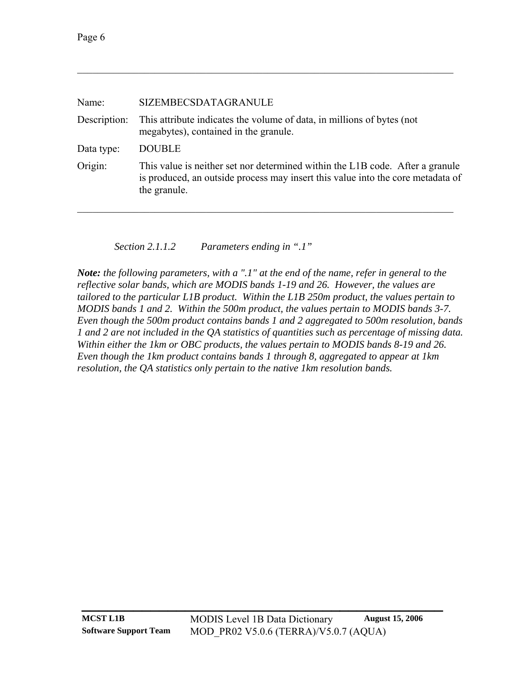<span id="page-9-0"></span>

| SIZEMBECSDATAGRANULE                                                                                                                                                             |
|----------------------------------------------------------------------------------------------------------------------------------------------------------------------------------|
| This attribute indicates the volume of data, in millions of bytes (not<br>megabytes), contained in the granule.                                                                  |
| <b>DOUBLE</b>                                                                                                                                                                    |
| This value is neither set nor determined within the L1B code. After a granule<br>is produced, an outside process may insert this value into the core metadata of<br>the granule. |
|                                                                                                                                                                                  |

*Section 2.1.1.2 Parameters ending in ".1"* 

<span id="page-9-1"></span>*Note: the following parameters, with a ".1" at the end of the name, refer in general to the reflective solar bands, which are MODIS bands 1-19 and 26. However, the values are tailored to the particular L1B product. Within the L1B 250m product, the values pertain to MODIS bands 1 and 2. Within the 500m product, the values pertain to MODIS bands 3-7. Even though the 500m product contains bands 1 and 2 aggregated to 500m resolution, bands 1 and 2 are not included in the QA statistics of quantities such as percentage of missing data. Within either the 1km or OBC products, the values pertain to MODIS bands 8-19 and 26. Even though the 1km product contains bands 1 through 8, aggregated to appear at 1km resolution, the QA statistics only pertain to the native 1km resolution bands.*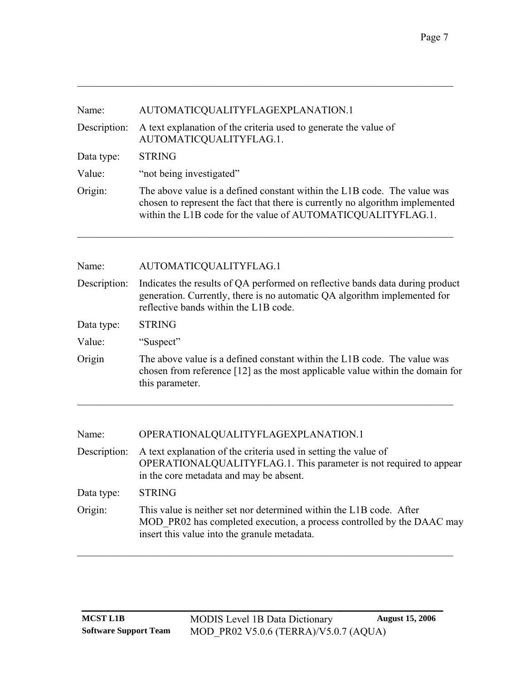| Name:        | AUTOMATICQUALITYFLAGEXPLANATION.1                                                                                                                                                                                         |
|--------------|---------------------------------------------------------------------------------------------------------------------------------------------------------------------------------------------------------------------------|
| Description: | A text explanation of the criteria used to generate the value of<br>AUTOMATICQUALITYFLAG.1.                                                                                                                               |
| Data type:   | <b>STRING</b>                                                                                                                                                                                                             |
| Value:       | "not being investigated"                                                                                                                                                                                                  |
| Origin:      | The above value is a defined constant within the L1B code. The value was<br>chosen to represent the fact that there is currently no algorithm implemented<br>within the L1B code for the value of AUTOMATICQUALITYFLAG.1. |

 $\mathcal{L}_\mathcal{L} = \{ \mathcal{L}_\mathcal{L} = \{ \mathcal{L}_\mathcal{L} = \{ \mathcal{L}_\mathcal{L} = \{ \mathcal{L}_\mathcal{L} = \{ \mathcal{L}_\mathcal{L} = \{ \mathcal{L}_\mathcal{L} = \{ \mathcal{L}_\mathcal{L} = \{ \mathcal{L}_\mathcal{L} = \{ \mathcal{L}_\mathcal{L} = \{ \mathcal{L}_\mathcal{L} = \{ \mathcal{L}_\mathcal{L} = \{ \mathcal{L}_\mathcal{L} = \{ \mathcal{L}_\mathcal{L} = \{ \mathcal{L}_\mathcal{$ 

| Name:        | AUTOMATICQUALITYFLAG.1                                                                                                                                                                              |
|--------------|-----------------------------------------------------------------------------------------------------------------------------------------------------------------------------------------------------|
| Description: | Indicates the results of QA performed on reflective bands data during product<br>generation. Currently, there is no automatic QA algorithm implemented for<br>reflective bands within the L1B code. |
| Data type:   | <b>STRING</b>                                                                                                                                                                                       |
| Value:       | "Suspect"                                                                                                                                                                                           |
| Origin       | The above value is a defined constant within the L1B code. The value was<br>chosen from reference [12] as the most applicable value within the domain for<br>this parameter.                        |

| Name:        | OPERATIONALQUALITYFLAGEXPLANATION.1                                                                                                                                                           |
|--------------|-----------------------------------------------------------------------------------------------------------------------------------------------------------------------------------------------|
| Description: | A text explanation of the criteria used in setting the value of<br>OPERATIONALQUALITYFLAG.1. This parameter is not required to appear<br>in the core metadata and may be absent.              |
| Data type:   | <b>STRING</b>                                                                                                                                                                                 |
| Origin:      | This value is neither set nor determined within the L1B code. After<br>MOD PR02 has completed execution, a process controlled by the DAAC may<br>insert this value into the granule metadata. |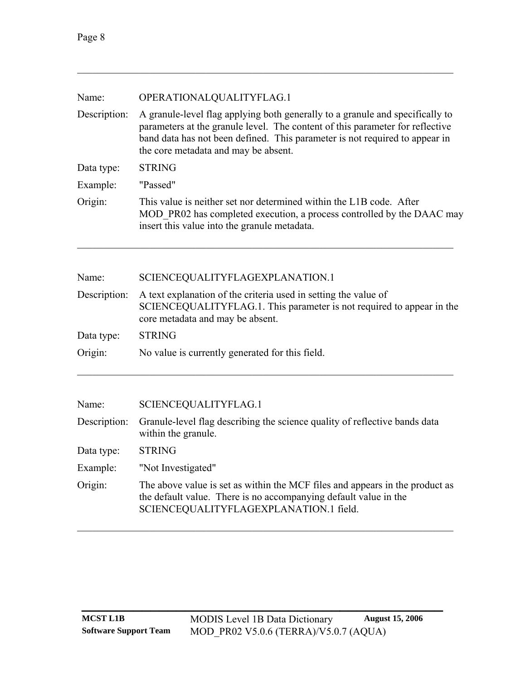| Name:        | OPERATIONALQUALITYFLAG.1                                                                                                                                                                                                                                                              |  |
|--------------|---------------------------------------------------------------------------------------------------------------------------------------------------------------------------------------------------------------------------------------------------------------------------------------|--|
| Description: | A granule-level flag applying both generally to a granule and specifically to<br>parameters at the granule level. The content of this parameter for reflective<br>band data has not been defined. This parameter is not required to appear in<br>the core metadata and may be absent. |  |
| Data type:   | <b>STRING</b>                                                                                                                                                                                                                                                                         |  |
| Example:     | "Passed"                                                                                                                                                                                                                                                                              |  |
| Origin:      | This value is neither set nor determined within the L1B code. After<br>MOD PR02 has completed execution, a process controlled by the DAAC may<br>insert this value into the granule metadata.                                                                                         |  |

| Name:        | SCIENCEQUALITYFLAGEXPLANATION.1                                                                                                                                              |
|--------------|------------------------------------------------------------------------------------------------------------------------------------------------------------------------------|
| Description: | A text explanation of the criteria used in setting the value of<br>SCIENCEQUALITYFLAG.1. This parameter is not required to appear in the<br>core metadata and may be absent. |
| Data type:   | <b>STRING</b>                                                                                                                                                                |
| Origin:      | No value is currently generated for this field.                                                                                                                              |
|              |                                                                                                                                                                              |

 $\mathcal{L}_\text{max} = \mathcal{L}_\text{max} = \mathcal{L}_\text{max} = \mathcal{L}_\text{max} = \mathcal{L}_\text{max} = \mathcal{L}_\text{max} = \mathcal{L}_\text{max} = \mathcal{L}_\text{max} = \mathcal{L}_\text{max} = \mathcal{L}_\text{max} = \mathcal{L}_\text{max} = \mathcal{L}_\text{max} = \mathcal{L}_\text{max} = \mathcal{L}_\text{max} = \mathcal{L}_\text{max} = \mathcal{L}_\text{max} = \mathcal{L}_\text{max} = \mathcal{L}_\text{max} = \mathcal{$ 

| Name: | SCIENCEQUALITYFLAG.1 |
|-------|----------------------|
|       |                      |

| Description: Granule-level flag describing the science quality of reflective bands data<br>within the granule.                                                                             |
|--------------------------------------------------------------------------------------------------------------------------------------------------------------------------------------------|
| <b>STRING</b>                                                                                                                                                                              |
| "Not Investigated"                                                                                                                                                                         |
| The above value is set as within the MCF files and appears in the product as<br>the default value. There is no accompanying default value in the<br>SCIENCEQUALITYFLAGEXPLANATION.1 field. |
|                                                                                                                                                                                            |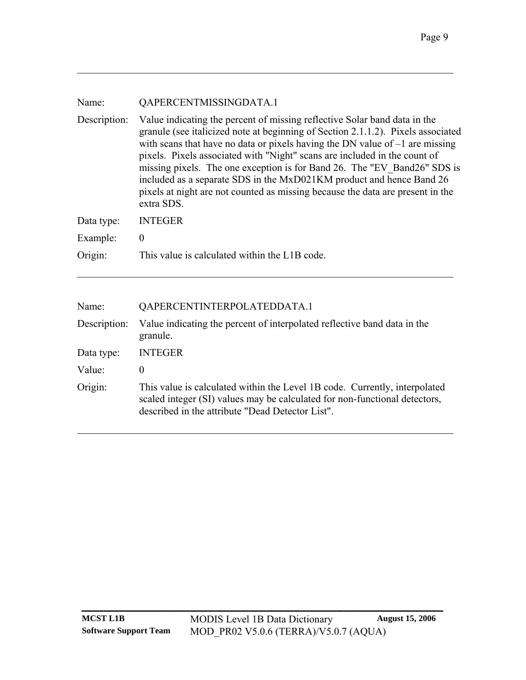| Name: | QAPERCENTMISSINGDATA.1 |
|-------|------------------------|
|       |                        |

Description: Value indicating the percent of missing reflective Solar band data in the granule (see italicized note at beginning of [Section 2.1.1.2](#page-9-1)). Pixels associated with scans that have no data or pixels having the DN value of  $-1$  are missing pixels. Pixels associated with "Night" scans are included in the count of missing pixels. The one exception is for Band 26. The "EV\_Band26" SDS is included as a separate SDS in the MxD021KM product and hence Band 26 pixels at night are not counted as missing because the data are present in the extra SDS. Data type: INTEGER

 $\mathcal{L}_\mathcal{L} = \{ \mathcal{L}_\mathcal{L} = \{ \mathcal{L}_\mathcal{L} = \{ \mathcal{L}_\mathcal{L} = \{ \mathcal{L}_\mathcal{L} = \{ \mathcal{L}_\mathcal{L} = \{ \mathcal{L}_\mathcal{L} = \{ \mathcal{L}_\mathcal{L} = \{ \mathcal{L}_\mathcal{L} = \{ \mathcal{L}_\mathcal{L} = \{ \mathcal{L}_\mathcal{L} = \{ \mathcal{L}_\mathcal{L} = \{ \mathcal{L}_\mathcal{L} = \{ \mathcal{L}_\mathcal{L} = \{ \mathcal{L}_\mathcal{$ 

|          | $Data VPU.$ INTEQUA                           |
|----------|-----------------------------------------------|
| Example: |                                               |
| Origin:  | This value is calculated within the L1B code. |

| Name:        | QAPERCENTINTERPOLATEDDATA.1                                                                                                                                                                                  |
|--------------|--------------------------------------------------------------------------------------------------------------------------------------------------------------------------------------------------------------|
| Description: | Value indicating the percent of interpolated reflective band data in the<br>granule.                                                                                                                         |
| Data type:   | <b>INTEGER</b>                                                                                                                                                                                               |
| Value:       | $\theta$                                                                                                                                                                                                     |
| Origin:      | This value is calculated within the Level 1B code. Currently, interpolated<br>scaled integer (SI) values may be calculated for non-functional detectors,<br>described in the attribute "Dead Detector List". |

 $\mathcal{L}_\mathcal{L} = \{ \mathcal{L}_\mathcal{L} = \{ \mathcal{L}_\mathcal{L} = \{ \mathcal{L}_\mathcal{L} = \{ \mathcal{L}_\mathcal{L} = \{ \mathcal{L}_\mathcal{L} = \{ \mathcal{L}_\mathcal{L} = \{ \mathcal{L}_\mathcal{L} = \{ \mathcal{L}_\mathcal{L} = \{ \mathcal{L}_\mathcal{L} = \{ \mathcal{L}_\mathcal{L} = \{ \mathcal{L}_\mathcal{L} = \{ \mathcal{L}_\mathcal{L} = \{ \mathcal{L}_\mathcal{L} = \{ \mathcal{L}_\mathcal{$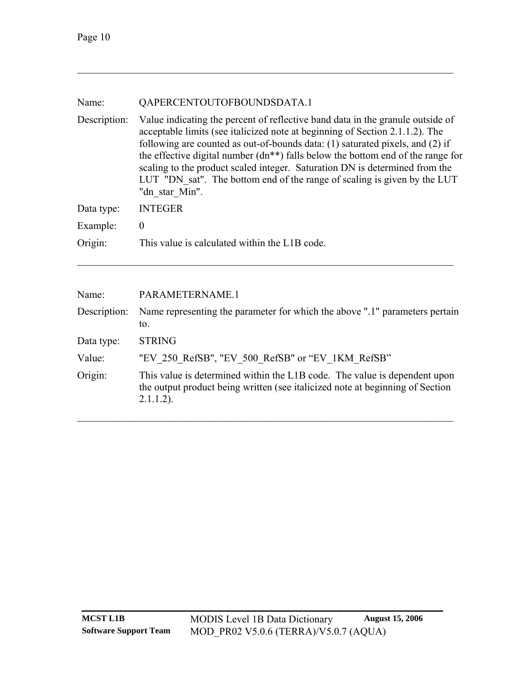| Name:        | QAPERCENTOUTOFBOUNDSDATA.1                                                                                                                                                                                                                                                                                                                                                                                                                                                                                           |
|--------------|----------------------------------------------------------------------------------------------------------------------------------------------------------------------------------------------------------------------------------------------------------------------------------------------------------------------------------------------------------------------------------------------------------------------------------------------------------------------------------------------------------------------|
| Description: | Value indicating the percent of reflective band data in the granule outside of<br>acceptable limits (see italicized note at beginning of Section 2.1.1.2). The<br>following are counted as out-of-bounds data: (1) saturated pixels, and (2) if<br>the effective digital number $(dn^{**})$ falls below the bottom end of the range for<br>scaling to the product scaled integer. Saturation DN is determined from the<br>LUT "DN sat". The bottom end of the range of scaling is given by the LUT<br>"dn star Min". |
| Data type:   | <b>INTEGER</b>                                                                                                                                                                                                                                                                                                                                                                                                                                                                                                       |
| Example:     | $\boldsymbol{0}$                                                                                                                                                                                                                                                                                                                                                                                                                                                                                                     |
| Origin:      | This value is calculated within the L1B code.                                                                                                                                                                                                                                                                                                                                                                                                                                                                        |

| Name:        | PARAMETERNAME.1                                                                                                                                                            |
|--------------|----------------------------------------------------------------------------------------------------------------------------------------------------------------------------|
| Description: | Name representing the parameter for which the above ".1" parameters pertain<br>to.                                                                                         |
| Data type:   | <b>STRING</b>                                                                                                                                                              |
| Value:       | "EV 250 RefSB", "EV 500 RefSB" or "EV 1KM RefSB"                                                                                                                           |
| Origin:      | This value is determined within the L1B code. The value is dependent upon<br>the output product being written (see italicized note at beginning of Section<br>$2.1.1.2$ ). |

 $\mathcal{L}_\text{max} = \mathcal{L}_\text{max} = \mathcal{L}_\text{max} = \mathcal{L}_\text{max} = \mathcal{L}_\text{max} = \mathcal{L}_\text{max} = \mathcal{L}_\text{max} = \mathcal{L}_\text{max} = \mathcal{L}_\text{max} = \mathcal{L}_\text{max} = \mathcal{L}_\text{max} = \mathcal{L}_\text{max} = \mathcal{L}_\text{max} = \mathcal{L}_\text{max} = \mathcal{L}_\text{max} = \mathcal{L}_\text{max} = \mathcal{L}_\text{max} = \mathcal{L}_\text{max} = \mathcal{$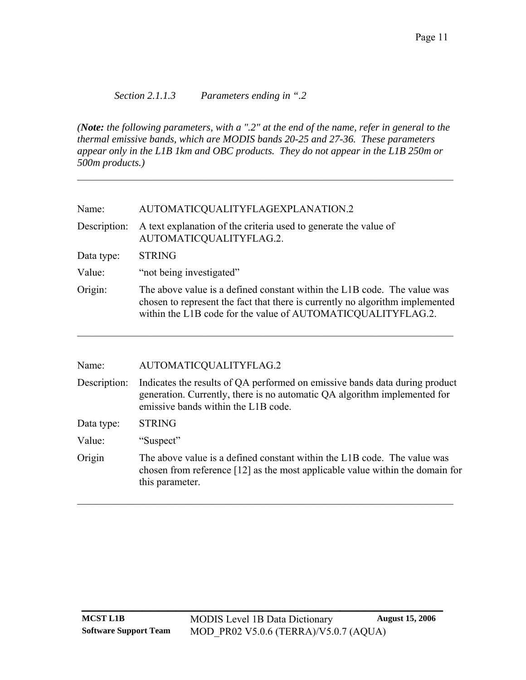<span id="page-14-0"></span>*Section 2.1.1.3 Parameters ending in ".2* 

*(Note: the following parameters, with a ".2" at the end of the name, refer in general to the thermal emissive bands, which are MODIS bands 20-25 and 27-36. These parameters appear only in the L1B 1km and OBC products. They do not appear in the L1B 250m or 500m products.)*

 $\mathcal{L}_\mathcal{L} = \{ \mathcal{L}_\mathcal{L} = \{ \mathcal{L}_\mathcal{L} = \{ \mathcal{L}_\mathcal{L} = \{ \mathcal{L}_\mathcal{L} = \{ \mathcal{L}_\mathcal{L} = \{ \mathcal{L}_\mathcal{L} = \{ \mathcal{L}_\mathcal{L} = \{ \mathcal{L}_\mathcal{L} = \{ \mathcal{L}_\mathcal{L} = \{ \mathcal{L}_\mathcal{L} = \{ \mathcal{L}_\mathcal{L} = \{ \mathcal{L}_\mathcal{L} = \{ \mathcal{L}_\mathcal{L} = \{ \mathcal{L}_\mathcal{$ 

| Name:<br>AUTOMATICQUALITYFLAGEXPLANATION.2 |
|--------------------------------------------|
|--------------------------------------------|

Description: A text explanation of the criteria used to generate the value of AUTOMATICQUALITYFLAG.2.

Data type: STRING

- Value: "not being investigated"
- Origin: The above value is a defined constant within the L1B code. The value was chosen to represent the fact that there is currently no algorithm implemented within the L1B code for the value of AUTOMATICQUALITYFLAG.2.

 $\mathcal{L}_\text{max} = \mathcal{L}_\text{max} = \mathcal{L}_\text{max} = \mathcal{L}_\text{max} = \mathcal{L}_\text{max} = \mathcal{L}_\text{max} = \mathcal{L}_\text{max} = \mathcal{L}_\text{max} = \mathcal{L}_\text{max} = \mathcal{L}_\text{max} = \mathcal{L}_\text{max} = \mathcal{L}_\text{max} = \mathcal{L}_\text{max} = \mathcal{L}_\text{max} = \mathcal{L}_\text{max} = \mathcal{L}_\text{max} = \mathcal{L}_\text{max} = \mathcal{L}_\text{max} = \mathcal{$ 

| AUTOMATICQUALITYFLAG.2                                                                                                                                                                          |
|-------------------------------------------------------------------------------------------------------------------------------------------------------------------------------------------------|
| Indicates the results of QA performed on emissive bands data during product<br>generation. Currently, there is no automatic QA algorithm implemented for<br>emissive bands within the L1B code. |
| <b>STRING</b>                                                                                                                                                                                   |
| "Suspect"                                                                                                                                                                                       |
| The above value is a defined constant within the L1B code. The value was<br>chosen from reference $[12]$ as the most applicable value within the domain for<br>this parameter.                  |
|                                                                                                                                                                                                 |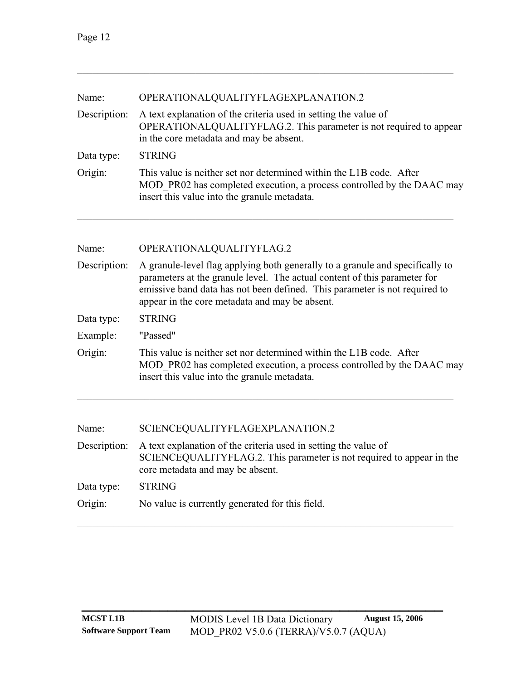| Name:        | OPERATIONALQUALITYFLAGEXPLANATION.2                                                                                                                                                                                                                                                        |  |  |
|--------------|--------------------------------------------------------------------------------------------------------------------------------------------------------------------------------------------------------------------------------------------------------------------------------------------|--|--|
| Description: | A text explanation of the criteria used in setting the value of<br>OPERATIONALQUALITYFLAG.2. This parameter is not required to appear<br>in the core metadata and may be absent.                                                                                                           |  |  |
| Data type:   | <b>STRING</b>                                                                                                                                                                                                                                                                              |  |  |
| Origin:      | This value is neither set nor determined within the L1B code. After<br>MOD PR02 has completed execution, a process controlled by the DAAC may<br>insert this value into the granule metadata.                                                                                              |  |  |
| Name:        | OPERATIONALQUALITYFLAG.2                                                                                                                                                                                                                                                                   |  |  |
|              |                                                                                                                                                                                                                                                                                            |  |  |
| Description: | A granule-level flag applying both generally to a granule and specifically to<br>parameters at the granule level. The actual content of this parameter for<br>emissive band data has not been defined. This parameter is not required to<br>appear in the core metadata and may be absent. |  |  |
| Data type:   | <b>STRING</b>                                                                                                                                                                                                                                                                              |  |  |
| Example:     | "Passed"                                                                                                                                                                                                                                                                                   |  |  |
| Origin:      | This value is neither set nor determined within the L1B code. After<br>MOD PR02 has completed execution, a process controlled by the DAAC may<br>insert this value into the granule metadata.                                                                                              |  |  |
|              |                                                                                                                                                                                                                                                                                            |  |  |

| Name: | SCIENCEQUALITYFLAGEXPLANATION.2 |
|-------|---------------------------------|
|-------|---------------------------------|

|                   | Description: A text explanation of the criteria used in setting the value of<br>SCIENCEOUALITYFLAG.2. This parameter is not required to appear in the |
|-------------------|-------------------------------------------------------------------------------------------------------------------------------------------------------|
|                   | core metadata and may be absent.                                                                                                                      |
| Data type: STRING |                                                                                                                                                       |

 $\mathcal{L}_\mathcal{L} = \{ \mathcal{L}_\mathcal{L} = \{ \mathcal{L}_\mathcal{L} = \{ \mathcal{L}_\mathcal{L} = \{ \mathcal{L}_\mathcal{L} = \{ \mathcal{L}_\mathcal{L} = \{ \mathcal{L}_\mathcal{L} = \{ \mathcal{L}_\mathcal{L} = \{ \mathcal{L}_\mathcal{L} = \{ \mathcal{L}_\mathcal{L} = \{ \mathcal{L}_\mathcal{L} = \{ \mathcal{L}_\mathcal{L} = \{ \mathcal{L}_\mathcal{L} = \{ \mathcal{L}_\mathcal{L} = \{ \mathcal{L}_\mathcal{$ 

| Origin: | No value is currently generated for this field. |  |  |
|---------|-------------------------------------------------|--|--|
|         |                                                 |  |  |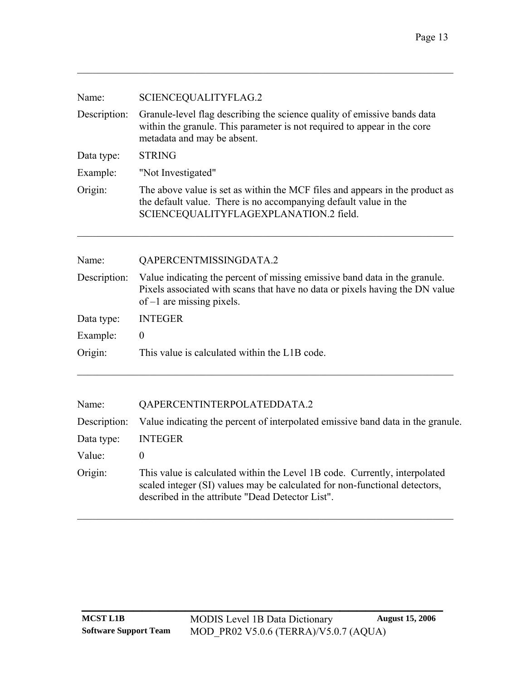| Name:        | SCIENCEQUALITYFLAG.2                                                                                                                                                                       |
|--------------|--------------------------------------------------------------------------------------------------------------------------------------------------------------------------------------------|
| Description: | Granule-level flag describing the science quality of emissive bands data<br>within the granule. This parameter is not required to appear in the core<br>metadata and may be absent.        |
| Data type:   | <b>STRING</b>                                                                                                                                                                              |
| Example:     | "Not Investigated"                                                                                                                                                                         |
| Origin:      | The above value is set as within the MCF files and appears in the product as<br>the default value. There is no accompanying default value in the<br>SCIENCEQUALITYFLAGEXPLANATION.2 field. |
| Name:        | QAPERCENTMISSINGDATA.2                                                                                                                                                                     |

|            | Description: Value indicating the percent of missing emissive band data in the granule.<br>Pixels associated with scans that have no data or pixels having the DN value<br>of $-1$ are missing pixels. |
|------------|--------------------------------------------------------------------------------------------------------------------------------------------------------------------------------------------------------|
| Data type: | INTEGER                                                                                                                                                                                                |

 $\mathcal{L}_\text{max} = \mathcal{L}_\text{max} = \mathcal{L}_\text{max} = \mathcal{L}_\text{max} = \mathcal{L}_\text{max} = \mathcal{L}_\text{max} = \mathcal{L}_\text{max} = \mathcal{L}_\text{max} = \mathcal{L}_\text{max} = \mathcal{L}_\text{max} = \mathcal{L}_\text{max} = \mathcal{L}_\text{max} = \mathcal{L}_\text{max} = \mathcal{L}_\text{max} = \mathcal{L}_\text{max} = \mathcal{L}_\text{max} = \mathcal{L}_\text{max} = \mathcal{L}_\text{max} = \mathcal{$ 

| $-$ wear $\cdot$ $\cdot$ $\cdot$ $\cdot$ | -- - - - - - |
|------------------------------------------|--------------|
| Example:                                 | 0            |

|  | Origin: | This value is calculated within the L1B code. |
|--|---------|-----------------------------------------------|
|--|---------|-----------------------------------------------|

| Name:        | QAPERCENTINTERPOLATEDDATA.2                                                                                                                                                                                  |
|--------------|--------------------------------------------------------------------------------------------------------------------------------------------------------------------------------------------------------------|
| Description: | Value indicating the percent of interpolated emissive band data in the granule.                                                                                                                              |
| Data type:   | <b>INTEGER</b>                                                                                                                                                                                               |
| Value:       | $\theta$                                                                                                                                                                                                     |
| Origin:      | This value is calculated within the Level 1B code. Currently, interpolated<br>scaled integer (SI) values may be calculated for non-functional detectors,<br>described in the attribute "Dead Detector List". |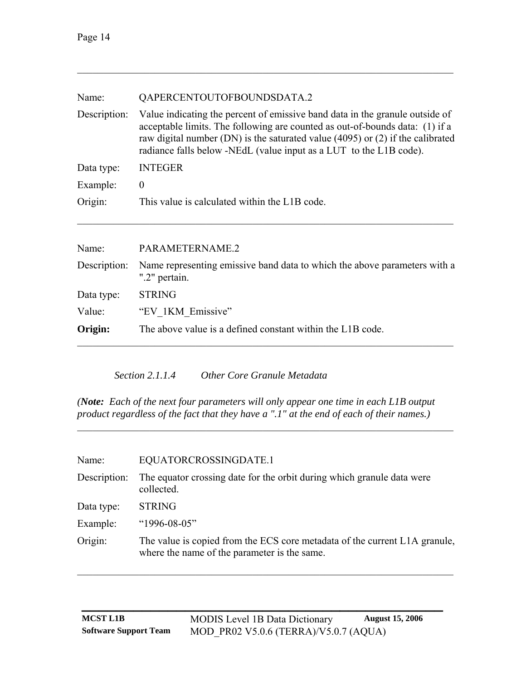<span id="page-17-0"></span>

| Name:        | QAPERCENTOUTOFBOUNDSDATA.2                                                                                                                                                                                                                                                                                           |
|--------------|----------------------------------------------------------------------------------------------------------------------------------------------------------------------------------------------------------------------------------------------------------------------------------------------------------------------|
| Description: | Value indicating the percent of emissive band data in the granule outside of<br>acceptable limits. The following are counted as out-of-bounds data: (1) if a<br>raw digital number (DN) is the saturated value (4095) or (2) if the calibrated<br>radiance falls below -NEdL (value input as a LUT to the L1B code). |
| Data type:   | <b>INTEGER</b>                                                                                                                                                                                                                                                                                                       |
| Example:     | $\theta$                                                                                                                                                                                                                                                                                                             |
| Origin:      | This value is calculated within the L1B code.                                                                                                                                                                                                                                                                        |
|              |                                                                                                                                                                                                                                                                                                                      |
| Name:        | PARAMETERNAME.2                                                                                                                                                                                                                                                                                                      |
| Description: | Name representing emissive band data to which the above parameters with a<br>".2" pertain.                                                                                                                                                                                                                           |
| Data type:   | <b>STRING</b>                                                                                                                                                                                                                                                                                                        |
| Value:       | "EV 1KM Emissive"                                                                                                                                                                                                                                                                                                    |
| Origin:      | The above value is a defined constant within the L1B code.                                                                                                                                                                                                                                                           |

*Section 2.1.1.4 Other Core Granule Metadata* 

*(Note: Each of the next four parameters will only appear one time in each L1B output product regardless of the fact that they have a ".1" at the end of each of their names.)* 

 $\mathcal{L}_\text{max} = \mathcal{L}_\text{max} = \mathcal{L}_\text{max} = \mathcal{L}_\text{max} = \mathcal{L}_\text{max} = \mathcal{L}_\text{max} = \mathcal{L}_\text{max} = \mathcal{L}_\text{max} = \mathcal{L}_\text{max} = \mathcal{L}_\text{max} = \mathcal{L}_\text{max} = \mathcal{L}_\text{max} = \mathcal{L}_\text{max} = \mathcal{L}_\text{max} = \mathcal{L}_\text{max} = \mathcal{L}_\text{max} = \mathcal{L}_\text{max} = \mathcal{L}_\text{max} = \mathcal{$ 

| Name:        | EQUATORCROSSINGDATE.1                                                                                                      |
|--------------|----------------------------------------------------------------------------------------------------------------------------|
| Description: | The equator crossing date for the orbit during which granule data were<br>collected.                                       |
| Data type:   | <b>STRING</b>                                                                                                              |
| Example:     | " $1996 - 08 - 05$ "                                                                                                       |
| Origin:      | The value is copied from the ECS core metadata of the current L1A granule,<br>where the name of the parameter is the same. |

 $\mathcal{L}_\mathcal{L} = \{ \mathcal{L}_\mathcal{L} = \{ \mathcal{L}_\mathcal{L} = \{ \mathcal{L}_\mathcal{L} = \{ \mathcal{L}_\mathcal{L} = \{ \mathcal{L}_\mathcal{L} = \{ \mathcal{L}_\mathcal{L} = \{ \mathcal{L}_\mathcal{L} = \{ \mathcal{L}_\mathcal{L} = \{ \mathcal{L}_\mathcal{L} = \{ \mathcal{L}_\mathcal{L} = \{ \mathcal{L}_\mathcal{L} = \{ \mathcal{L}_\mathcal{L} = \{ \mathcal{L}_\mathcal{L} = \{ \mathcal{L}_\mathcal{$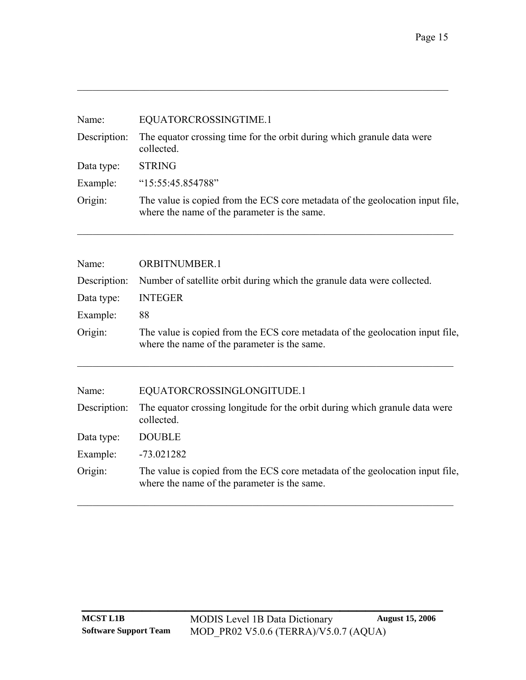| Name:        | EQUATORCROSSINGTIME.1                                                                                                         |
|--------------|-------------------------------------------------------------------------------------------------------------------------------|
| Description: | The equator crossing time for the orbit during which granule data were<br>collected.                                          |
| Data type:   | <b>STRING</b>                                                                                                                 |
| Example:     | "15:55:45.854788"                                                                                                             |
| Origin:      | The value is copied from the ECS core metadata of the geolocation input file,<br>where the name of the parameter is the same. |

 $\mathcal{L}_\text{max}$  , and the contribution of the contribution of the contribution of the contribution of the contribution of the contribution of the contribution of the contribution of the contribution of the contribution of t

| Name:        | <b>ORBITNUMBER.1</b>                                                                                                          |
|--------------|-------------------------------------------------------------------------------------------------------------------------------|
| Description: | Number of satellite orbit during which the granule data were collected.                                                       |
| Data type:   | <b>INTEGER</b>                                                                                                                |
| Example:     | 88                                                                                                                            |
| Origin:      | The value is copied from the ECS core metadata of the geolocation input file,<br>where the name of the parameter is the same. |
| Name:        |                                                                                                                               |
|              | EQUATORCROSSINGLONGITUDE.1                                                                                                    |
| Description: | The equator crossing longitude for the orbit during which granule data were<br>collected.                                     |
| Data type:   | <b>DOUBLE</b>                                                                                                                 |
| Example:     | $-73.021282$                                                                                                                  |
| Origin:      | The value is copied from the ECS core metadata of the geolocation input file,<br>where the name of the parameter is the same. |
|              |                                                                                                                               |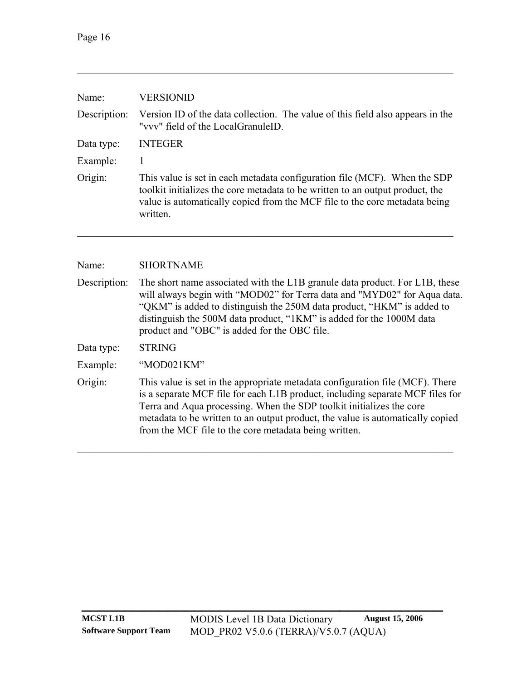| Name:        | <b>VERSIONID</b>                                                                                                                                                                                                                                     |
|--------------|------------------------------------------------------------------------------------------------------------------------------------------------------------------------------------------------------------------------------------------------------|
| Description: | Version ID of the data collection. The value of this field also appears in the<br>"vvv" field of the LocalGranuleID.                                                                                                                                 |
| Data type:   | <b>INTEGER</b>                                                                                                                                                                                                                                       |
| Example:     |                                                                                                                                                                                                                                                      |
| Origin:      | This value is set in each metadata configuration file (MCF). When the SDP<br>toolkit initializes the core metadata to be written to an output product, the<br>value is automatically copied from the MCF file to the core metadata being<br>written. |
|              |                                                                                                                                                                                                                                                      |
|              |                                                                                                                                                                                                                                                      |

Name: SHORTNAME

| Description: | The short name associated with the L1B granule data product. For L1B, these<br>will always begin with "MOD02" for Terra data and "MYD02" for Aqua data.<br>"QKM" is added to distinguish the 250M data product, "HKM" is added to<br>distinguish the 500M data product, "1KM" is added for the 1000M data<br>product and "OBC" is added for the OBC file.                         |
|--------------|-----------------------------------------------------------------------------------------------------------------------------------------------------------------------------------------------------------------------------------------------------------------------------------------------------------------------------------------------------------------------------------|
| Data type:   | <b>STRING</b>                                                                                                                                                                                                                                                                                                                                                                     |
| Example:     | "MOD021KM"                                                                                                                                                                                                                                                                                                                                                                        |
| Origin:      | This value is set in the appropriate metadata configuration file (MCF). There<br>is a separate MCF file for each L1B product, including separate MCF files for<br>Terra and Aqua processing. When the SDP toolkit initializes the core<br>metadata to be written to an output product, the value is automatically copied<br>from the MCF file to the core metadata being written. |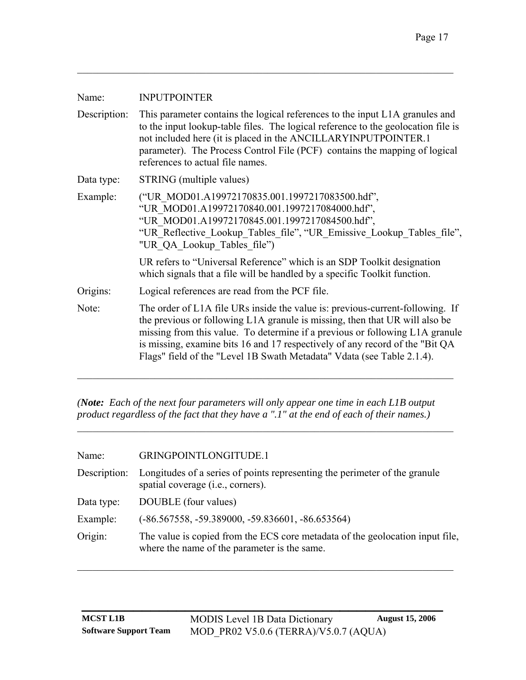| <b>INPUTPOINTER</b>                                                                                                                                                                                                                                                                                                                                                                                     |
|---------------------------------------------------------------------------------------------------------------------------------------------------------------------------------------------------------------------------------------------------------------------------------------------------------------------------------------------------------------------------------------------------------|
| This parameter contains the logical references to the input L1A granules and<br>to the input lookup-table files. The logical reference to the geolocation file is<br>not included here (it is placed in the ANCILLARYINPUTPOINTER.1)<br>parameter). The Process Control File (PCF) contains the mapping of logical<br>references to actual file names.                                                  |
| STRING (multiple values)                                                                                                                                                                                                                                                                                                                                                                                |
| ("UR_MOD01.A19972170835.001.1997217083500.hdf",<br>"UR MOD01.A19972170840.001.1997217084000.hdf",<br>"UR MOD01.A19972170845.001.1997217084500.hdf",<br>"UR Reflective Lookup Tables file", "UR Emissive Lookup Tables file",<br>"UR QA Lookup Tables file")                                                                                                                                             |
| UR refers to "Universal Reference" which is an SDP Toolkit designation<br>which signals that a file will be handled by a specific Toolkit function.                                                                                                                                                                                                                                                     |
| Logical references are read from the PCF file.                                                                                                                                                                                                                                                                                                                                                          |
| The order of L1A file URs inside the value is: previous-current-following. If<br>the previous or following L1A granule is missing, then that UR will also be<br>missing from this value. To determine if a previous or following L1A granule<br>is missing, examine bits 16 and 17 respectively of any record of the "Bit QA"<br>Flags" field of the "Level 1B Swath Metadata" Vdata (see Table 2.1.4). |
|                                                                                                                                                                                                                                                                                                                                                                                                         |

*(Note: Each of the next four parameters will only appear one time in each L1B output product regardless of the fact that they have a ".1" at the end of each of their names.)* 

 $\_$  , and the set of the set of the set of the set of the set of the set of the set of the set of the set of the set of the set of the set of the set of the set of the set of the set of the set of the set of the set of th

| Name:        | GRINGPOINTLONGITUDE.1                                                                                                         |
|--------------|-------------------------------------------------------------------------------------------------------------------------------|
| Description: | Longitudes of a series of points representing the perimeter of the granule<br>spatial coverage ( <i>i.e.</i> , corners).      |
| Data type:   | DOUBLE (four values)                                                                                                          |
| Example:     | $(-86.567558, -59.389000, -59.836601, -86.653564)$                                                                            |
| Origin:      | The value is copied from the ECS core metadate of the geolocation input file,<br>where the name of the parameter is the same. |

 $\mathcal{L}_\text{max} = \mathcal{L}_\text{max} = \mathcal{L}_\text{max} = \mathcal{L}_\text{max} = \mathcal{L}_\text{max} = \mathcal{L}_\text{max} = \mathcal{L}_\text{max} = \mathcal{L}_\text{max} = \mathcal{L}_\text{max} = \mathcal{L}_\text{max} = \mathcal{L}_\text{max} = \mathcal{L}_\text{max} = \mathcal{L}_\text{max} = \mathcal{L}_\text{max} = \mathcal{L}_\text{max} = \mathcal{L}_\text{max} = \mathcal{L}_\text{max} = \mathcal{L}_\text{max} = \mathcal{$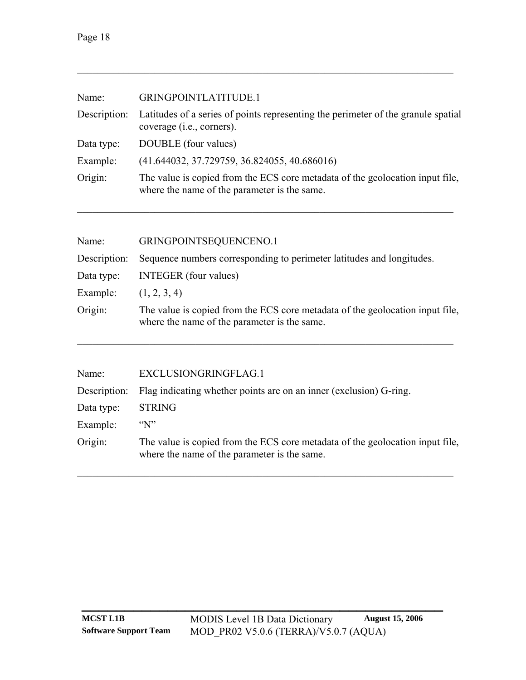| Name:        | GRINGPOINTLATITUDE.1                                                                                                          |
|--------------|-------------------------------------------------------------------------------------------------------------------------------|
| Description: | Latitudes of a series of points representing the perimeter of the granule spatial<br>coverage ( <i>i.e.</i> , corners).       |
| Data type:   | DOUBLE (four values)                                                                                                          |
| Example:     | (41.644032, 37.729759, 36.824055, 40.686016)                                                                                  |
| Origin:      | The value is copied from the ECS core metadata of the geolocation input file,<br>where the name of the parameter is the same. |
|              |                                                                                                                               |

| Name:        | GRINGPOINTSEQUENCENO.1                                                                                                        |
|--------------|-------------------------------------------------------------------------------------------------------------------------------|
| Description: | Sequence numbers corresponding to perimeter latitudes and longitudes.                                                         |
| Data type:   | <b>INTEGER</b> (four values)                                                                                                  |
| Example:     | (1, 2, 3, 4)                                                                                                                  |
| Origin:      | The value is copied from the ECS core metadate of the geolocation input file,<br>where the name of the parameter is the same. |

| Name:        | EXCLUSIONGRINGFLAG.1                                                                                                          |
|--------------|-------------------------------------------------------------------------------------------------------------------------------|
| Description: | Flag indicating whether points are on an inner (exclusion) G-ring.                                                            |
| Data type:   | <b>STRING</b>                                                                                                                 |
| Example:     | $\sqrt{\rm N}$                                                                                                                |
| Origin:      | The value is copied from the ECS core metadata of the geolocation input file,<br>where the name of the parameter is the same. |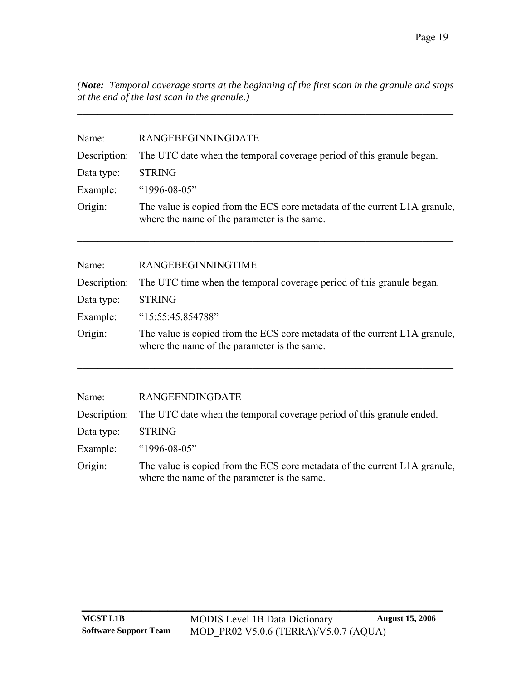*(Note: Temporal coverage starts at the beginning of the first scan in the granule and stops at the end of the last scan in the granule.)* 

 $\mathcal{L}_\text{max} = \mathcal{L}_\text{max} = \mathcal{L}_\text{max} = \mathcal{L}_\text{max} = \mathcal{L}_\text{max} = \mathcal{L}_\text{max} = \mathcal{L}_\text{max} = \mathcal{L}_\text{max} = \mathcal{L}_\text{max} = \mathcal{L}_\text{max} = \mathcal{L}_\text{max} = \mathcal{L}_\text{max} = \mathcal{L}_\text{max} = \mathcal{L}_\text{max} = \mathcal{L}_\text{max} = \mathcal{L}_\text{max} = \mathcal{L}_\text{max} = \mathcal{L}_\text{max} = \mathcal{$ 

| Name:<br>Description:<br>Data type:<br>Example:<br>Origin:                            | RANGEBEGINNINGDATE<br>The UTC date when the temporal coverage period of this granule began.<br><b>STRING</b><br>"1996-08-05"<br>The value is copied from the ECS core metadata of the current L1A granule,<br>where the name of the parameter is the same. |
|---------------------------------------------------------------------------------------|------------------------------------------------------------------------------------------------------------------------------------------------------------------------------------------------------------------------------------------------------------|
|                                                                                       |                                                                                                                                                                                                                                                            |
| Name:                                                                                 | RANGEBEGINNINGTIME                                                                                                                                                                                                                                         |
| Description:<br>The UTC time when the temporal coverage period of this granule began. |                                                                                                                                                                                                                                                            |
| Data type:                                                                            | <b>STRING</b>                                                                                                                                                                                                                                              |
| Example:                                                                              | "15:55:45.854788"                                                                                                                                                                                                                                          |
| Origin:                                                                               | The value is copied from the ECS core metadata of the current L1A granule,<br>where the name of the parameter is the same.                                                                                                                                 |
|                                                                                       |                                                                                                                                                                                                                                                            |
| Name:                                                                                 | <b>RANGEENDINGDATE</b>                                                                                                                                                                                                                                     |
| Description:                                                                          | The UTC date when the temporal coverage period of this granule ended.                                                                                                                                                                                      |
| Data type:                                                                            | <b>STRING</b>                                                                                                                                                                                                                                              |
| Example:                                                                              | "1996-08-05"                                                                                                                                                                                                                                               |
| Origin:                                                                               | The value is copied from the ECS core metadata of the current L1A granule,<br>where the name of the parameter is the same.                                                                                                                                 |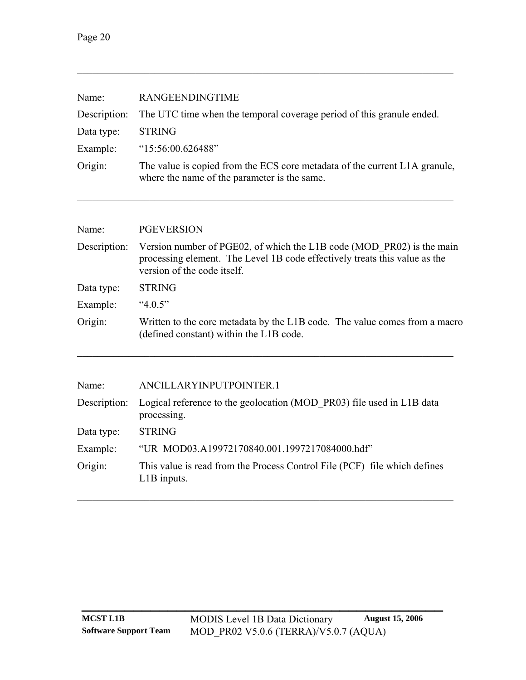| Name:                                                                                                                            | <b>RANGEENDINGTIME</b><br>The UTC time when the temporal coverage period of this granule ended.<br><b>STRING</b>                                                                   |  |
|----------------------------------------------------------------------------------------------------------------------------------|------------------------------------------------------------------------------------------------------------------------------------------------------------------------------------|--|
| Description:                                                                                                                     |                                                                                                                                                                                    |  |
| Data type:                                                                                                                       |                                                                                                                                                                                    |  |
| Example:                                                                                                                         | " $15:56:00.626488"$                                                                                                                                                               |  |
| Origin:                                                                                                                          | The value is copied from the ECS core metadata of the current L1A granule,<br>where the name of the parameter is the same.                                                         |  |
|                                                                                                                                  |                                                                                                                                                                                    |  |
| Name:                                                                                                                            | <b>PGEVERSION</b>                                                                                                                                                                  |  |
| Description:                                                                                                                     | Version number of PGE02, of which the L1B code (MOD PR02) is the main<br>processing element. The Level 1B code effectively treats this value as the<br>version of the code itself. |  |
| Data type:                                                                                                                       | <b>STRING</b>                                                                                                                                                                      |  |
| Example:                                                                                                                         | " $4.0.5$ "                                                                                                                                                                        |  |
| Origin:<br>Written to the core metadata by the L1B code. The value comes from a macro<br>(defined constant) within the L1B code. |                                                                                                                                                                                    |  |
|                                                                                                                                  |                                                                                                                                                                                    |  |
| Name:                                                                                                                            | ANCILLARYINPUTPOINTER.1                                                                                                                                                            |  |
| Description:                                                                                                                     | Logical reference to the geolocation (MOD PR03) file used in L1B data<br>processing.                                                                                               |  |

| <b>STRING</b> |
|---------------|
|               |

- Example: "UR\_MOD03.A19972170840.001.1997217084000.hdf"
- Origin: This value is read from the Process Control File (PCF) file which defines L1B inputs.

 $\mathcal{L}_\text{max} = \mathcal{L}_\text{max} = \mathcal{L}_\text{max} = \mathcal{L}_\text{max} = \mathcal{L}_\text{max} = \mathcal{L}_\text{max} = \mathcal{L}_\text{max} = \mathcal{L}_\text{max} = \mathcal{L}_\text{max} = \mathcal{L}_\text{max} = \mathcal{L}_\text{max} = \mathcal{L}_\text{max} = \mathcal{L}_\text{max} = \mathcal{L}_\text{max} = \mathcal{L}_\text{max} = \mathcal{L}_\text{max} = \mathcal{L}_\text{max} = \mathcal{L}_\text{max} = \mathcal{$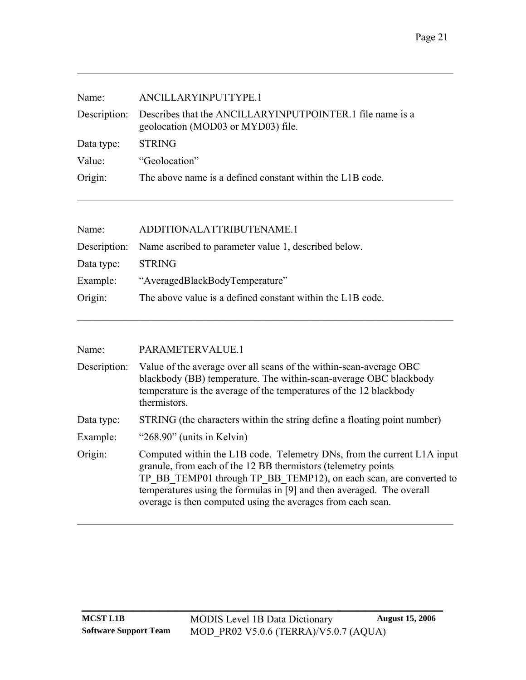| Name:        | ANCILLARYINPUTTYPE.1                                                                            |
|--------------|-------------------------------------------------------------------------------------------------|
| Description: | Describes that the ANCILLARYINPUTPOINTER.1 file name is a<br>geolocation (MOD03 or MYD03) file. |
| Data type:   | <b>STRING</b>                                                                                   |
| Value:       | "Geolocation"                                                                                   |
| Origin:      | The above name is a defined constant within the L1B code.                                       |
|              |                                                                                                 |

| Name:      | ADDITIONALATTRIBUTENAME.1                                         |
|------------|-------------------------------------------------------------------|
|            | Description: Name ascribed to parameter value 1, described below. |
| Data type: | <b>STRING</b>                                                     |
| Example:   | "AveragedBlackBodyTemperature"                                    |
| Origin:    | The above value is a defined constant within the L1B code.        |
|            |                                                                   |

| Name: | PARAMETERVALUE.1 |
|-------|------------------|
|       |                  |

| Description: | Value of the average over all scans of the within-scan-average OBC<br>blackbody (BB) temperature. The within-scan-average OBC blackbody<br>temperature is the average of the temperatures of the 12 blackbody<br>thermistors.                                                                                                                          |
|--------------|--------------------------------------------------------------------------------------------------------------------------------------------------------------------------------------------------------------------------------------------------------------------------------------------------------------------------------------------------------|
| Data type:   | STRING (the characters within the string define a floating point number)                                                                                                                                                                                                                                                                               |
| Example:     | " $268.90$ " (units in Kelvin)                                                                                                                                                                                                                                                                                                                         |
| Origin:      | Computed within the L1B code. Telemetry DNs, from the current L1A input<br>granule, from each of the 12 BB thermistors (telemetry points<br>TP BB TEMP01 through TP BB TEMP12), on each scan, are converted to<br>temperatures using the formulas in [9] and then averaged. The overall<br>overage is then computed using the averages from each scan. |

 $\mathcal{L}_\mathcal{L} = \{ \mathcal{L}_\mathcal{L} = \{ \mathcal{L}_\mathcal{L} = \{ \mathcal{L}_\mathcal{L} = \{ \mathcal{L}_\mathcal{L} = \{ \mathcal{L}_\mathcal{L} = \{ \mathcal{L}_\mathcal{L} = \{ \mathcal{L}_\mathcal{L} = \{ \mathcal{L}_\mathcal{L} = \{ \mathcal{L}_\mathcal{L} = \{ \mathcal{L}_\mathcal{L} = \{ \mathcal{L}_\mathcal{L} = \{ \mathcal{L}_\mathcal{L} = \{ \mathcal{L}_\mathcal{L} = \{ \mathcal{L}_\mathcal{$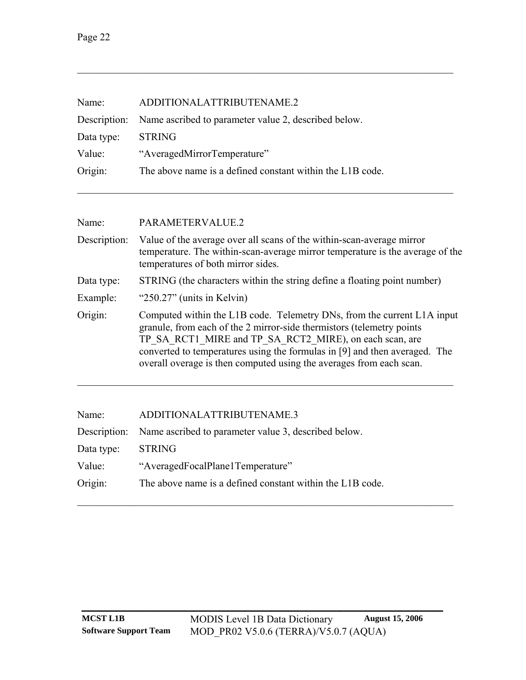| Name:      | ADDITIONALATTRIBUTENAME.2                                         |
|------------|-------------------------------------------------------------------|
|            | Description: Name ascribed to parameter value 2, described below. |
| Data type: | <b>STRING</b>                                                     |
| Value:     | "AveragedMirrorTemperature"                                       |
| Origin:    | The above name is a defined constant within the L1B code.         |
|            |                                                                   |

| Name:        | PARAMETERVALUE.2                                                                                                                                                                                                                                                                                                                                                 |  |
|--------------|------------------------------------------------------------------------------------------------------------------------------------------------------------------------------------------------------------------------------------------------------------------------------------------------------------------------------------------------------------------|--|
| Description: | Value of the average over all scans of the within-scan-average mirror<br>temperature. The within-scan-average mirror temperature is the average of the<br>temperatures of both mirror sides.                                                                                                                                                                     |  |
| Data type:   | STRING (the characters within the string define a floating point number)                                                                                                                                                                                                                                                                                         |  |
| Example:     | " $250.27$ " (units in Kelvin)                                                                                                                                                                                                                                                                                                                                   |  |
| Origin:      | Computed within the L1B code. Telemetry DNs, from the current L1A input<br>granule, from each of the 2 mirror-side thermistors (telemetry points<br>TP SA RCT1 MIRE and TP SA RCT2 MIRE), on each scan, are<br>converted to temperatures using the formulas in [9] and then averaged. The<br>overall overage is then computed using the averages from each scan. |  |

 $\mathcal{L}_\text{max} = \mathcal{L}_\text{max} = \mathcal{L}_\text{max} = \mathcal{L}_\text{max} = \mathcal{L}_\text{max} = \mathcal{L}_\text{max} = \mathcal{L}_\text{max} = \mathcal{L}_\text{max} = \mathcal{L}_\text{max} = \mathcal{L}_\text{max} = \mathcal{L}_\text{max} = \mathcal{L}_\text{max} = \mathcal{L}_\text{max} = \mathcal{L}_\text{max} = \mathcal{L}_\text{max} = \mathcal{L}_\text{max} = \mathcal{L}_\text{max} = \mathcal{L}_\text{max} = \mathcal{$ 

| Name:      | ADDITIONALATTRIBUTENAME.3                                         |
|------------|-------------------------------------------------------------------|
|            | Description: Name ascribed to parameter value 3, described below. |
| Data type: | <b>STRING</b>                                                     |
| Value:     | "AveragedFocalPlane1Temperature"                                  |
| Origin:    | The above name is a defined constant within the L1B code.         |
|            |                                                                   |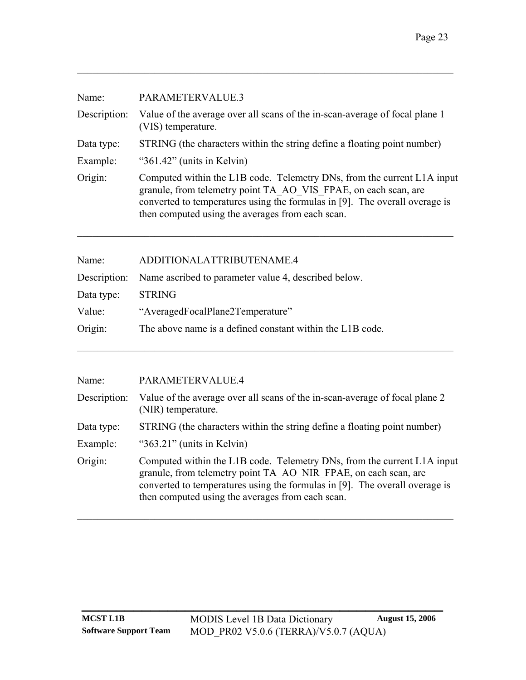| Name:        | PARAMETERVALUE.3                                                                                                                                                                                                                                                              |
|--------------|-------------------------------------------------------------------------------------------------------------------------------------------------------------------------------------------------------------------------------------------------------------------------------|
| Description: | Value of the average over all scans of the in-scan-average of focal plane 1<br>(VIS) temperature.                                                                                                                                                                             |
| Data type:   | STRING (the characters within the string define a floating point number)                                                                                                                                                                                                      |
| Example:     | " $361.42$ " (units in Kelvin)                                                                                                                                                                                                                                                |
| Origin:      | Computed within the L1B code. Telemetry DNs, from the current L1A input<br>granule, from telemetry point TA AO VIS FPAE, on each scan, are<br>converted to temperatures using the formulas in [9]. The overall overage is<br>then computed using the averages from each scan. |

| Name:      | ADDITIONALATTRIBUTENAME.4                                         |
|------------|-------------------------------------------------------------------|
|            | Description: Name ascribed to parameter value 4, described below. |
| Data type: | <b>STRING</b>                                                     |
| Value:     | "AveragedFocalPlane2Temperature"                                  |
| Origin:    | The above name is a defined constant within the L1B code.         |
|            |                                                                   |

| Name:        | PARAMETERVALUE.4                                                                                                                                                                                                                                                              |
|--------------|-------------------------------------------------------------------------------------------------------------------------------------------------------------------------------------------------------------------------------------------------------------------------------|
| Description: | Value of the average over all scans of the in-scan-average of focal plane 2<br>(NIR) temperature.                                                                                                                                                                             |
| Data type:   | STRING (the characters within the string define a floating point number)                                                                                                                                                                                                      |
| Example:     | " $363.21$ " (units in Kelvin)                                                                                                                                                                                                                                                |
| Origin:      | Computed within the L1B code. Telemetry DNs, from the current L1A input<br>granule, from telemetry point TA AO NIR FPAE, on each scan, are<br>converted to temperatures using the formulas in [9]. The overall overage is<br>then computed using the averages from each scan. |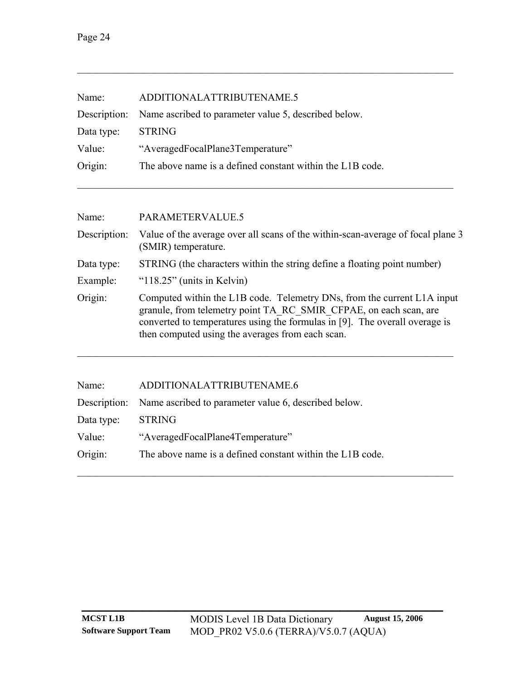| Name:      | ADDITIONALATTRIBUTENAME.5                                         |
|------------|-------------------------------------------------------------------|
|            | Description: Name ascribed to parameter value 5, described below. |
| Data type: | <b>STRING</b>                                                     |
| Value:     | "AveragedFocalPlane3Temperature"                                  |
| Origin:    | The above name is a defined constant within the L1B code.         |
|            |                                                                   |

| Name:        | PARAMETERVALUE.5                                                                                                                                                                                                                                                                |
|--------------|---------------------------------------------------------------------------------------------------------------------------------------------------------------------------------------------------------------------------------------------------------------------------------|
| Description: | Value of the average over all scans of the within-scan-average of focal plane 3<br>(SMIR) temperature.                                                                                                                                                                          |
| Data type:   | STRING (the characters within the string define a floating point number)                                                                                                                                                                                                        |
| Example:     | " $118.25$ " (units in Kelvin)                                                                                                                                                                                                                                                  |
| Origin:      | Computed within the L1B code. Telemetry DNs, from the current L1A input<br>granule, from telemetry point TA RC SMIR CFPAE, on each scan, are<br>converted to temperatures using the formulas in [9]. The overall overage is<br>then computed using the averages from each scan. |

| Name:      | ADDITIONALATTRIBUTENAME.6                                         |
|------------|-------------------------------------------------------------------|
|            | Description: Name ascribed to parameter value 6, described below. |
| Data type: | <b>STRING</b>                                                     |
| Value:     | "AveragedFocalPlane4Temperature"                                  |
| Origin:    | The above name is a defined constant within the L1B code.         |
|            |                                                                   |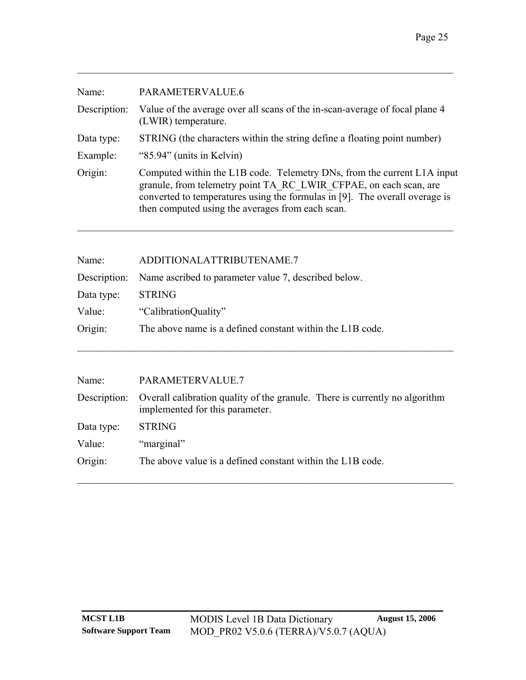| Name:        | PARAMETERVALUE.6                                                                                                                                                                                                                                                                |
|--------------|---------------------------------------------------------------------------------------------------------------------------------------------------------------------------------------------------------------------------------------------------------------------------------|
| Description: | Value of the average over all scans of the in-scan-average of focal plane 4<br>(LWIR) temperature.                                                                                                                                                                              |
| Data type:   | STRING (the characters within the string define a floating point number)                                                                                                                                                                                                        |
| Example:     | "85.94" (units in Kelvin)                                                                                                                                                                                                                                                       |
| Origin:      | Computed within the L1B code. Telemetry DNs, from the current L1A input<br>granule, from telemetry point TA RC LWIR CFPAE, on each scan, are<br>converted to temperatures using the formulas in [9]. The overall overage is<br>then computed using the averages from each scan. |

| Name:      | ADDITIONALATTRIBUTENAME.7                                         |
|------------|-------------------------------------------------------------------|
|            | Description: Name ascribed to parameter value 7, described below. |
| Data type: | <b>STRING</b>                                                     |
| Value:     | "CalibrationQuality"                                              |
| Origin:    | The above name is a defined constant within the L1B code.         |
|            |                                                                   |

| Name:      | PARAMETERVALUE.7                                                                                                            |
|------------|-----------------------------------------------------------------------------------------------------------------------------|
|            | Description: Overall calibration quality of the granule. There is currently no algorithm<br>implemented for this parameter. |
| Data type: | <b>STRING</b>                                                                                                               |
| Value:     | "marginal"                                                                                                                  |
| Origin:    | The above value is a defined constant within the L1B code.                                                                  |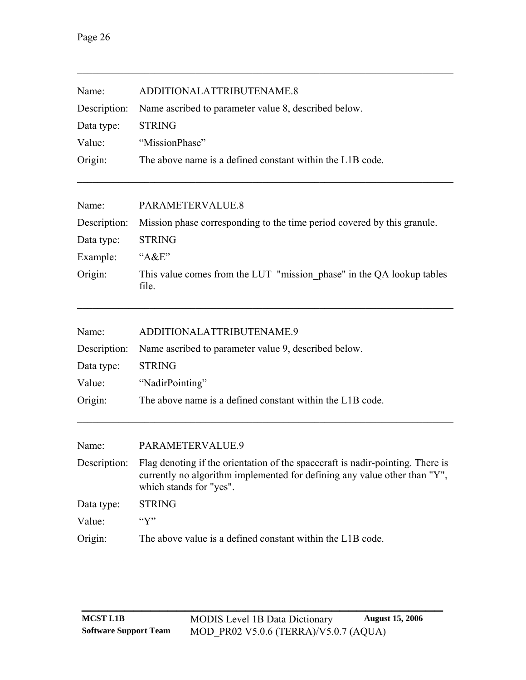| Name:        | ADDITIONALATTRIBUTENAME.8                                                                                                                                                              |
|--------------|----------------------------------------------------------------------------------------------------------------------------------------------------------------------------------------|
| Description: | Name ascribed to parameter value 8, described below.                                                                                                                                   |
| Data type:   | <b>STRING</b>                                                                                                                                                                          |
| Value:       | "MissionPhase"                                                                                                                                                                         |
| Origin:      | The above name is a defined constant within the L1B code.                                                                                                                              |
| Name:        | PARAMETERVALUE.8                                                                                                                                                                       |
| Description: | Mission phase corresponding to the time period covered by this granule.                                                                                                                |
| Data type:   | <b>STRING</b>                                                                                                                                                                          |
| Example:     | " $A&E"$                                                                                                                                                                               |
| Origin:      | This value comes from the LUT "mission phase" in the QA lookup tables<br>file.                                                                                                         |
| Name:        | ADDITIONALATTRIBUTENAME.9                                                                                                                                                              |
| Description: | Name ascribed to parameter value 9, described below.                                                                                                                                   |
| Data type:   | <b>STRING</b>                                                                                                                                                                          |
| Value:       | "NadirPointing"                                                                                                                                                                        |
| Origin:      | The above name is a defined constant within the L1B code.                                                                                                                              |
| Name:        | PARAMETERVALUE.9                                                                                                                                                                       |
| Description: | Flag denoting if the orientation of the spacecraft is nadir-pointing. There is<br>currently no algorithm implemented for defining any value other than "Y",<br>which stands for "yes". |
| Data type:   | <b>STRING</b>                                                                                                                                                                          |
| Value:       | $\lq\lq Y$                                                                                                                                                                             |
| Origin:      | The above value is a defined constant within the L1B code.                                                                                                                             |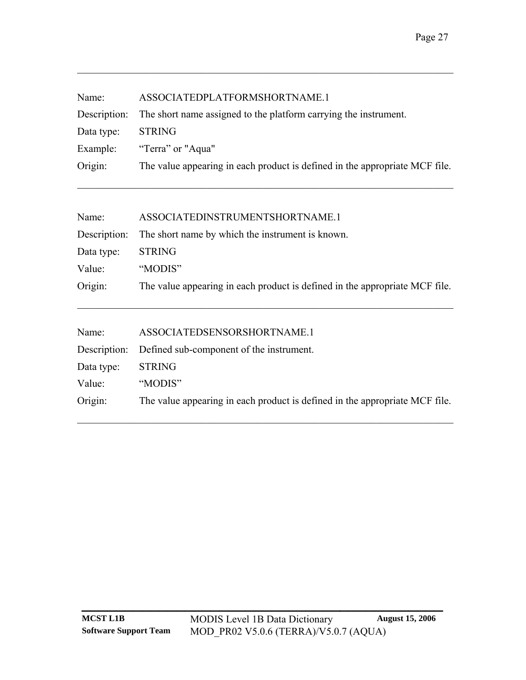| Name:<br>Description:<br>Data type:<br>Example:<br>Origin: | ASSOCIATEDPLATFORMSHORTNAME.1<br>The short name assigned to the platform carrying the instrument.<br><b>STRING</b><br>"Terra" or "Aqua"<br>The value appearing in each product is defined in the appropriate MCF file. |
|------------------------------------------------------------|------------------------------------------------------------------------------------------------------------------------------------------------------------------------------------------------------------------------|
| Name:                                                      | ASSOCIATEDINSTRUMENTSHORTNAME.1                                                                                                                                                                                        |
| Description:                                               | The short name by which the instrument is known.                                                                                                                                                                       |
| Data type:                                                 | <b>STRING</b>                                                                                                                                                                                                          |
| Value:                                                     | "MODIS"                                                                                                                                                                                                                |
| Origin:                                                    | The value appearing in each product is defined in the appropriate MCF file.                                                                                                                                            |
| Name:                                                      | ASSOCIATEDSENSORSHORTNAME.1                                                                                                                                                                                            |
| Description:                                               | Defined sub-component of the instrument.                                                                                                                                                                               |
| Data type:                                                 | <b>STRING</b>                                                                                                                                                                                                          |
| Value:                                                     | "MODIS"                                                                                                                                                                                                                |
| Origin:                                                    | The value appearing in each product is defined in the appropriate MCF file.                                                                                                                                            |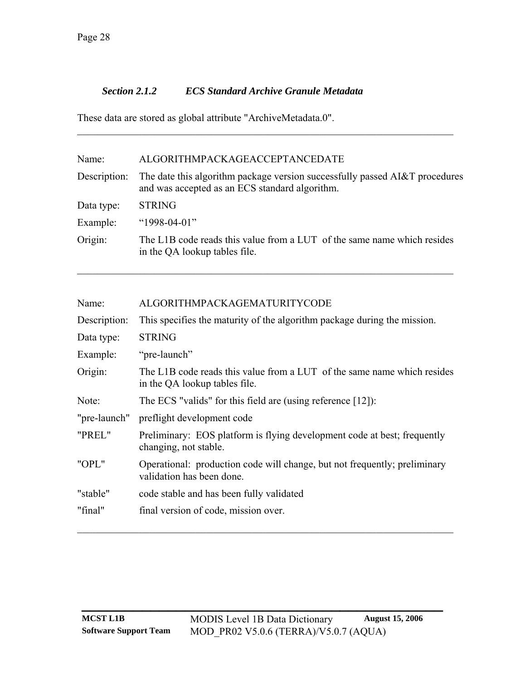#### <span id="page-31-0"></span>*Section 2.1.2 ECS Standard Archive Granule Metadata*

These data are stored as global attribute "ArchiveMetadata.0".

| Name:        | ALGORITHMPACKAGEACCEPTANCEDATE                                                                                                |
|--------------|-------------------------------------------------------------------------------------------------------------------------------|
| Description: | The date this algorithm package version successfully passed AI&T procedures<br>and was accepted as an ECS standard algorithm. |
| Data type:   | <b>STRING</b>                                                                                                                 |
| Example:     | " $1998-04-01$ "                                                                                                              |
| Origin:      | The L1B code reads this value from a LUT of the same name which resides<br>in the QA lookup tables file.                      |
|              |                                                                                                                               |

 $\mathcal{L}_\mathcal{L} = \{ \mathcal{L}_\mathcal{L} = \{ \mathcal{L}_\mathcal{L} = \{ \mathcal{L}_\mathcal{L} = \{ \mathcal{L}_\mathcal{L} = \{ \mathcal{L}_\mathcal{L} = \{ \mathcal{L}_\mathcal{L} = \{ \mathcal{L}_\mathcal{L} = \{ \mathcal{L}_\mathcal{L} = \{ \mathcal{L}_\mathcal{L} = \{ \mathcal{L}_\mathcal{L} = \{ \mathcal{L}_\mathcal{L} = \{ \mathcal{L}_\mathcal{L} = \{ \mathcal{L}_\mathcal{L} = \{ \mathcal{L}_\mathcal{$ 

| Name:        | ALGORITHMPACKAGEMATURITYCODE                                                                             |
|--------------|----------------------------------------------------------------------------------------------------------|
| Description: | This specifies the maturity of the algorithm package during the mission.                                 |
| Data type:   | <b>STRING</b>                                                                                            |
| Example:     | "pre-launch"                                                                                             |
| Origin:      | The L1B code reads this value from a LUT of the same name which resides<br>in the QA lookup tables file. |
| Note:        | The ECS "valids" for this field are (using reference $[12]$ ):                                           |
| "pre-launch" | preflight development code                                                                               |
| "PREL"       | Preliminary: EOS platform is flying development code at best; frequently<br>changing, not stable.        |
| "OPL"        | Operational: production code will change, but not frequently; preliminary<br>validation has been done.   |
| "stable"     | code stable and has been fully validated                                                                 |
| "final"      | final version of code, mission over.                                                                     |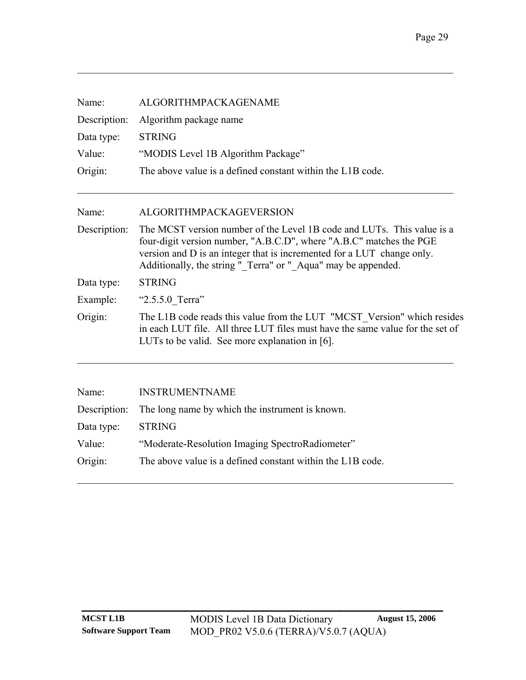| Name:<br>Description:<br>Data type:<br>Value:<br>Origin: | ALGORITHMPACKAGENAME<br>Algorithm package name<br><b>STRING</b><br>"MODIS Level 1B Algorithm Package"<br>The above value is a defined constant within the L1B code.                                                                                                                      |
|----------------------------------------------------------|------------------------------------------------------------------------------------------------------------------------------------------------------------------------------------------------------------------------------------------------------------------------------------------|
| Name:                                                    | ALGORITHMPACKAGEVERSION                                                                                                                                                                                                                                                                  |
| Description:                                             | The MCST version number of the Level 1B code and LUTs. This value is a<br>four-digit version number, "A.B.C.D", where "A.B.C" matches the PGE<br>version and D is an integer that is incremented for a LUT change only.<br>Additionally, the string "_Terra" or "_Aqua" may be appended. |
| Data type:                                               | <b>STRING</b>                                                                                                                                                                                                                                                                            |
| Example:                                                 | "2.5.5.0_Terra"                                                                                                                                                                                                                                                                          |
| Origin:                                                  | The L1B code reads this value from the LUT "MCST Version" which resides<br>in each LUT file. All three LUT files must have the same value for the set of<br>LUTs to be valid. See more explanation in [6].                                                                               |
| Name:                                                    | <b>INSTRUMENTNAME</b>                                                                                                                                                                                                                                                                    |
| Description:                                             | The long name by which the instrument is known.                                                                                                                                                                                                                                          |
| Data type:                                               | <b>STRING</b>                                                                                                                                                                                                                                                                            |
| Value:                                                   | "Moderate-Resolution Imaging SpectroRadiometer"                                                                                                                                                                                                                                          |
| Origin:                                                  | The above value is a defined constant within the L1B code.                                                                                                                                                                                                                               |
|                                                          |                                                                                                                                                                                                                                                                                          |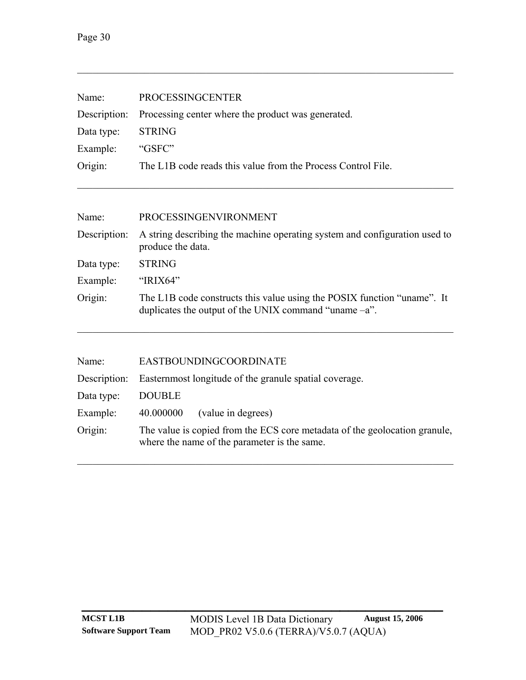| Name:        | <b>PROCESSINGCENTER</b>                                                                                                             |
|--------------|-------------------------------------------------------------------------------------------------------------------------------------|
| Description: | Processing center where the product was generated.                                                                                  |
| Data type:   | <b>STRING</b>                                                                                                                       |
| Example:     | "GSFC"                                                                                                                              |
| Origin:      | The L1B code reads this value from the Process Control File.                                                                        |
|              |                                                                                                                                     |
| Name:        | PROCESSINGENVIRONMENT                                                                                                               |
| Description: | A string describing the machine operating system and configuration used to<br>produce the data.                                     |
| Data type:   | <b>STRING</b>                                                                                                                       |
| Example:     | "IRIX64"                                                                                                                            |
| Origin:      | The L1B code constructs this value using the POSIX function "uname". It<br>duplicates the output of the UNIX command "uname $-a$ ". |
|              |                                                                                                                                     |

| Name:        | EASTBOUNDINGCOORDINATE                                                                                                     |
|--------------|----------------------------------------------------------------------------------------------------------------------------|
| Description: | Easternmost longitude of the granule spatial coverage.                                                                     |
| Data type:   | <b>DOUBLE</b>                                                                                                              |
| Example:     | (value in degrees)<br>40.000000                                                                                            |
| Origin:      | The value is copied from the ECS core metadata of the geolocation granule,<br>where the name of the parameter is the same. |

 $\mathcal{L}_\mathcal{L} = \{ \mathcal{L}_\mathcal{L} = \{ \mathcal{L}_\mathcal{L} = \{ \mathcal{L}_\mathcal{L} = \{ \mathcal{L}_\mathcal{L} = \{ \mathcal{L}_\mathcal{L} = \{ \mathcal{L}_\mathcal{L} = \{ \mathcal{L}_\mathcal{L} = \{ \mathcal{L}_\mathcal{L} = \{ \mathcal{L}_\mathcal{L} = \{ \mathcal{L}_\mathcal{L} = \{ \mathcal{L}_\mathcal{L} = \{ \mathcal{L}_\mathcal{L} = \{ \mathcal{L}_\mathcal{L} = \{ \mathcal{L}_\mathcal{$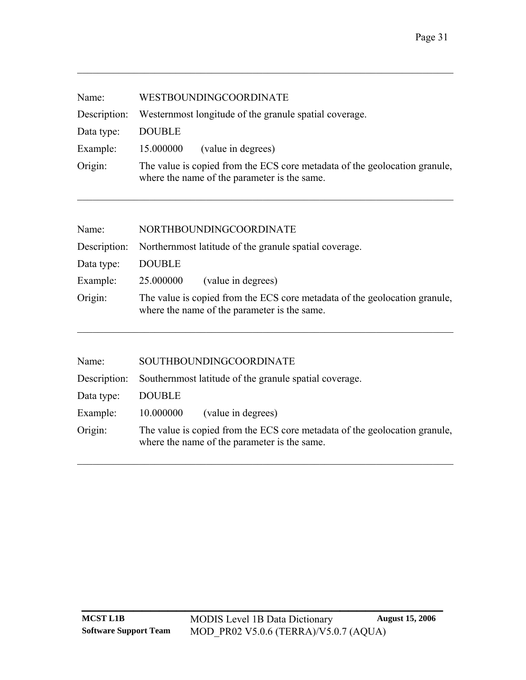| Name:        | WESTBOUNDINGCOORDINATE                                                                                                     |
|--------------|----------------------------------------------------------------------------------------------------------------------------|
| Description: | Westernmost longitude of the granule spatial coverage.                                                                     |
| Data type:   | <b>DOUBLE</b>                                                                                                              |
| Example:     | (value in degrees)<br>15.000000                                                                                            |
| Origin:      | The value is copied from the ECS core metadata of the geolocation granule,<br>where the name of the parameter is the same. |
|              |                                                                                                                            |

| Name:      | NORTHBOUNDINGCOORDINATE                                                                                                    |
|------------|----------------------------------------------------------------------------------------------------------------------------|
|            | Description: Northernmost latitude of the granule spatial coverage.                                                        |
| Data type: | <b>DOUBLE</b>                                                                                                              |
| Example:   | (value in degrees)<br>25.000000                                                                                            |
| Origin:    | The value is copied from the ECS core metadata of the geolocation granule,<br>where the name of the parameter is the same. |

 $\mathcal{L}_\text{max} = \mathcal{L}_\text{max} = \mathcal{L}_\text{max} = \mathcal{L}_\text{max} = \mathcal{L}_\text{max} = \mathcal{L}_\text{max} = \mathcal{L}_\text{max} = \mathcal{L}_\text{max} = \mathcal{L}_\text{max} = \mathcal{L}_\text{max} = \mathcal{L}_\text{max} = \mathcal{L}_\text{max} = \mathcal{L}_\text{max} = \mathcal{L}_\text{max} = \mathcal{L}_\text{max} = \mathcal{L}_\text{max} = \mathcal{L}_\text{max} = \mathcal{L}_\text{max} = \mathcal{$ 

| Name:        | SOUTHBOUNDINGCOORDINATE                                                                                                    |
|--------------|----------------------------------------------------------------------------------------------------------------------------|
| Description: | Southernmost latitude of the granule spatial coverage.                                                                     |
| Data type:   | <b>DOUBLE</b>                                                                                                              |
| Example:     | (value in degrees)<br>10.000000                                                                                            |
| Origin:      | The value is copied from the ECS core metadata of the geolocation granule,<br>where the name of the parameter is the same. |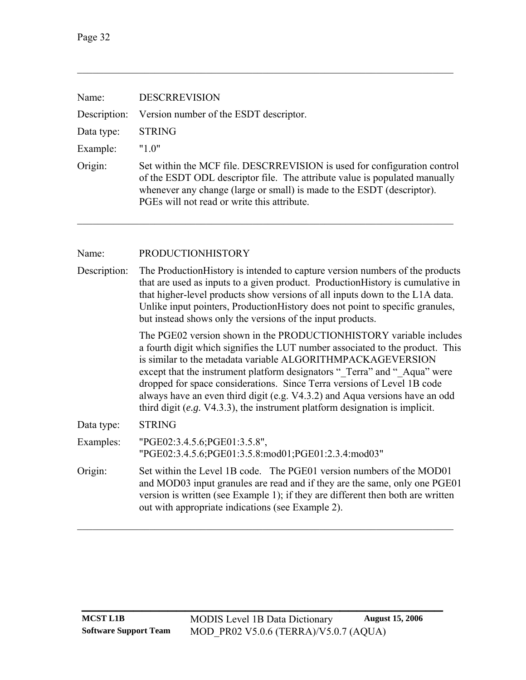| Name:        | <b>DESCRREVISION</b>                                                                                                                                                                                                                                                                                                                                                                                                                                                                                                                        |
|--------------|---------------------------------------------------------------------------------------------------------------------------------------------------------------------------------------------------------------------------------------------------------------------------------------------------------------------------------------------------------------------------------------------------------------------------------------------------------------------------------------------------------------------------------------------|
| Description: | Version number of the ESDT descriptor.                                                                                                                                                                                                                                                                                                                                                                                                                                                                                                      |
| Data type:   | <b>STRING</b>                                                                                                                                                                                                                                                                                                                                                                                                                                                                                                                               |
| Example:     | "1.0"                                                                                                                                                                                                                                                                                                                                                                                                                                                                                                                                       |
| Origin:      | Set within the MCF file. DESCRREVISION is used for configuration control<br>of the ESDT ODL descriptor file. The attribute value is populated manually<br>whenever any change (large or small) is made to the ESDT (descriptor).<br>PGEs will not read or write this attribute.                                                                                                                                                                                                                                                             |
| Name:        | <b>PRODUCTIONHISTORY</b>                                                                                                                                                                                                                                                                                                                                                                                                                                                                                                                    |
| Description: | The Production History is intended to capture version numbers of the products<br>that are used as inputs to a given product. ProductionHistory is cumulative in<br>that higher-level products show versions of all inputs down to the L1A data.<br>Unlike input pointers, ProductionHistory does not point to specific granules,<br>but instead shows only the versions of the input products.                                                                                                                                              |
|              | The PGE02 version shown in the PRODUCTIONHISTORY variable includes<br>a fourth digit which signifies the LUT number associated to the product. This<br>is similar to the metadata variable ALGORITHMPACKAGEVERSION<br>except that the instrument platform designators "_Terra" and " Aqua" were<br>dropped for space considerations. Since Terra versions of Level 1B code<br>always have an even third digit (e.g. V4.3.2) and Aqua versions have an odd<br>third digit (e.g. $V4.3.3$ ), the instrument platform designation is implicit. |
| Data type:   | <b>STRING</b>                                                                                                                                                                                                                                                                                                                                                                                                                                                                                                                               |
| Examples:    | "PGE02:3.4.5.6;PGE01:3.5.8",<br>"PGE02:3.4.5.6;PGE01:3.5.8:mod01;PGE01:2.3.4:mod03"                                                                                                                                                                                                                                                                                                                                                                                                                                                         |
| Origin:      | Set within the Level 1B code. The PGE01 version numbers of the MOD01<br>and MOD03 input granules are read and if they are the same, only one PGE01<br>version is written (see Example 1); if they are different then both are written<br>out with appropriate indications (see Example 2).                                                                                                                                                                                                                                                  |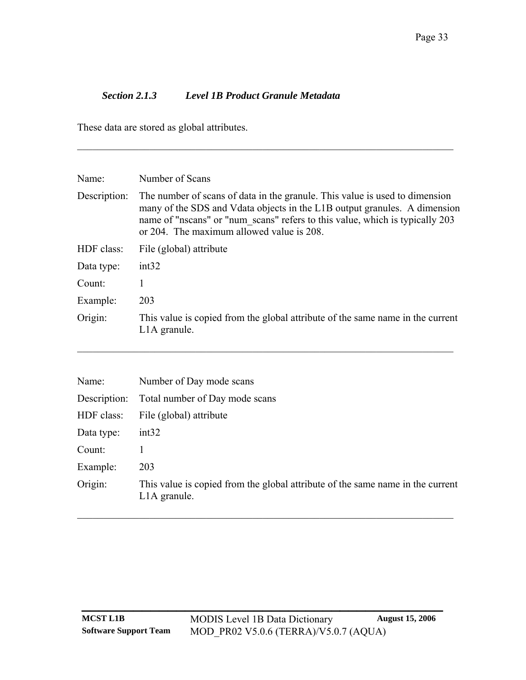## *Section 2.1.3 Level 1B Product Granule Metadata*

These data are stored as global attributes.

| Name:        | Number of Scans                                                                                                                                                                                                                                                                        |
|--------------|----------------------------------------------------------------------------------------------------------------------------------------------------------------------------------------------------------------------------------------------------------------------------------------|
| Description: | The number of scans of data in the granule. This value is used to dimension<br>many of the SDS and V data objects in the L1B output granules. A dimension<br>name of "nscans" or "num scans" refers to this value, which is typically 203<br>or 204. The maximum allowed value is 208. |
| HDF class:   | File (global) attribute                                                                                                                                                                                                                                                                |
| Data type:   | int32                                                                                                                                                                                                                                                                                  |
| Count:       |                                                                                                                                                                                                                                                                                        |
| Example:     | 203                                                                                                                                                                                                                                                                                    |
| Origin:      | This value is copied from the global attribute of the same name in the current<br>L <sub>1</sub> A granule.                                                                                                                                                                            |

| Name:        | Number of Day mode scans                                                                                    |
|--------------|-------------------------------------------------------------------------------------------------------------|
| Description: | Total number of Day mode scans                                                                              |
| HDF class:   | File (global) attribute                                                                                     |
| Data type:   | int32                                                                                                       |
| Count:       |                                                                                                             |
| Example:     | 203                                                                                                         |
| Origin:      | This value is copied from the global attribute of the same name in the current<br>L <sub>1</sub> A granule. |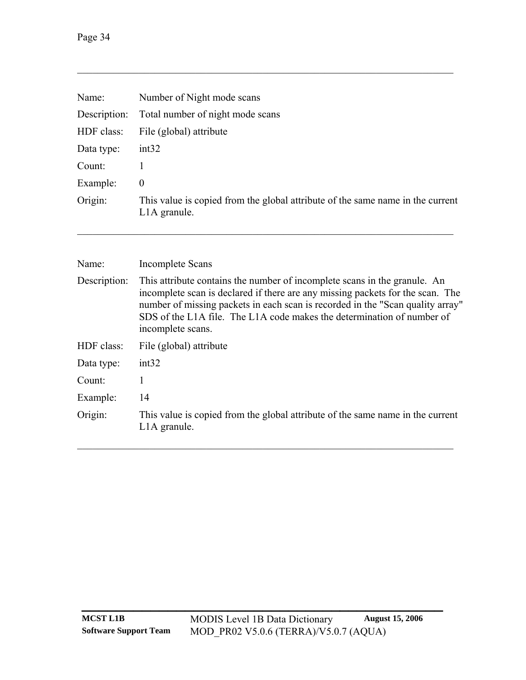| Name:        | Number of Night mode scans                                                                                  |
|--------------|-------------------------------------------------------------------------------------------------------------|
| Description: | Total number of night mode scans                                                                            |
| HDF class:   | File (global) attribute                                                                                     |
| Data type:   | int32                                                                                                       |
| Count:       |                                                                                                             |
| Example:     | $\theta$                                                                                                    |
| Origin:      | This value is copied from the global attribute of the same name in the current<br>L <sub>1</sub> A granule. |
|              |                                                                                                             |

| Name:        | <b>Incomplete Scans</b>                                                                                                                                                                                                                                                                                                                      |
|--------------|----------------------------------------------------------------------------------------------------------------------------------------------------------------------------------------------------------------------------------------------------------------------------------------------------------------------------------------------|
| Description: | This attribute contains the number of incomplete scans in the granule. An<br>incomplete scan is declared if there are any missing packets for the scan. The<br>number of missing packets in each scan is recorded in the "Scan quality array"<br>SDS of the L1A file. The L1A code makes the determination of number of<br>incomplete scans. |
| HDF class:   | File (global) attribute                                                                                                                                                                                                                                                                                                                      |
| Data type:   | int32                                                                                                                                                                                                                                                                                                                                        |
| Count:       | 1                                                                                                                                                                                                                                                                                                                                            |
| Example:     | 14                                                                                                                                                                                                                                                                                                                                           |
| Origin:      | This value is copied from the global attribute of the same name in the current<br>L <sub>1</sub> A granule.                                                                                                                                                                                                                                  |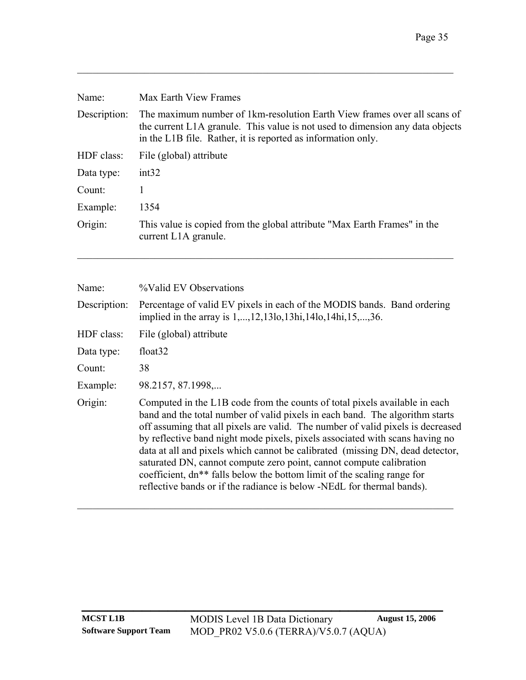| Name:        | Max Earth View Frames                                                                                                                                                                                                     |
|--------------|---------------------------------------------------------------------------------------------------------------------------------------------------------------------------------------------------------------------------|
| Description: | The maximum number of 1km-resolution Earth View frames over all scans of<br>the current L1A granule. This value is not used to dimension any data objects<br>in the L1B file. Rather, it is reported as information only. |
| HDF class:   | File (global) attribute                                                                                                                                                                                                   |
| Data type:   | int32                                                                                                                                                                                                                     |
| Count:       | 1                                                                                                                                                                                                                         |
| Example:     | 1354                                                                                                                                                                                                                      |
| Origin:      | This value is copied from the global attribute "Max Earth Frames" in the<br>current L <sub>1</sub> A granule.                                                                                                             |
| Name:        | <i>%</i> Valid EV Observations                                                                                                                                                                                            |

| Description: Percentage of valid EV pixels in each of the MODIS bands. Band ordering |  |
|--------------------------------------------------------------------------------------|--|
| implied in the array is 1,, 12, 13lo, 13hi, 14lo, 14hi, 15,, 36.                     |  |

| HDF class: | File (global) attribute |  |
|------------|-------------------------|--|
|------------|-------------------------|--|

| float <sub>32</sub><br>Data type: |
|-----------------------------------|
|-----------------------------------|

Count: 38

Example: 98.2157, 87.1998,...

Origin: Computed in the L1B code from the counts of total pixels available in each band and the total number of valid pixels in each band. The algorithm starts off assuming that all pixels are valid. The number of valid pixels is decreased by reflective band night mode pixels, pixels associated with scans having no data at all and pixels which cannot be calibrated (missing DN, dead detector, saturated DN, cannot compute zero point, cannot compute calibration coefficient, dn\*\* falls below the bottom limit of the scaling range for reflective bands or if the radiance is below -NEdL for thermal bands).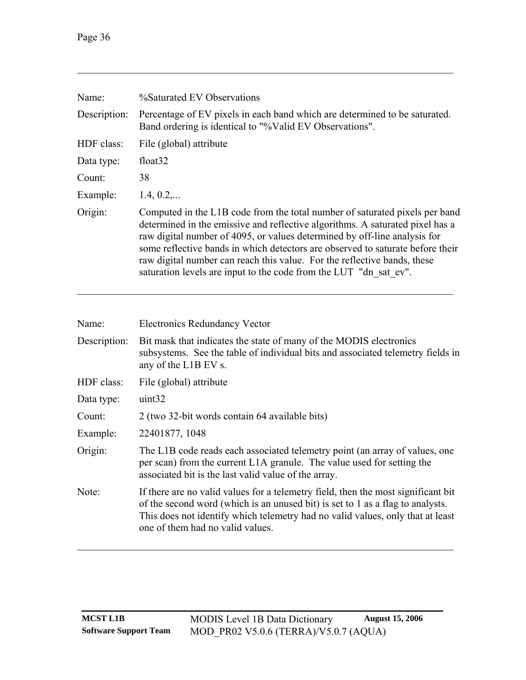| Name:        | %Saturated EV Observations                                                                                                                                                                                                                                                                                                                                                                                                                                                   |
|--------------|------------------------------------------------------------------------------------------------------------------------------------------------------------------------------------------------------------------------------------------------------------------------------------------------------------------------------------------------------------------------------------------------------------------------------------------------------------------------------|
| Description: | Percentage of EV pixels in each band which are determined to be saturated.<br>Band ordering is identical to "%Valid EV Observations".                                                                                                                                                                                                                                                                                                                                        |
| HDF class:   | File (global) attribute                                                                                                                                                                                                                                                                                                                                                                                                                                                      |
| Data type:   | float <sub>32</sub>                                                                                                                                                                                                                                                                                                                                                                                                                                                          |
| Count:       | 38                                                                                                                                                                                                                                                                                                                                                                                                                                                                           |
| Example:     | 1.4, 0.2,                                                                                                                                                                                                                                                                                                                                                                                                                                                                    |
| Origin:      | Computed in the L1B code from the total number of saturated pixels per band<br>determined in the emissive and reflective algorithms. A saturated pixel has a<br>raw digital number of 4095, or values determined by off-line analysis for<br>some reflective bands in which detectors are observed to saturate before their<br>raw digital number can reach this value. For the reflective bands, these<br>saturation levels are input to the code from the LUT "dn sat ev". |

| Name:        | <b>Electronics Redundancy Vector</b>                                                                                                                                                                                                                                                      |
|--------------|-------------------------------------------------------------------------------------------------------------------------------------------------------------------------------------------------------------------------------------------------------------------------------------------|
| Description: | Bit mask that indicates the state of many of the MODIS electronics<br>subsystems. See the table of individual bits and associated telemetry fields in<br>any of the L1B EV s.                                                                                                             |
| HDF class:   | File (global) attribute                                                                                                                                                                                                                                                                   |
| Data type:   | uint32                                                                                                                                                                                                                                                                                    |
| Count:       | 2 (two 32-bit words contain 64 available bits)                                                                                                                                                                                                                                            |
| Example:     | 22401877, 1048                                                                                                                                                                                                                                                                            |
| Origin:      | The L1B code reads each associated telemetry point (an array of values, one<br>per scan) from the current L1A granule. The value used for setting the<br>associated bit is the last valid value of the array.                                                                             |
| Note:        | If there are no valid values for a telemetry field, then the most significant bit<br>of the second word (which is an unused bit) is set to 1 as a flag to analysts.<br>This does not identify which telemetry had no valid values, only that at least<br>one of them had no valid values. |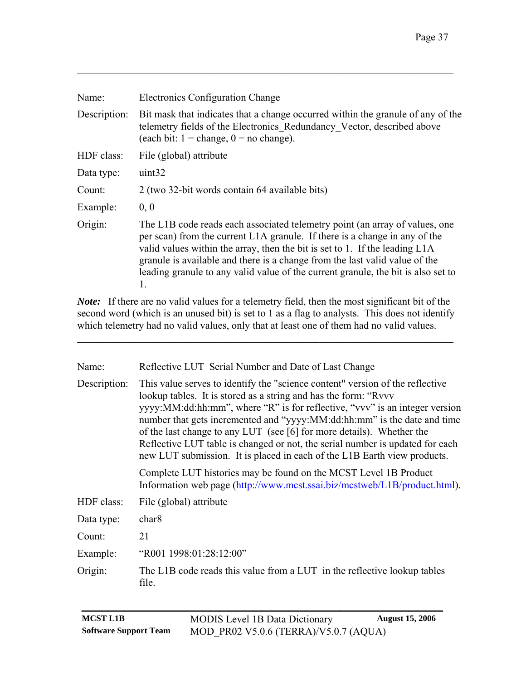| Name:        | <b>Electronics Configuration Change</b>                                                                                                                                                                                                                                                                                                                                                                            |
|--------------|--------------------------------------------------------------------------------------------------------------------------------------------------------------------------------------------------------------------------------------------------------------------------------------------------------------------------------------------------------------------------------------------------------------------|
| Description: | Bit mask that indicates that a change occurred within the granule of any of the<br>telemetry fields of the Electronics Redundancy Vector, described above<br>(each bit: $1 = \text{change}, 0 = \text{no change}$ ).                                                                                                                                                                                               |
| HDF class:   | File (global) attribute                                                                                                                                                                                                                                                                                                                                                                                            |
| Data type:   | uint32                                                                                                                                                                                                                                                                                                                                                                                                             |
| Count:       | 2 (two 32-bit words contain 64 available bits)                                                                                                                                                                                                                                                                                                                                                                     |
| Example:     | 0, 0                                                                                                                                                                                                                                                                                                                                                                                                               |
| Origin:      | The L1B code reads each associated telemetry point (an array of values, one<br>per scan) from the current L1A granule. If there is a change in any of the<br>valid values within the array, then the bit is set to 1. If the leading L1A<br>granule is available and there is a change from the last valid value of the<br>leading granule to any valid value of the current granule, the bit is also set to<br>1. |

*Note:* If there are no valid values for a telemetry field, then the most significant bit of the second word (which is an unused bit) is set to 1 as a flag to analysts. This does not identify which telemetry had no valid values, only that at least one of them had no valid values.

 $\mathcal{L}_\text{max} = \mathcal{L}_\text{max} = \mathcal{L}_\text{max} = \mathcal{L}_\text{max} = \mathcal{L}_\text{max} = \mathcal{L}_\text{max} = \mathcal{L}_\text{max} = \mathcal{L}_\text{max} = \mathcal{L}_\text{max} = \mathcal{L}_\text{max} = \mathcal{L}_\text{max} = \mathcal{L}_\text{max} = \mathcal{L}_\text{max} = \mathcal{L}_\text{max} = \mathcal{L}_\text{max} = \mathcal{L}_\text{max} = \mathcal{L}_\text{max} = \mathcal{L}_\text{max} = \mathcal{$ 

| Name:        | Reflective LUT Serial Number and Date of Last Change                                                                                                                                                                                                                                                                                                                                                                                                                                                                                              |
|--------------|---------------------------------------------------------------------------------------------------------------------------------------------------------------------------------------------------------------------------------------------------------------------------------------------------------------------------------------------------------------------------------------------------------------------------------------------------------------------------------------------------------------------------------------------------|
| Description: | This value serves to identify the "science content" version of the reflective<br>lookup tables. It is stored as a string and has the form: "Rvvv<br>yyyy:MM:dd:hh:mm", where "R" is for reflective, "vvv" is an integer version<br>number that gets incremented and "yyyy:MM:dd:hh:mm" is the date and time<br>of the last change to any LUT (see [6] for more details). Whether the<br>Reflective LUT table is changed or not, the serial number is updated for each<br>new LUT submission. It is placed in each of the L1B Earth view products. |
|              | Complete LUT histories may be found on the MCST Level 1B Product<br>Information web page (http://www.mcst.ssai.biz/mcstweb/L1B/product.html).                                                                                                                                                                                                                                                                                                                                                                                                     |
| HDF class:   | File (global) attribute                                                                                                                                                                                                                                                                                                                                                                                                                                                                                                                           |
| Data type:   | char <sub>8</sub>                                                                                                                                                                                                                                                                                                                                                                                                                                                                                                                                 |
| Count:       | 21                                                                                                                                                                                                                                                                                                                                                                                                                                                                                                                                                |
| Example:     | "R001 1998:01:28:12:00"                                                                                                                                                                                                                                                                                                                                                                                                                                                                                                                           |
| Origin:      | The L1B code reads this value from a LUT in the reflective lookup tables<br>file.                                                                                                                                                                                                                                                                                                                                                                                                                                                                 |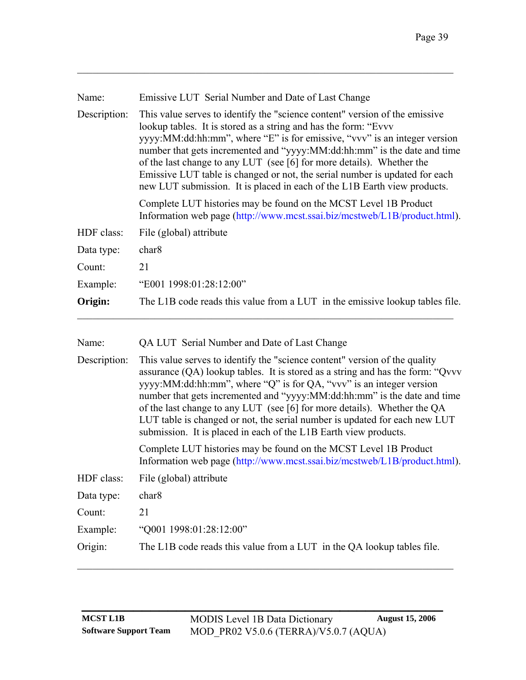| Name:        | Emissive LUT Serial Number and Date of Last Change                                                                                                                                                                                                                                                                                                                                                                                                                                                                                                                                                                  |
|--------------|---------------------------------------------------------------------------------------------------------------------------------------------------------------------------------------------------------------------------------------------------------------------------------------------------------------------------------------------------------------------------------------------------------------------------------------------------------------------------------------------------------------------------------------------------------------------------------------------------------------------|
| Description: | This value serves to identify the "science content" version of the emissive<br>lookup tables. It is stored as a string and has the form: "Evvv<br>yyyy:MM:dd:hh:mm", where "E" is for emissive, "vvv" is an integer version<br>number that gets incremented and "yyyy:MM:dd:hh:mm" is the date and time<br>of the last change to any LUT (see [6] for more details). Whether the<br>Emissive LUT table is changed or not, the serial number is updated for each<br>new LUT submission. It is placed in each of the L1B Earth view products.                                                                         |
|              | Complete LUT histories may be found on the MCST Level 1B Product<br>Information web page (http://www.mcst.ssai.biz/mcstweb/L1B/product.html).                                                                                                                                                                                                                                                                                                                                                                                                                                                                       |
| HDF class:   | File (global) attribute                                                                                                                                                                                                                                                                                                                                                                                                                                                                                                                                                                                             |
| Data type:   | char <sub>8</sub>                                                                                                                                                                                                                                                                                                                                                                                                                                                                                                                                                                                                   |
| Count:       | 21                                                                                                                                                                                                                                                                                                                                                                                                                                                                                                                                                                                                                  |
| Example:     | "E001 1998:01:28:12:00"                                                                                                                                                                                                                                                                                                                                                                                                                                                                                                                                                                                             |
| Origin:      | The L1B code reads this value from a LUT in the emissive lookup tables file.                                                                                                                                                                                                                                                                                                                                                                                                                                                                                                                                        |
| Name:        | QA LUT Serial Number and Date of Last Change                                                                                                                                                                                                                                                                                                                                                                                                                                                                                                                                                                        |
| Description: | This value serves to identify the "science content" version of the quality<br>assurance $(QA)$ lookup tables. It is stored as a string and has the form: "Qvvv<br>yyyy:MM:dd:hh:mm", where "Q" is for QA, "vvv" is an integer version<br>number that gets incremented and "yyyy:MM:dd:hh:mm" is the date and time<br>of the last change to any LUT (see [6] for more details). Whether the QA<br>LUT table is changed or not, the serial number is updated for each new LUT<br>submission. It is placed in each of the L1B Earth view products.<br>Complete LUT histories may be found on the MCST Level 1B Product |
|              | Information web page (http://www.mcst.ssai.biz/mcstweb/L1B/product.html).                                                                                                                                                                                                                                                                                                                                                                                                                                                                                                                                           |

| Data type: | char <sub>8</sub> |
|------------|-------------------|
|------------|-------------------|

Count: 21

Example: "Q001 1998:01:28:12:00" Origin: The L1B code reads this value from a LUT in the QA lookup tables file.

 $\_$  , and the set of the set of the set of the set of the set of the set of the set of the set of the set of the set of the set of the set of the set of the set of the set of the set of the set of the set of the set of th

**\_\_\_\_\_\_\_\_\_\_\_\_\_\_\_\_\_\_\_\_\_\_\_\_\_\_\_\_\_\_\_\_\_\_\_\_\_\_\_\_\_\_**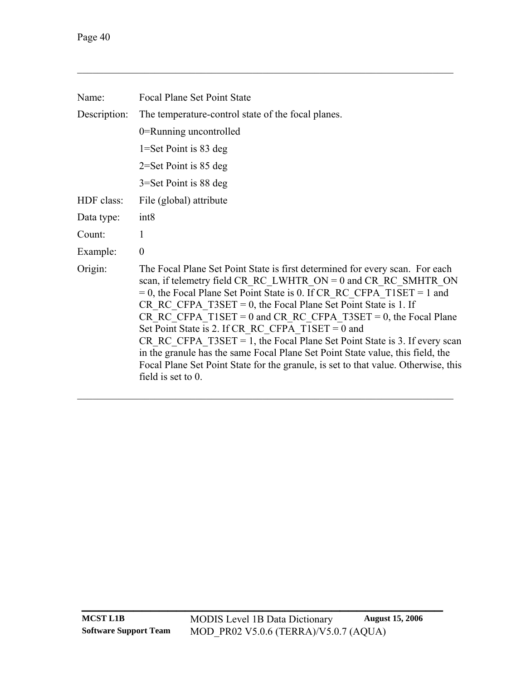| Name:        | <b>Focal Plane Set Point State</b>                                                                                                                                                                                                                                                                                                                                                                                                                                                                                                                                                                                                                                                                           |
|--------------|--------------------------------------------------------------------------------------------------------------------------------------------------------------------------------------------------------------------------------------------------------------------------------------------------------------------------------------------------------------------------------------------------------------------------------------------------------------------------------------------------------------------------------------------------------------------------------------------------------------------------------------------------------------------------------------------------------------|
| Description: | The temperature-control state of the focal planes.                                                                                                                                                                                                                                                                                                                                                                                                                                                                                                                                                                                                                                                           |
|              | 0=Running uncontrolled                                                                                                                                                                                                                                                                                                                                                                                                                                                                                                                                                                                                                                                                                       |
|              | $1 = Set$ Point is 83 deg                                                                                                                                                                                                                                                                                                                                                                                                                                                                                                                                                                                                                                                                                    |
|              | $2=$ Set Point is 85 deg                                                                                                                                                                                                                                                                                                                                                                                                                                                                                                                                                                                                                                                                                     |
|              | $3 = Set$ Point is 88 deg                                                                                                                                                                                                                                                                                                                                                                                                                                                                                                                                                                                                                                                                                    |
| HDF class:   | File (global) attribute                                                                                                                                                                                                                                                                                                                                                                                                                                                                                                                                                                                                                                                                                      |
| Data type:   | int8                                                                                                                                                                                                                                                                                                                                                                                                                                                                                                                                                                                                                                                                                                         |
| Count:       | 1                                                                                                                                                                                                                                                                                                                                                                                                                                                                                                                                                                                                                                                                                                            |
| Example:     | $\theta$                                                                                                                                                                                                                                                                                                                                                                                                                                                                                                                                                                                                                                                                                                     |
| Origin:      | The Focal Plane Set Point State is first determined for every scan. For each<br>scan, if telemetry field CR RC LWHTR ON = $0$ and CR RC SMHTR ON<br>$= 0$ , the Focal Plane Set Point State is 0. If CR RC CFPA T1SET = 1 and<br>CR RC CFPA $T3SET = 0$ , the Focal Plane Set Point State is 1. If<br>CR RC CFPA T1SET = 0 and CR RC CFPA T3SET = 0, the Focal Plane<br>Set Point State is 2. If CR RC CFPA $T1SET = 0$ and<br>CR RC CFPA $T3SET = 1$ , the Focal Plane Set Point State is 3. If every scan<br>in the granule has the same Focal Plane Set Point State value, this field, the<br>Focal Plane Set Point State for the granule, is set to that value. Otherwise, this<br>field is set to $0$ . |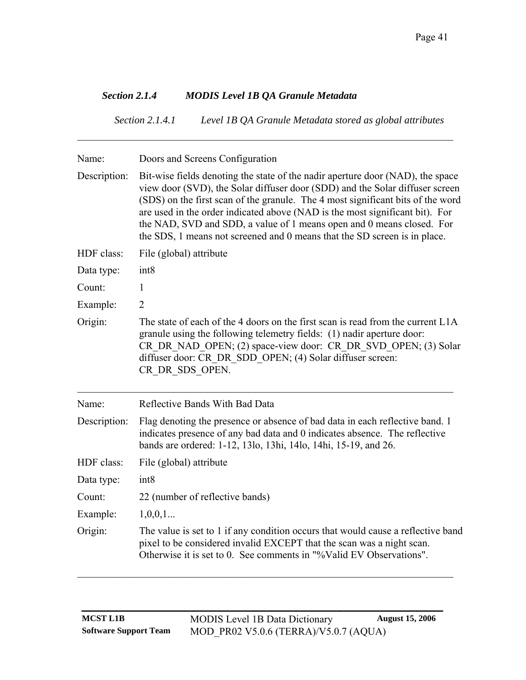## *Section 2.1.4 MODIS Level 1B QA Granule Metadata*

*Section 2.1.4.1 Level 1B QA Granule Metadata stored as global attributes* 

| Name:        | Doors and Screens Configuration                                                                                                                                                                                                                                                                                                                                                                                                                                                         |
|--------------|-----------------------------------------------------------------------------------------------------------------------------------------------------------------------------------------------------------------------------------------------------------------------------------------------------------------------------------------------------------------------------------------------------------------------------------------------------------------------------------------|
| Description: | Bit-wise fields denoting the state of the nadir aperture door (NAD), the space<br>view door (SVD), the Solar diffuser door (SDD) and the Solar diffuser screen<br>(SDS) on the first scan of the granule. The 4 most significant bits of the word<br>are used in the order indicated above (NAD is the most significant bit). For<br>the NAD, SVD and SDD, a value of 1 means open and 0 means closed. For<br>the SDS, 1 means not screened and 0 means that the SD screen is in place. |
| HDF class:   | File (global) attribute                                                                                                                                                                                                                                                                                                                                                                                                                                                                 |
| Data type:   | int8                                                                                                                                                                                                                                                                                                                                                                                                                                                                                    |
| Count:       | 1                                                                                                                                                                                                                                                                                                                                                                                                                                                                                       |
| Example:     | $\overline{2}$                                                                                                                                                                                                                                                                                                                                                                                                                                                                          |
| Origin:      | The state of each of the 4 doors on the first scan is read from the current L1A<br>granule using the following telemetry fields: (1) nadir aperture door:<br>CR DR NAD OPEN; (2) space-view door: CR DR SVD OPEN; (3) Solar<br>diffuser door: CR DR SDD OPEN; (4) Solar diffuser screen:<br>CR DR SDS OPEN.                                                                                                                                                                             |
| Name:        | Reflective Bands With Bad Data                                                                                                                                                                                                                                                                                                                                                                                                                                                          |
| Description: | Flag denoting the presence or absence of bad data in each reflective band. 1<br>indicates presence of any bad data and 0 indicates absence. The reflective<br>bands are ordered: 1-12, 13lo, 13hi, 14lo, 14hi, 15-19, and 26.                                                                                                                                                                                                                                                           |
| HDF class:   | File (global) attribute                                                                                                                                                                                                                                                                                                                                                                                                                                                                 |
| Data type:   | int8                                                                                                                                                                                                                                                                                                                                                                                                                                                                                    |
| Count:       | 22 (number of reflective bands)                                                                                                                                                                                                                                                                                                                                                                                                                                                         |
| Example:     | 1,0,0,1                                                                                                                                                                                                                                                                                                                                                                                                                                                                                 |
| Origin:      | The value is set to 1 if any condition occurs that would cause a reflective band<br>pixel to be considered invalid EXCEPT that the scan was a night scan.<br>Otherwise it is set to 0. See comments in "%Valid EV Observations".                                                                                                                                                                                                                                                        |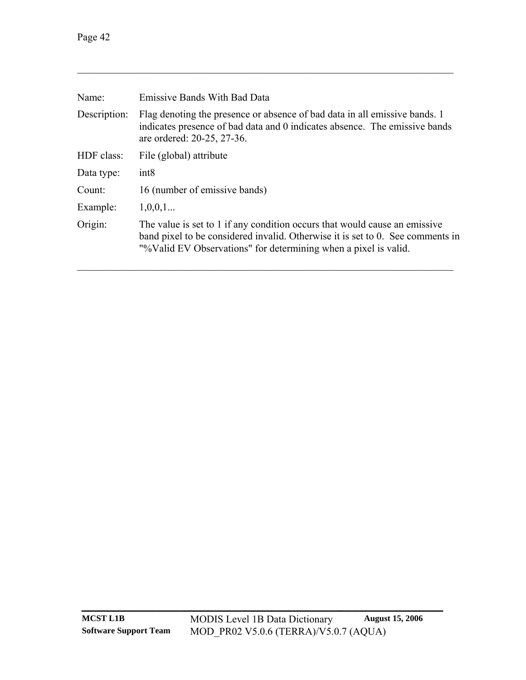| Name:        | <b>Emissive Bands With Bad Data</b>                                                                                                                                                                                             |
|--------------|---------------------------------------------------------------------------------------------------------------------------------------------------------------------------------------------------------------------------------|
| Description: | Flag denoting the presence or absence of bad data in all emissive bands. 1<br>indicates presence of bad data and 0 indicates absence. The emissive bands<br>are ordered: 20-25, 27-36.                                          |
| HDF class:   | File (global) attribute                                                                                                                                                                                                         |
| Data type:   | int8                                                                                                                                                                                                                            |
| Count:       | 16 (number of emissive bands)                                                                                                                                                                                                   |
| Example:     | 1,0,0,1                                                                                                                                                                                                                         |
| Origin:      | The value is set to 1 if any condition occurs that would cause an emissive<br>band pixel to be considered invalid. Otherwise it is set to 0. See comments in<br>"%Valid EV Observations" for determining when a pixel is valid. |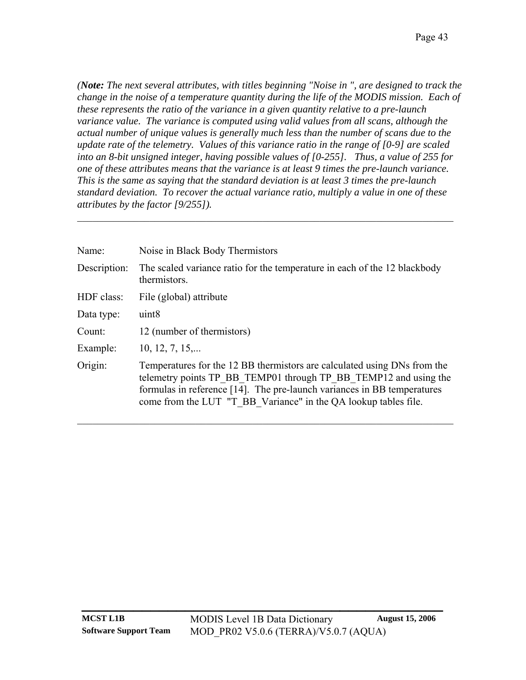*(Note: The next several attributes, with titles beginning "Noise in ", are designed to track the change in the noise of a temperature quantity during the life of the MODIS mission. Each of these represents the ratio of the variance in a given quantity relative to a pre-launch variance value. The variance is computed using valid values from all scans, although the actual number of unique values is generally much less than the number of scans due to the update rate of the telemetry. Values of this variance ratio in the range of [0-9] are scaled into an 8-bit unsigned integer, having possible values of [0-255]. Thus, a value of 255 for one of these attributes means that the variance is at least 9 times the pre-launch variance. This is the same as saying that the standard deviation is at least 3 times the pre-launch standard deviation. To recover the actual variance ratio, multiply a value in one of these attributes by the factor [9/255]).* 

| Name:        | Noise in Black Body Thermistors                                                                                                                                                                                                                                                            |
|--------------|--------------------------------------------------------------------------------------------------------------------------------------------------------------------------------------------------------------------------------------------------------------------------------------------|
| Description: | The scaled variance ratio for the temperature in each of the 12 blackbody<br>thermistors.                                                                                                                                                                                                  |
| HDF class:   | File (global) attribute                                                                                                                                                                                                                                                                    |
| Data type:   | uint <sub>8</sub>                                                                                                                                                                                                                                                                          |
| Count:       | 12 (number of thermistors)                                                                                                                                                                                                                                                                 |
| Example:     | $10, 12, 7, 15, \ldots$                                                                                                                                                                                                                                                                    |
| Origin:      | Temperatures for the 12 BB thermistors are calculated using DNs from the<br>telemetry points TP BB TEMP01 through TP BB TEMP12 and using the<br>formulas in reference [14]. The pre-launch variances in BB temperatures<br>come from the LUT "T BB Variance" in the QA lookup tables file. |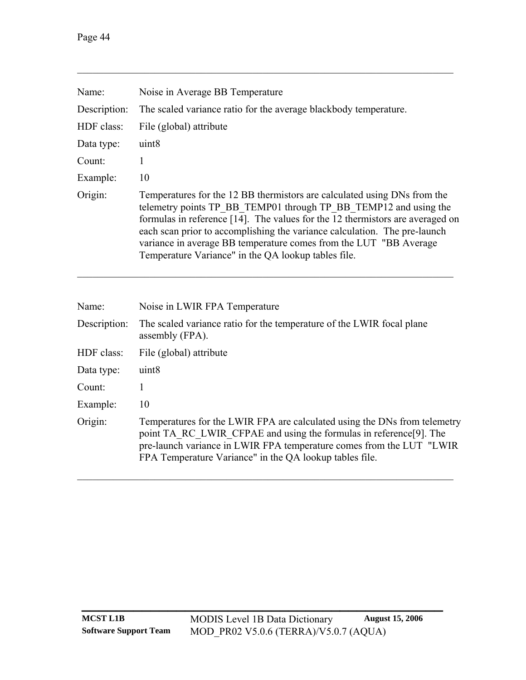| Name:        | Noise in Average BB Temperature                                                                                                                                                                                                                                                                                                                                                                                                        |
|--------------|----------------------------------------------------------------------------------------------------------------------------------------------------------------------------------------------------------------------------------------------------------------------------------------------------------------------------------------------------------------------------------------------------------------------------------------|
| Description: | The scaled variance ratio for the average blackbody temperature.                                                                                                                                                                                                                                                                                                                                                                       |
| HDF class:   | File (global) attribute                                                                                                                                                                                                                                                                                                                                                                                                                |
| Data type:   | uint <sub>8</sub>                                                                                                                                                                                                                                                                                                                                                                                                                      |
| Count:       |                                                                                                                                                                                                                                                                                                                                                                                                                                        |
| Example:     | 10                                                                                                                                                                                                                                                                                                                                                                                                                                     |
| Origin:      | Temperatures for the 12 BB thermistors are calculated using DNs from the<br>telemetry points TP BB TEMP01 through TP BB TEMP12 and using the<br>formulas in reference [14]. The values for the 12 thermistors are averaged on<br>each scan prior to accomplishing the variance calculation. The pre-launch<br>variance in average BB temperature comes from the LUT "BB Average<br>Temperature Variance" in the QA lookup tables file. |

| Name:        | Noise in LWIR FPA Temperature                                                                                                                                                                                                                                                      |
|--------------|------------------------------------------------------------------------------------------------------------------------------------------------------------------------------------------------------------------------------------------------------------------------------------|
| Description: | The scaled variance ratio for the temperature of the LWIR focal plane<br>assembly (FPA).                                                                                                                                                                                           |
| HDF class:   | File (global) attribute                                                                                                                                                                                                                                                            |
| Data type:   | uint <sub>8</sub>                                                                                                                                                                                                                                                                  |
| Count:       |                                                                                                                                                                                                                                                                                    |
| Example:     | 10                                                                                                                                                                                                                                                                                 |
| Origin:      | Temperatures for the LWIR FPA are calculated using the DNs from telemetry<br>point TA RC LWIR CFPAE and using the formulas in reference[9]. The<br>pre-launch variance in LWIR FPA temperature comes from the LUT "LWIR<br>FPA Temperature Variance" in the QA lookup tables file. |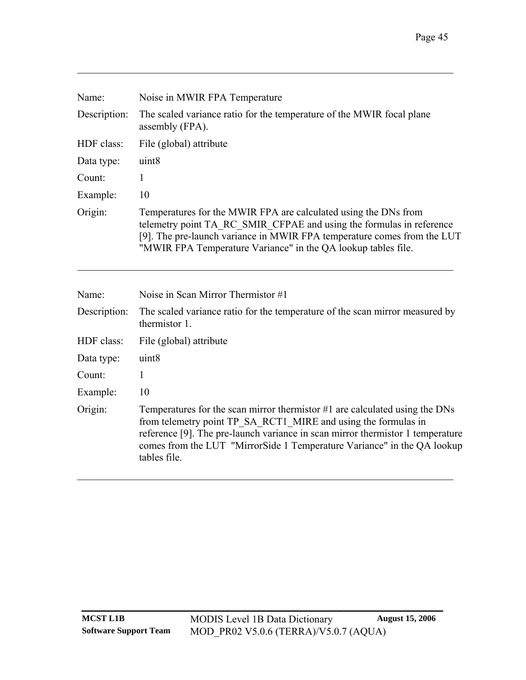| Name:        | Noise in MWIR FPA Temperature                                                                                                                                                                                                                                                       |
|--------------|-------------------------------------------------------------------------------------------------------------------------------------------------------------------------------------------------------------------------------------------------------------------------------------|
| Description: | The scaled variance ratio for the temperature of the MWIR focal plane<br>assembly (FPA).                                                                                                                                                                                            |
| HDF class:   | File (global) attribute                                                                                                                                                                                                                                                             |
| Data type:   | uint <sub>8</sub>                                                                                                                                                                                                                                                                   |
| Count:       | 1                                                                                                                                                                                                                                                                                   |
| Example:     | 10                                                                                                                                                                                                                                                                                  |
| Origin:      | Temperatures for the MWIR FPA are calculated using the DNs from<br>telemetry point TA RC SMIR CFPAE and using the formulas in reference<br>[9]. The pre-launch variance in MWIR FPA temperature comes from the LUT<br>"MWIR FPA Temperature Variance" in the QA lookup tables file. |
| Name:        | Noise in Scan Mirror Thermistor #1                                                                                                                                                                                                                                                  |

| Traine.      | TWO BUT DUALE IVELENCE THUS FOUND THE                                                                                                                                                                                                                                                                                        |
|--------------|------------------------------------------------------------------------------------------------------------------------------------------------------------------------------------------------------------------------------------------------------------------------------------------------------------------------------|
| Description: | The scaled variance ratio for the temperature of the scan mirror measured by<br>thermistor 1.                                                                                                                                                                                                                                |
| HDF class:   | File (global) attribute                                                                                                                                                                                                                                                                                                      |
| Data type:   | uint <sub>8</sub>                                                                                                                                                                                                                                                                                                            |
| Count:       |                                                                                                                                                                                                                                                                                                                              |
| Example:     | 10                                                                                                                                                                                                                                                                                                                           |
| Origin:      | Temperatures for the scan mirror thermistor $#1$ are calculated using the DNs<br>from telemetry point TP SA RCT1 MIRE and using the formulas in<br>reference [9]. The pre-launch variance in scan mirror thermistor 1 temperature<br>comes from the LUT "MirrorSide 1 Temperature Variance" in the QA lookup<br>tables file. |

 $\mathcal{L}_\text{max} = \mathcal{L}_\text{max} = \mathcal{L}_\text{max} = \mathcal{L}_\text{max} = \mathcal{L}_\text{max} = \mathcal{L}_\text{max} = \mathcal{L}_\text{max} = \mathcal{L}_\text{max} = \mathcal{L}_\text{max} = \mathcal{L}_\text{max} = \mathcal{L}_\text{max} = \mathcal{L}_\text{max} = \mathcal{L}_\text{max} = \mathcal{L}_\text{max} = \mathcal{L}_\text{max} = \mathcal{L}_\text{max} = \mathcal{L}_\text{max} = \mathcal{L}_\text{max} = \mathcal{$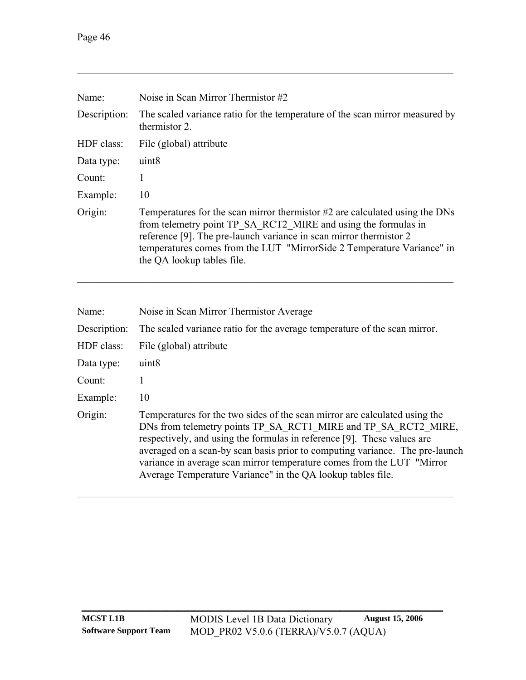| Name:        | Noise in Scan Mirror Thermistor #2                                                                                                                                                                                                                                                                                          |
|--------------|-----------------------------------------------------------------------------------------------------------------------------------------------------------------------------------------------------------------------------------------------------------------------------------------------------------------------------|
| Description: | The scaled variance ratio for the temperature of the scan mirror measured by<br>thermistor 2.                                                                                                                                                                                                                               |
| HDF class:   | File (global) attribute                                                                                                                                                                                                                                                                                                     |
| Data type:   | uint <sub>8</sub>                                                                                                                                                                                                                                                                                                           |
| Count:       | 1                                                                                                                                                                                                                                                                                                                           |
| Example:     | 10                                                                                                                                                                                                                                                                                                                          |
| Origin:      | Temperatures for the scan mirror thermistor #2 are calculated using the DNs<br>from telemetry point TP SA RCT2 MIRE and using the formulas in<br>reference [9]. The pre-launch variance in scan mirror thermistor 2<br>temperatures comes from the LUT "MirrorSide 2 Temperature Variance" in<br>the QA lookup tables file. |

| Name:        | Noise in Scan Mirror Thermistor Average                                                                                                                                                                                                                                                                                                                                                                                                           |
|--------------|---------------------------------------------------------------------------------------------------------------------------------------------------------------------------------------------------------------------------------------------------------------------------------------------------------------------------------------------------------------------------------------------------------------------------------------------------|
| Description: | The scaled variance ratio for the average temperature of the scan mirror.                                                                                                                                                                                                                                                                                                                                                                         |
| HDF class:   | File (global) attribute                                                                                                                                                                                                                                                                                                                                                                                                                           |
| Data type:   | uint <sub>8</sub>                                                                                                                                                                                                                                                                                                                                                                                                                                 |
| Count:       |                                                                                                                                                                                                                                                                                                                                                                                                                                                   |
| Example:     | 10                                                                                                                                                                                                                                                                                                                                                                                                                                                |
| Origin:      | Temperatures for the two sides of the scan mirror are calculated using the<br>DNs from telemetry points TP SA RCT1 MIRE and TP SA RCT2 MIRE,<br>respectively, and using the formulas in reference [9]. These values are<br>averaged on a scan-by scan basis prior to computing variance. The pre-launch<br>variance in average scan mirror temperature comes from the LUT "Mirror"<br>Average Temperature Variance" in the QA lookup tables file. |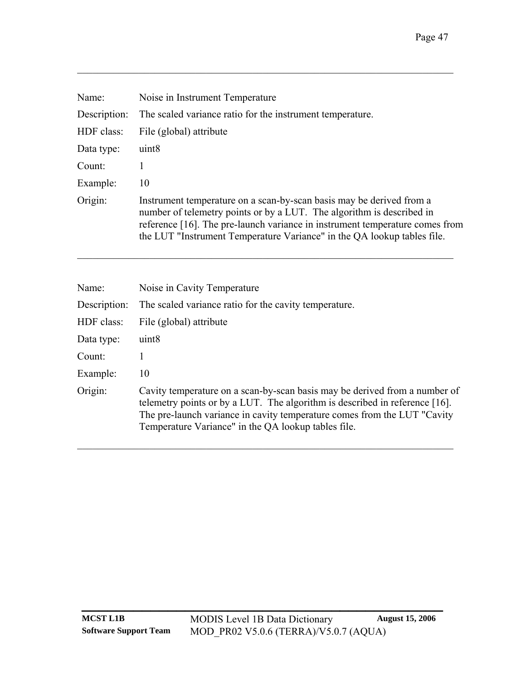| Noise in Instrument Temperature                                                                                                                                                                                                                                                                          |
|----------------------------------------------------------------------------------------------------------------------------------------------------------------------------------------------------------------------------------------------------------------------------------------------------------|
| The scaled variance ratio for the instrument temperature.                                                                                                                                                                                                                                                |
| File (global) attribute                                                                                                                                                                                                                                                                                  |
| uint <sub>8</sub>                                                                                                                                                                                                                                                                                        |
|                                                                                                                                                                                                                                                                                                          |
| 10                                                                                                                                                                                                                                                                                                       |
| Instrument temperature on a scan-by-scan basis may be derived from a<br>number of telemetry points or by a LUT. The algorithm is described in<br>reference [16]. The pre-launch variance in instrument temperature comes from<br>the LUT "Instrument Temperature Variance" in the QA lookup tables file. |
|                                                                                                                                                                                                                                                                                                          |

 $\mathcal{L}_\mathcal{L} = \{ \mathcal{L}_\mathcal{L} = \{ \mathcal{L}_\mathcal{L} = \{ \mathcal{L}_\mathcal{L} = \{ \mathcal{L}_\mathcal{L} = \{ \mathcal{L}_\mathcal{L} = \{ \mathcal{L}_\mathcal{L} = \{ \mathcal{L}_\mathcal{L} = \{ \mathcal{L}_\mathcal{L} = \{ \mathcal{L}_\mathcal{L} = \{ \mathcal{L}_\mathcal{L} = \{ \mathcal{L}_\mathcal{L} = \{ \mathcal{L}_\mathcal{L} = \{ \mathcal{L}_\mathcal{L} = \{ \mathcal{L}_\mathcal{$ 

| Name:        | Noise in Cavity Temperature                                                                                                                                                                                                                                                                   |
|--------------|-----------------------------------------------------------------------------------------------------------------------------------------------------------------------------------------------------------------------------------------------------------------------------------------------|
| Description: | The scaled variance ratio for the cavity temperature.                                                                                                                                                                                                                                         |
| HDF class:   | File (global) attribute                                                                                                                                                                                                                                                                       |
| Data type:   | uint <sub>8</sub>                                                                                                                                                                                                                                                                             |
| Count:       |                                                                                                                                                                                                                                                                                               |
| Example:     | 10                                                                                                                                                                                                                                                                                            |
| Origin:      | Cavity temperature on a scan-by-scan basis may be derived from a number of<br>telemetry points or by a LUT. The algorithm is described in reference [16].<br>The pre-launch variance in cavity temperature comes from the LUT "Cavity"<br>Temperature Variance" in the QA lookup tables file. |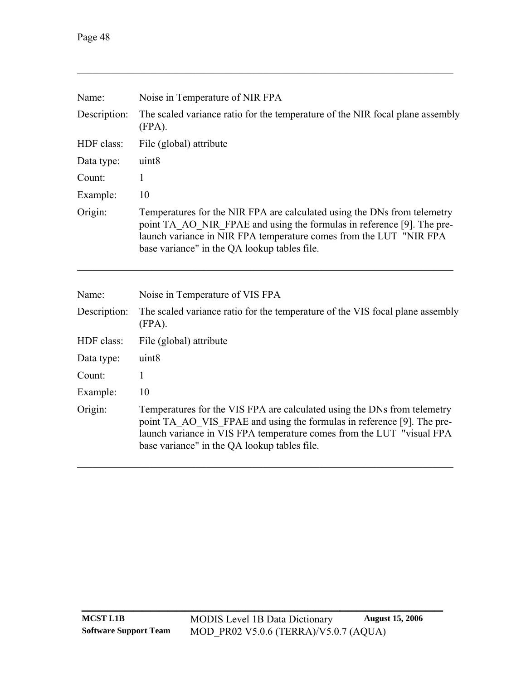| Name:        | Noise in Temperature of NIR FPA                                                                                                                                                                                                                                             |  |
|--------------|-----------------------------------------------------------------------------------------------------------------------------------------------------------------------------------------------------------------------------------------------------------------------------|--|
| Description: | The scaled variance ratio for the temperature of the NIR focal plane assembly<br>$(FPA)$ .                                                                                                                                                                                  |  |
| HDF class:   | File (global) attribute                                                                                                                                                                                                                                                     |  |
| Data type:   | uint8                                                                                                                                                                                                                                                                       |  |
| Count:       | 1                                                                                                                                                                                                                                                                           |  |
| Example:     | 10                                                                                                                                                                                                                                                                          |  |
| Origin:      | Temperatures for the NIR FPA are calculated using the DNs from telemetry<br>point TA AO NIR FPAE and using the formulas in reference [9]. The pre-<br>launch variance in NIR FPA temperature comes from the LUT "NIR FPA<br>base variance" in the QA lookup tables file.    |  |
| Name:        | Noise in Temperature of VIS FPA                                                                                                                                                                                                                                             |  |
| Description: | The scaled variance ratio for the temperature of the VIS focal plane assembly<br>$(FPA)$ .                                                                                                                                                                                  |  |
| HDF class:   | File (global) attribute                                                                                                                                                                                                                                                     |  |
| Data type:   | uint8                                                                                                                                                                                                                                                                       |  |
| Count:       | 1                                                                                                                                                                                                                                                                           |  |
| Example:     | 10                                                                                                                                                                                                                                                                          |  |
| Origin:      | Temperatures for the VIS FPA are calculated using the DNs from telemetry<br>point TA_AO_VIS_FPAE and using the formulas in reference [9]. The pre-<br>launch variance in VIS FPA temperature comes from the LUT "visual FPA<br>base variance" in the QA lookup tables file. |  |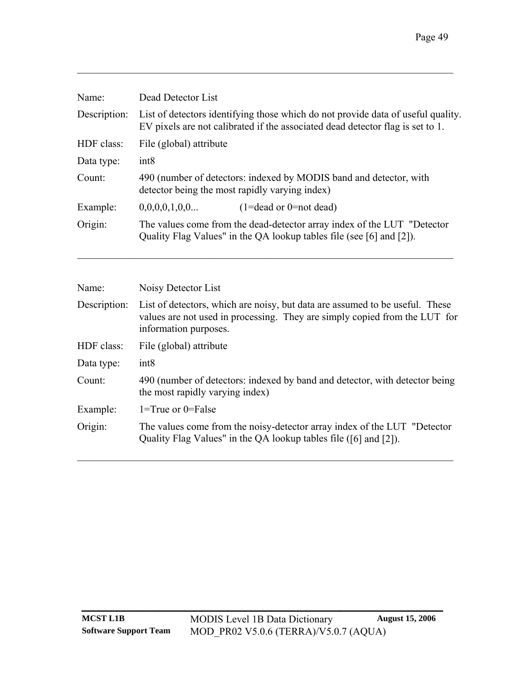| Name:        | Dead Detector List                                                                                                                                                 |  |
|--------------|--------------------------------------------------------------------------------------------------------------------------------------------------------------------|--|
| Description: | List of detectors identifying those which do not provide data of useful quality.<br>EV pixels are not calibrated if the associated dead detector flag is set to 1. |  |
| HDF class:   | File (global) attribute                                                                                                                                            |  |
| Data type:   | int8                                                                                                                                                               |  |
| Count:       | 490 (number of detectors: indexed by MODIS band and detector, with<br>detector being the most rapidly varying index)                                               |  |
| Example:     | 0,0,0,0,1,0,0<br>$(1=dead \text{ or } 0=not dead)$                                                                                                                 |  |
| Origin:      | The values come from the dead-detector array index of the LUT "Detector"<br>Quality Flag Values" in the QA lookup tables file (see [6] and [2]).                   |  |

| Name:        | Noisy Detector List                                                                                                                                                                 |
|--------------|-------------------------------------------------------------------------------------------------------------------------------------------------------------------------------------|
| Description: | List of detectors, which are noisy, but data are assumed to be useful. These<br>values are not used in processing. They are simply copied from the LUT for<br>information purposes. |
| HDF class:   | File (global) attribute                                                                                                                                                             |
| Data type:   | int <sub>8</sub>                                                                                                                                                                    |
| Count:       | 490 (number of detectors: indexed by band and detector, with detector being<br>the most rapidly varying index)                                                                      |
| Example:     | $1 = True$ or $0 = False$                                                                                                                                                           |
| Origin:      | The values come from the noisy-detector array index of the LUT "Detector"<br>Quality Flag Values" in the QA lookup tables file ([6] and [2]).                                       |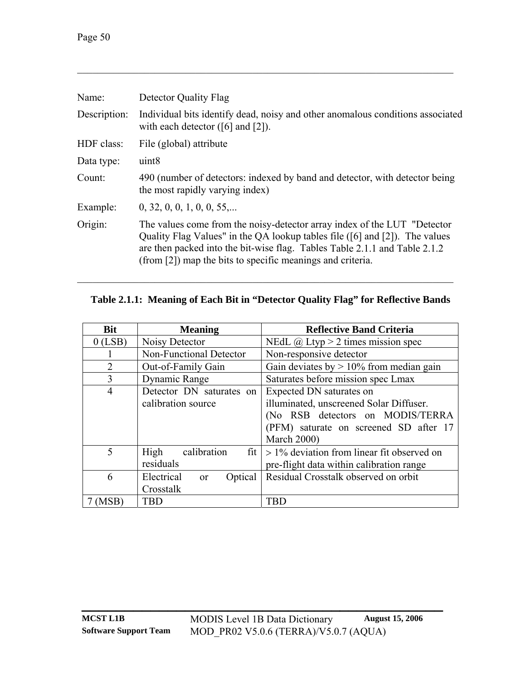| Detector Quality Flag                                                                                                                                                                                                                                                                                |
|------------------------------------------------------------------------------------------------------------------------------------------------------------------------------------------------------------------------------------------------------------------------------------------------------|
| Individual bits identify dead, noisy and other anomalous conditions associated<br>with each detector $([6]$ and $[2]$ ).                                                                                                                                                                             |
| File (global) attribute                                                                                                                                                                                                                                                                              |
| uint <sub>8</sub>                                                                                                                                                                                                                                                                                    |
| 490 (number of detectors: indexed by band and detector, with detector being<br>the most rapidly varying index)                                                                                                                                                                                       |
| 0, 32, 0, 0, 1, 0, 0, 55                                                                                                                                                                                                                                                                             |
| The values come from the noisy-detector array index of the LUT "Detector"<br>Quality Flag Values" in the QA lookup tables file ([6] and [2]). The values<br>are then packed into the bit-wise flag. Tables Table 2.1.1 and Table 2.1.2<br>(from [2]) map the bits to specific meanings and criteria. |
|                                                                                                                                                                                                                                                                                                      |

# **Table 2.1.1: Meaning of Each Bit in "Detector Quality Flag" for Reflective Bands**

<span id="page-53-0"></span> $\mathcal{L}_\mathcal{L} = \{ \mathcal{L}_\mathcal{L} = \{ \mathcal{L}_\mathcal{L} = \{ \mathcal{L}_\mathcal{L} = \{ \mathcal{L}_\mathcal{L} = \{ \mathcal{L}_\mathcal{L} = \{ \mathcal{L}_\mathcal{L} = \{ \mathcal{L}_\mathcal{L} = \{ \mathcal{L}_\mathcal{L} = \{ \mathcal{L}_\mathcal{L} = \{ \mathcal{L}_\mathcal{L} = \{ \mathcal{L}_\mathcal{L} = \{ \mathcal{L}_\mathcal{L} = \{ \mathcal{L}_\mathcal{L} = \{ \mathcal{L}_\mathcal{$ 

| <b>Bit</b>     | <b>Meaning</b>                         | <b>Reflective Band Criteria</b>                        |
|----------------|----------------------------------------|--------------------------------------------------------|
| $0$ (LSB)      | Noisy Detector                         | NEdL $\omega$ Ltyp > 2 times mission spec              |
|                | <b>Non-Functional Detector</b>         | Non-responsive detector                                |
| $\overline{2}$ | Out-of-Family Gain                     | Gain deviates by $> 10\%$ from median gain             |
| 3              | Dynamic Range                          | Saturates before mission spec Lmax                     |
| $\overline{4}$ | Detector DN saturates on               | Expected DN saturates on                               |
|                | calibration source                     | illuminated, unscreened Solar Diffuser.                |
|                |                                        | (No RSB detectors on MODIS/TERRA                       |
|                |                                        | (PFM) saturate on screened SD after 17                 |
|                |                                        | <b>March 2000)</b>                                     |
| 5              | calibration<br>High                    | fit $\vert$ > 1% deviation from linear fit observed on |
|                | residuals                              | pre-flight data within calibration range               |
| 6              | Electrical<br>Optical<br><sub>or</sub> | Residual Crosstalk observed on orbit                   |
|                | Crosstalk                              |                                                        |
| (MSB)          | <b>TBD</b>                             | TBD                                                    |

**\_\_\_\_\_\_\_\_\_\_\_\_\_\_\_\_\_\_\_\_\_\_\_\_\_\_\_\_\_\_\_\_\_\_\_\_\_\_\_\_\_\_**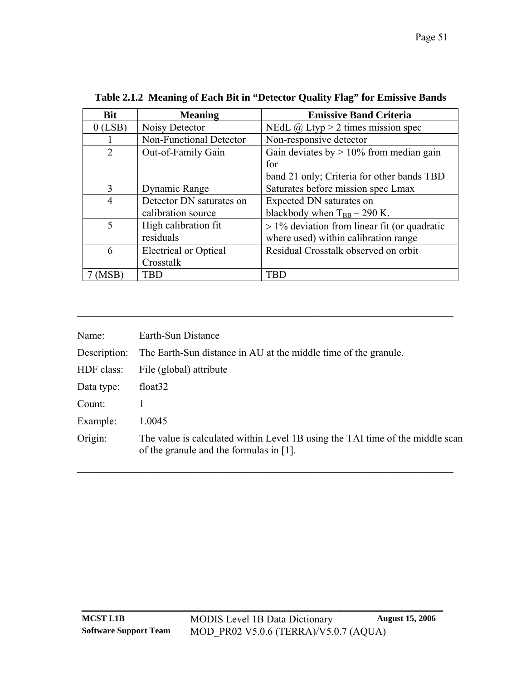<span id="page-54-0"></span>

| <b>Bit</b>     | <b>Meaning</b>               | <b>Emissive Band Criteria</b>                   |
|----------------|------------------------------|-------------------------------------------------|
| $0$ (LSB)      | Noisy Detector               | NEdL $\omega$ Ltyp > 2 times mission spec       |
|                | Non-Functional Detector      | Non-responsive detector                         |
| $\overline{2}$ | Out-of-Family Gain           | Gain deviates by $> 10\%$ from median gain      |
|                |                              | for                                             |
|                |                              | band 21 only; Criteria for other bands TBD      |
| 3              | Dynamic Range                | Saturates before mission spec Lmax              |
| $\overline{4}$ | Detector DN saturates on     | Expected DN saturates on                        |
|                | calibration source           | blackbody when $T_{BB} = 290$ K.                |
| 5              | High calibration fit         | $> 1\%$ deviation from linear fit (or quadratic |
|                | residuals                    | where used) within calibration range            |
| 6              | <b>Electrical or Optical</b> | Residual Crosstalk observed on orbit            |
|                | Crosstalk                    |                                                 |
| MSB            | TBD                          | TBD                                             |

**Table 2.1.2 Meaning of Each Bit in "Detector Quality Flag" for Emissive Bands** 

| Name:        | Earth-Sun Distance                                                                                                       |
|--------------|--------------------------------------------------------------------------------------------------------------------------|
| Description: | The Earth-Sun distance in AU at the middle time of the granule.                                                          |
| HDF class:   | File (global) attribute                                                                                                  |
| Data type:   | float <sub>32</sub>                                                                                                      |
| Count:       |                                                                                                                          |
| Example:     | 1.0045                                                                                                                   |
| Origin:      | The value is calculated within Level 1B using the TAI time of the middle scan<br>of the granule and the formulas in [1]. |

 $\mathcal{L}_\text{max} = \mathcal{L}_\text{max} = \mathcal{L}_\text{max} = \mathcal{L}_\text{max} = \mathcal{L}_\text{max} = \mathcal{L}_\text{max} = \mathcal{L}_\text{max} = \mathcal{L}_\text{max} = \mathcal{L}_\text{max} = \mathcal{L}_\text{max} = \mathcal{L}_\text{max} = \mathcal{L}_\text{max} = \mathcal{L}_\text{max} = \mathcal{L}_\text{max} = \mathcal{L}_\text{max} = \mathcal{L}_\text{max} = \mathcal{L}_\text{max} = \mathcal{L}_\text{max} = \mathcal{$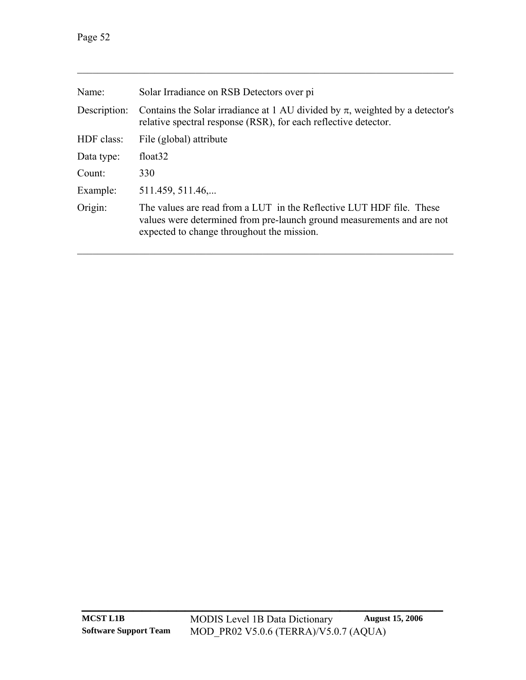| Solar Irradiance on RSB Detectors over pi                                                                                                                                                    |
|----------------------------------------------------------------------------------------------------------------------------------------------------------------------------------------------|
| Contains the Solar irradiance at 1 AU divided by $\pi$ , weighted by a detector's<br>relative spectral response (RSR), for each reflective detector.                                         |
| File (global) attribute                                                                                                                                                                      |
| float <sub>32</sub>                                                                                                                                                                          |
| 330                                                                                                                                                                                          |
| 511.459, 511.46                                                                                                                                                                              |
| The values are read from a LUT in the Reflective LUT HDF file. These<br>values were determined from pre-launch ground measurements and are not<br>expected to change throughout the mission. |
|                                                                                                                                                                                              |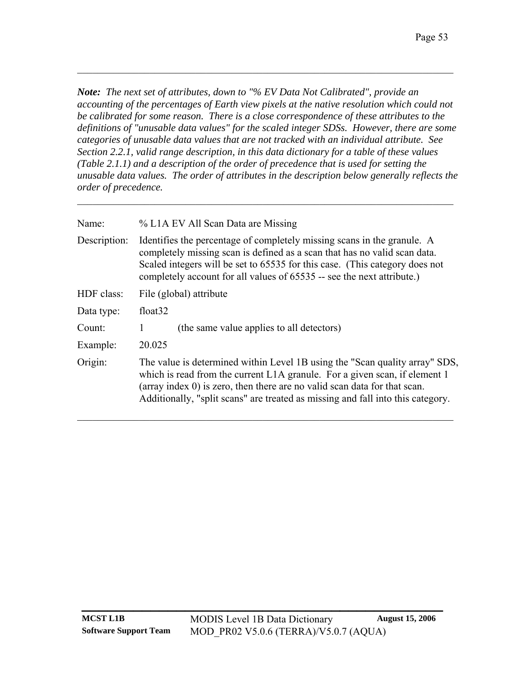*Note: The next set of attributes, down to "% EV Data Not Calibrated", provide an*  accounting of the percentages of Earth view pixels at the native resolution which could not *be calibrated for some reason. There is a close correspondence of these attributes to the definitions of "unusable data values" for the scaled integer SDSs. However, there are some categories of unusable data values that are not tracked with an individual attribute. See [Section 2.2.1](#page-81-0), valid range description, in this data dictionary for a table of these values ([Table 2.1.1](#page-53-0)) and a description of the order of precedence that is used for setting the unusable data values. The order of attributes in the description below generally reflects the order of precedence.* 

 $\mathcal{L}_\text{max} = \mathcal{L}_\text{max} = \mathcal{L}_\text{max} = \mathcal{L}_\text{max} = \mathcal{L}_\text{max} = \mathcal{L}_\text{max} = \mathcal{L}_\text{max} = \mathcal{L}_\text{max} = \mathcal{L}_\text{max} = \mathcal{L}_\text{max} = \mathcal{L}_\text{max} = \mathcal{L}_\text{max} = \mathcal{L}_\text{max} = \mathcal{L}_\text{max} = \mathcal{L}_\text{max} = \mathcal{L}_\text{max} = \mathcal{L}_\text{max} = \mathcal{L}_\text{max} = \mathcal{$ 

| Name:        | % L1A EV All Scan Data are Missing                                                                                                                                                                                                                                                                                           |  |
|--------------|------------------------------------------------------------------------------------------------------------------------------------------------------------------------------------------------------------------------------------------------------------------------------------------------------------------------------|--|
| Description: | Identifies the percentage of completely missing scans in the granule. A<br>completely missing scan is defined as a scan that has no valid scan data.<br>Scaled integers will be set to 65535 for this case. (This category does not<br>completely account for all values of 65535 -- see the next attribute.)                |  |
| HDF class:   | File (global) attribute                                                                                                                                                                                                                                                                                                      |  |
| Data type:   | float <sub>32</sub>                                                                                                                                                                                                                                                                                                          |  |
| Count:       | (the same value applies to all detectors)                                                                                                                                                                                                                                                                                    |  |
| Example:     | 20.025                                                                                                                                                                                                                                                                                                                       |  |
| Origin:      | The value is determined within Level 1B using the "Scan quality array" SDS,<br>which is read from the current L1A granule. For a given scan, if element 1<br>(array index $0$ ) is zero, then there are no valid scan data for that scan.<br>Additionally, "split scans" are treated as missing and fall into this category. |  |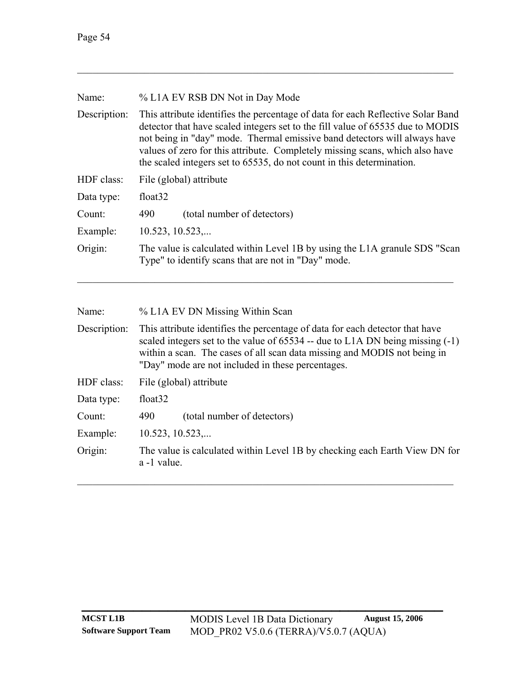| % L1A EV RSB DN Not in Day Mode                                                                                                                                                                                                                                                                                                                                                                         |  |  |
|---------------------------------------------------------------------------------------------------------------------------------------------------------------------------------------------------------------------------------------------------------------------------------------------------------------------------------------------------------------------------------------------------------|--|--|
| This attribute identifies the percentage of data for each Reflective Solar Band<br>detector that have scaled integers set to the fill value of 65535 due to MODIS<br>not being in "day" mode. Thermal emissive band detectors will always have<br>values of zero for this attribute. Completely missing scans, which also have<br>the scaled integers set to 65535, do not count in this determination. |  |  |
| File (global) attribute                                                                                                                                                                                                                                                                                                                                                                                 |  |  |
| float <sub>32</sub>                                                                                                                                                                                                                                                                                                                                                                                     |  |  |
| (total number of detectors)<br>490                                                                                                                                                                                                                                                                                                                                                                      |  |  |
| 10.523, 10.523,                                                                                                                                                                                                                                                                                                                                                                                         |  |  |
| The value is calculated within Level 1B by using the L1A granule SDS "Scan<br>Type" to identify scans that are not in "Day" mode.                                                                                                                                                                                                                                                                       |  |  |
|                                                                                                                                                                                                                                                                                                                                                                                                         |  |  |

| % L1A EV DN Missing Within Scan                                                                                                                                                                                                                                                                    |  |  |
|----------------------------------------------------------------------------------------------------------------------------------------------------------------------------------------------------------------------------------------------------------------------------------------------------|--|--|
| This attribute identifies the percentage of data for each detector that have<br>scaled integers set to the value of $65534$ -- due to L1A DN being missing $(-1)$<br>within a scan. The cases of all scan data missing and MODIS not being in<br>"Day" mode are not included in these percentages. |  |  |
| File (global) attribute                                                                                                                                                                                                                                                                            |  |  |
| float <sub>32</sub>                                                                                                                                                                                                                                                                                |  |  |
| (total number of detectors)<br>490                                                                                                                                                                                                                                                                 |  |  |
| $10.523$ , $10.523$ ,                                                                                                                                                                                                                                                                              |  |  |
| The value is calculated within Level 1B by checking each Earth View DN for<br>a -1 value.                                                                                                                                                                                                          |  |  |
|                                                                                                                                                                                                                                                                                                    |  |  |

 $\mathcal{L}_\text{max} = \mathcal{L}_\text{max} = \mathcal{L}_\text{max} = \mathcal{L}_\text{max} = \mathcal{L}_\text{max} = \mathcal{L}_\text{max} = \mathcal{L}_\text{max} = \mathcal{L}_\text{max} = \mathcal{L}_\text{max} = \mathcal{L}_\text{max} = \mathcal{L}_\text{max} = \mathcal{L}_\text{max} = \mathcal{L}_\text{max} = \mathcal{L}_\text{max} = \mathcal{L}_\text{max} = \mathcal{L}_\text{max} = \mathcal{L}_\text{max} = \mathcal{L}_\text{max} = \mathcal{$ 

**\_\_\_\_\_\_\_\_\_\_\_\_\_\_\_\_\_\_\_\_\_\_\_\_\_\_\_\_\_\_\_\_\_\_\_\_\_\_\_\_\_\_**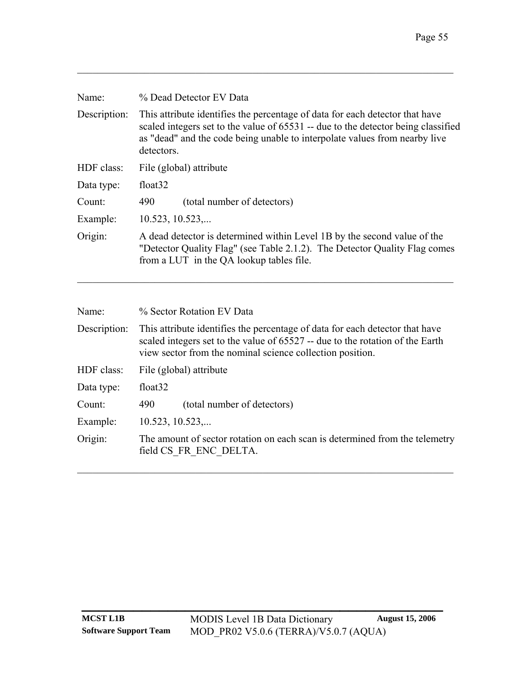| Name:        | % Dead Detector EV Data                                                                                                                                                                                                                                       |  |  |
|--------------|---------------------------------------------------------------------------------------------------------------------------------------------------------------------------------------------------------------------------------------------------------------|--|--|
| Description: | This attribute identifies the percentage of data for each detector that have<br>scaled integers set to the value of 65531 -- due to the detector being classified<br>as "dead" and the code being unable to interpolate values from nearby live<br>detectors. |  |  |
| HDF class:   | File (global) attribute                                                                                                                                                                                                                                       |  |  |
| Data type:   | float <sub>32</sub>                                                                                                                                                                                                                                           |  |  |
| Count:       | (total number of detectors)<br>490                                                                                                                                                                                                                            |  |  |
| Example:     | $10.523$ , $10.523$ ,                                                                                                                                                                                                                                         |  |  |
| Origin:      | A dead detector is determined within Level 1B by the second value of the<br>"Detector Quality Flag" (see Table 2.1.2). The Detector Quality Flag comes<br>from a LUT in the QA lookup tables file.                                                            |  |  |

| % Sector Rotation EV Data                                                                                                                                                                                                  |  |  |
|----------------------------------------------------------------------------------------------------------------------------------------------------------------------------------------------------------------------------|--|--|
| This attribute identifies the percentage of data for each detector that have<br>scaled integers set to the value of 65527 -- due to the rotation of the Earth<br>view sector from the nominal science collection position. |  |  |
| File (global) attribute                                                                                                                                                                                                    |  |  |
| float <sub>32</sub>                                                                                                                                                                                                        |  |  |
| (total number of detectors)<br>490                                                                                                                                                                                         |  |  |
| $10.523$ , $10.523$ ,                                                                                                                                                                                                      |  |  |
| The amount of sector rotation on each scan is determined from the telemetry<br>field CS FR ENC DELTA.                                                                                                                      |  |  |
|                                                                                                                                                                                                                            |  |  |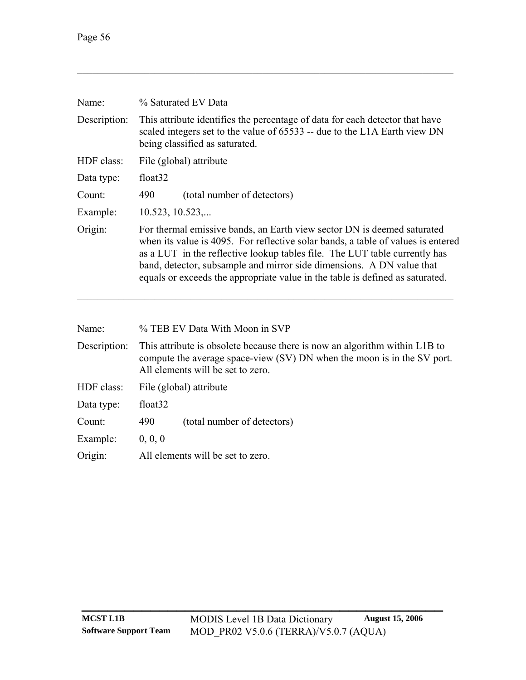| Name:        | % Saturated EV Data                                                                                                                                                                                                                                                                                                                                                                                 |  |  |
|--------------|-----------------------------------------------------------------------------------------------------------------------------------------------------------------------------------------------------------------------------------------------------------------------------------------------------------------------------------------------------------------------------------------------------|--|--|
| Description: | This attribute identifies the percentage of data for each detector that have<br>scaled integers set to the value of 65533 -- due to the L1A Earth view DN<br>being classified as saturated.                                                                                                                                                                                                         |  |  |
| HDF class:   | File (global) attribute                                                                                                                                                                                                                                                                                                                                                                             |  |  |
| Data type:   | float <sub>32</sub>                                                                                                                                                                                                                                                                                                                                                                                 |  |  |
| Count:       | 490<br>(total number of detectors)                                                                                                                                                                                                                                                                                                                                                                  |  |  |
| Example:     | 10.523, 10.523,                                                                                                                                                                                                                                                                                                                                                                                     |  |  |
| Origin:      | For thermal emissive bands, an Earth view sector DN is deemed saturated<br>when its value is 4095. For reflective solar bands, a table of values is entered<br>as a LUT in the reflective lookup tables file. The LUT table currently has<br>band, detector, subsample and mirror side dimensions. A DN value that<br>equals or exceeds the appropriate value in the table is defined as saturated. |  |  |
| Name:        | % TEB EV Data With Moon in SVP                                                                                                                                                                                                                                                                                                                                                                      |  |  |
| Description: | This attribute is obsolete because there is now an algorithm within L1B to<br>$\mathbf{C}$ . The same of $\mathbf{C}$ is $\mathbf{C}$ in $\mathbf{C}$ in $\mathbf{C}$ in $\mathbf{C}$ in $\mathbf{C}$ in $\mathbf{C}$ is the same of $\mathbf{C}$ in $\mathbf{C}$ is the same of $\mathbf{C}$ in $\mathbf{C}$ is the same of $\mathbf{C}$ is the same of $\mathbf{C$                                |  |  |

| DUSUIDUUIL | THIS attribute is obsolete because there is now an argumning whilm ETD to<br>compute the average space-view (SV) DN when the moon is in the SV port.<br>All elements will be set to zero. |                             |  |
|------------|-------------------------------------------------------------------------------------------------------------------------------------------------------------------------------------------|-----------------------------|--|
|            | HDF class: File (global) attribute                                                                                                                                                        |                             |  |
| Data type: | float <sub>32</sub>                                                                                                                                                                       |                             |  |
| Count:     | 490                                                                                                                                                                                       | (total number of detectors) |  |

 $\mathcal{L}_\mathcal{L} = \{ \mathcal{L}_\mathcal{L} = \{ \mathcal{L}_\mathcal{L} = \{ \mathcal{L}_\mathcal{L} = \{ \mathcal{L}_\mathcal{L} = \{ \mathcal{L}_\mathcal{L} = \{ \mathcal{L}_\mathcal{L} = \{ \mathcal{L}_\mathcal{L} = \{ \mathcal{L}_\mathcal{L} = \{ \mathcal{L}_\mathcal{L} = \{ \mathcal{L}_\mathcal{L} = \{ \mathcal{L}_\mathcal{L} = \{ \mathcal{L}_\mathcal{L} = \{ \mathcal{L}_\mathcal{L} = \{ \mathcal{L}_\mathcal{$ 

Example:  $0, 0, 0$ 

Origin: All elements will be set to zero.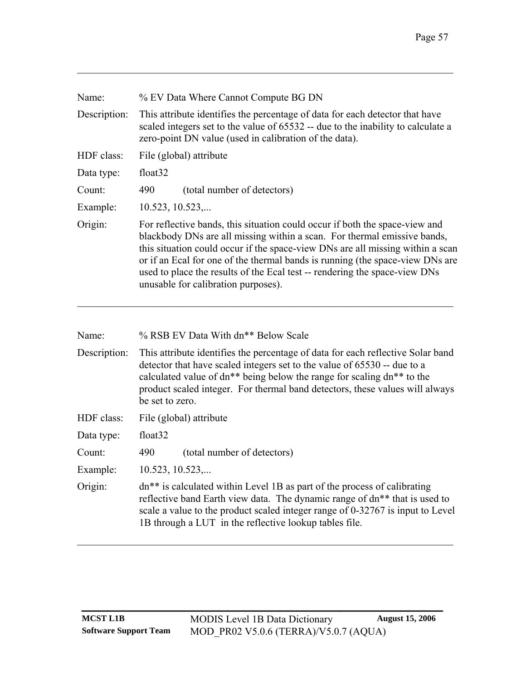| Name:        | % EV Data Where Cannot Compute BG DN                                                                                                                                                                                                                                                                                                                                                                                                            |  |  |
|--------------|-------------------------------------------------------------------------------------------------------------------------------------------------------------------------------------------------------------------------------------------------------------------------------------------------------------------------------------------------------------------------------------------------------------------------------------------------|--|--|
| Description: | This attribute identifies the percentage of data for each detector that have<br>scaled integers set to the value of 65532 -- due to the inability to calculate a<br>zero-point DN value (used in calibration of the data).                                                                                                                                                                                                                      |  |  |
| HDF class:   | File (global) attribute                                                                                                                                                                                                                                                                                                                                                                                                                         |  |  |
| Data type:   | float <sub>32</sub>                                                                                                                                                                                                                                                                                                                                                                                                                             |  |  |
| Count:       | (total number of detectors)<br>490                                                                                                                                                                                                                                                                                                                                                                                                              |  |  |
| Example:     | $10.523$ , $10.523$ ,                                                                                                                                                                                                                                                                                                                                                                                                                           |  |  |
| Origin:      | For reflective bands, this situation could occur if both the space-view and<br>blackbody DNs are all missing within a scan. For thermal emissive bands,<br>this situation could occur if the space-view DNs are all missing within a scan<br>or if an Ecal for one of the thermal bands is running (the space-view DNs are<br>used to place the results of the Ecal test -- rendering the space-view DNs<br>unusable for calibration purposes). |  |  |

| Name: | % RSB EV Data With dn <sup>**</sup> Below Scale                                                                                                                          |
|-------|--------------------------------------------------------------------------------------------------------------------------------------------------------------------------|
|       | Description: This attribute identifies the percentage of data for each reflective Solar band<br>detector that have scaled integers set to the value of 65530 -- due to a |
|       | calculated value of $\frac{dn**}{m}$ being below the range for scaling $\frac{dn**}{m}$ to the                                                                           |

| calculated value of $dn^{**}$ being below the range for scaling $dn^{**}$ to the |  |  |
|----------------------------------------------------------------------------------|--|--|
| product scaled integer. For thermal band detectors, these values will always     |  |  |
| be set to zero.                                                                  |  |  |

- HDF class: File (global) attribute
- Data type: float32
- Count: 490 (total number of detectors)
- Example: 10.523, 10.523,...
- Origin: dn\*\* is calculated within Level 1B as part of the process of calibrating reflective band Earth view data. The dynamic range of dn\*\* that is used to scale a value to the product scaled integer range of 0-32767 is input to Level 1B through a LUT in the reflective lookup tables file.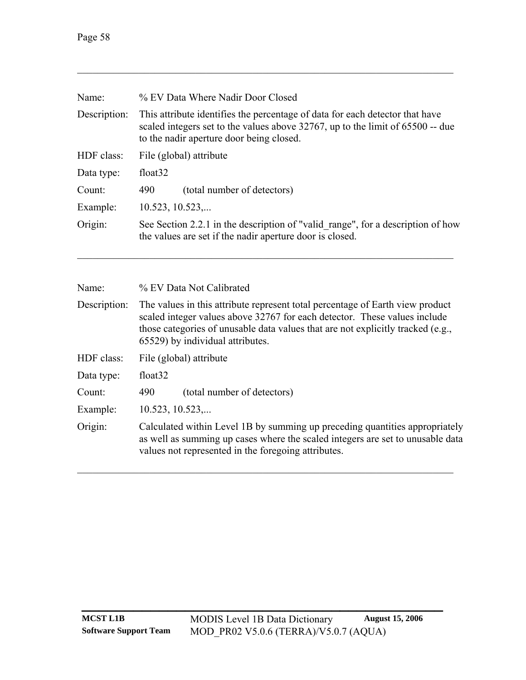| Name:        | % EV Data Where Nadir Door Closed                                                                                                                                                                               |  |  |
|--------------|-----------------------------------------------------------------------------------------------------------------------------------------------------------------------------------------------------------------|--|--|
| Description: | This attribute identifies the percentage of data for each detector that have<br>scaled integers set to the values above $32767$ , up to the limit of $65500$ -- due<br>to the nadir aperture door being closed. |  |  |
| HDF class:   | File (global) attribute                                                                                                                                                                                         |  |  |
| Data type:   | float <sub>32</sub>                                                                                                                                                                                             |  |  |
| Count:       | (total number of detectors)<br>490                                                                                                                                                                              |  |  |
| Example:     | $10.523$ , $10.523$ ,                                                                                                                                                                                           |  |  |
| Origin:      | See Section 2.2.1 in the description of "valid range", for a description of how<br>the values are set if the nadir aperture door is closed.                                                                     |  |  |

| Name:        | % EV Data Not Calibrated                                                                                                                                                                                                                                                          |  |  |
|--------------|-----------------------------------------------------------------------------------------------------------------------------------------------------------------------------------------------------------------------------------------------------------------------------------|--|--|
| Description: | The values in this attribute represent total percentage of Earth view product<br>scaled integer values above 32767 for each detector. These values include<br>those categories of unusable data values that are not explicitly tracked (e.g.,<br>65529) by individual attributes. |  |  |
| HDF class:   | File (global) attribute                                                                                                                                                                                                                                                           |  |  |
| Data type:   | float <sub>32</sub>                                                                                                                                                                                                                                                               |  |  |
| Count:       | 490<br>(total number of detectors)                                                                                                                                                                                                                                                |  |  |
| Example:     | 10.523, 10.523,                                                                                                                                                                                                                                                                   |  |  |
| Origin:      | Calculated within Level 1B by summing up preceding quantities appropriately<br>as well as summing up cases where the scaled integers are set to unusable data<br>values not represented in the foregoing attributes.                                                              |  |  |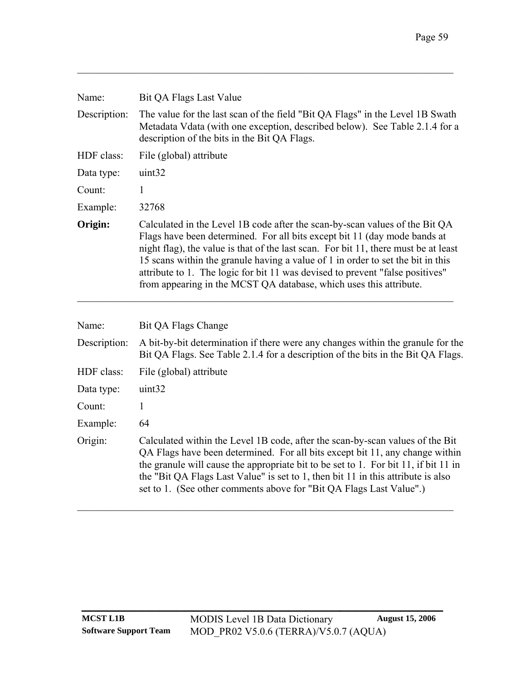| Name:        | Bit QA Flags Last Value                                                                                                                                                                                                                                                                                                                                                                                                                                                                   |  |
|--------------|-------------------------------------------------------------------------------------------------------------------------------------------------------------------------------------------------------------------------------------------------------------------------------------------------------------------------------------------------------------------------------------------------------------------------------------------------------------------------------------------|--|
| Description: | The value for the last scan of the field "Bit QA Flags" in the Level 1B Swath<br>Metadata Vdata (with one exception, described below). See Table 2.1.4 for a<br>description of the bits in the Bit QA Flags.                                                                                                                                                                                                                                                                              |  |
| HDF class:   | File (global) attribute                                                                                                                                                                                                                                                                                                                                                                                                                                                                   |  |
| Data type:   | uint32                                                                                                                                                                                                                                                                                                                                                                                                                                                                                    |  |
| Count:       | 1                                                                                                                                                                                                                                                                                                                                                                                                                                                                                         |  |
| Example:     | 32768                                                                                                                                                                                                                                                                                                                                                                                                                                                                                     |  |
| Origin:      | Calculated in the Level 1B code after the scan-by-scan values of the Bit QA<br>Flags have been determined. For all bits except bit 11 (day mode bands at<br>night flag), the value is that of the last scan. For bit 11, there must be at least<br>15 scans within the granule having a value of 1 in order to set the bit in this<br>attribute to 1. The logic for bit 11 was devised to prevent "false positives"<br>from appearing in the MCST QA database, which uses this attribute. |  |
| Name:        | Bit QA Flags Change                                                                                                                                                                                                                                                                                                                                                                                                                                                                       |  |
| Description: | A bit-by-bit determination if there were any changes within the granule for the<br>Bit QA Flags. See Table 2.1.4 for a description of the bits in the Bit QA Flags.                                                                                                                                                                                                                                                                                                                       |  |
| HDF class:   | File (global) attribute                                                                                                                                                                                                                                                                                                                                                                                                                                                                   |  |
| Data type:   | uint32                                                                                                                                                                                                                                                                                                                                                                                                                                                                                    |  |
| Count:       | $\mathbf{1}$                                                                                                                                                                                                                                                                                                                                                                                                                                                                              |  |
| Example:     | 64                                                                                                                                                                                                                                                                                                                                                                                                                                                                                        |  |
| Origin:      | Calculated within the Level 1B code, after the scan-by-scan values of the Bit<br>QA Flags have been determined. For all bits except bit 11, any change within<br>the granule will cause the appropriate bit to be set to 1. For bit 11, if bit 11 in<br>the "Bit QA Flags Last Value" is set to 1, then bit 11 in this attribute is also<br>set to 1. (See other comments above for "Bit QA Flags Last Value".)                                                                           |  |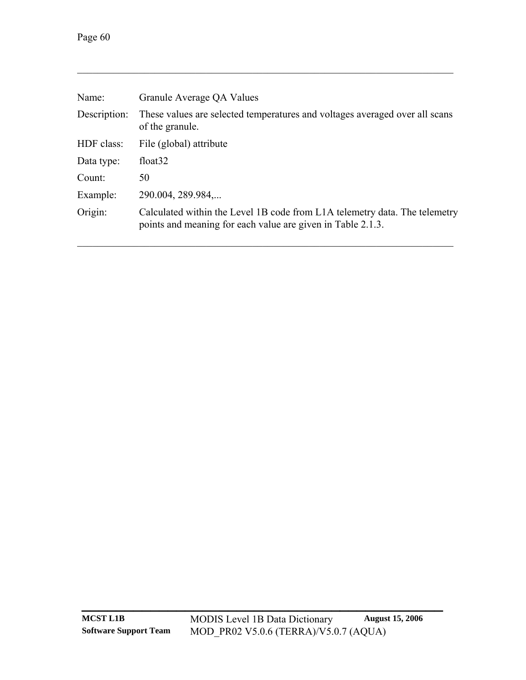| Name:        | Granule Average QA Values                                                                                                                 |
|--------------|-------------------------------------------------------------------------------------------------------------------------------------------|
| Description: | These values are selected temperatures and voltages averaged over all scans<br>of the granule.                                            |
| HDF class:   | File (global) attribute                                                                                                                   |
| Data type:   | float <sub>32</sub>                                                                                                                       |
| Count:       | 50                                                                                                                                        |
| Example:     | 290.004, 289.984,                                                                                                                         |
| Origin:      | Calculated within the Level 1B code from L1A telemetry data. The telemetry<br>points and meaning for each value are given in Table 2.1.3. |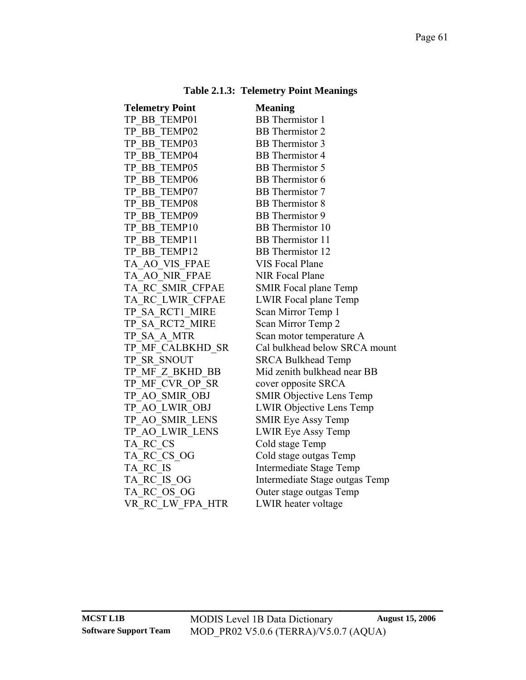|  |  | <b>Table 2.1.3: Telemetry Point Meanings</b> |
|--|--|----------------------------------------------|
|--|--|----------------------------------------------|

<span id="page-64-0"></span>

| <b>Telemetry Point</b> | <b>Meaning</b>                  |
|------------------------|---------------------------------|
| TP BB TEMP01           | <b>BB</b> Thermistor 1          |
| TP_BB_TEMP02           | <b>BB</b> Thermistor 2          |
| TP_BB_TEMP03           | <b>BB</b> Thermistor 3          |
| TP BB TEMP04           | <b>BB</b> Thermistor 4          |
| TP BB TEMP05           | <b>BB</b> Thermistor 5          |
| TP BB TEMP06           | <b>BB</b> Thermistor 6          |
| TP BB TEMP07           | <b>BB</b> Thermistor 7          |
| TP BB TEMP08           | <b>BB</b> Thermistor 8          |
| TP_BB_TEMP09           | <b>BB</b> Thermistor 9          |
| TP BB TEMP10           | BB Thermistor 10                |
| TP BB TEMP11           | <b>BB</b> Thermistor 11         |
| TP BB TEMP12           | <b>BB</b> Thermistor 12         |
| TA AO VIS FPAE         | <b>VIS Focal Plane</b>          |
| TA AO NIR FPAE         | <b>NIR Focal Plane</b>          |
| TA RC SMIR_CFPAE       | <b>SMIR Focal plane Temp</b>    |
| TA_RC_LWIR_CFPAE       | LWIR Focal plane Temp           |
| TP SA RCT1 MIRE        | Scan Mirror Temp 1              |
| TP SA RCT2 MIRE        | Scan Mirror Temp 2              |
| TP SA A MTR            | Scan motor temperature A        |
| TP MF CALBKHD SR       | Cal bulkhead below SRCA mount   |
| TP SR SNOUT            | <b>SRCA Bulkhead Temp</b>       |
| TP_MF_Z_BKHD_BB        | Mid zenith bulkhead near BB     |
| TP_MF_CVR_OP_SR        | cover opposite SRCA             |
| TP AO SMIR OBJ         | <b>SMIR Objective Lens Temp</b> |
| TP AO LWIR OBJ         | <b>LWIR Objective Lens Temp</b> |
| TP AO SMIR LENS        | <b>SMIR Eye Assy Temp</b>       |
| TP AO LWIR LENS        | <b>LWIR Eye Assy Temp</b>       |
| TA RC CS               | Cold stage Temp                 |
| TA_RC_CS_OG            | Cold stage outgas Temp          |
| TA_RC_IS               | <b>Intermediate Stage Temp</b>  |
| TA RC IS OG            | Intermediate Stage outgas Temp  |
| TA RC OS OG            | Outer stage outgas Temp         |
| VR RC LW FPA HTR       | LWIR heater voltage             |
|                        |                                 |

**\_\_\_\_\_\_\_\_\_\_\_\_\_\_\_\_\_\_\_\_\_\_\_\_\_\_\_\_\_\_\_\_\_\_\_\_\_\_\_\_\_\_**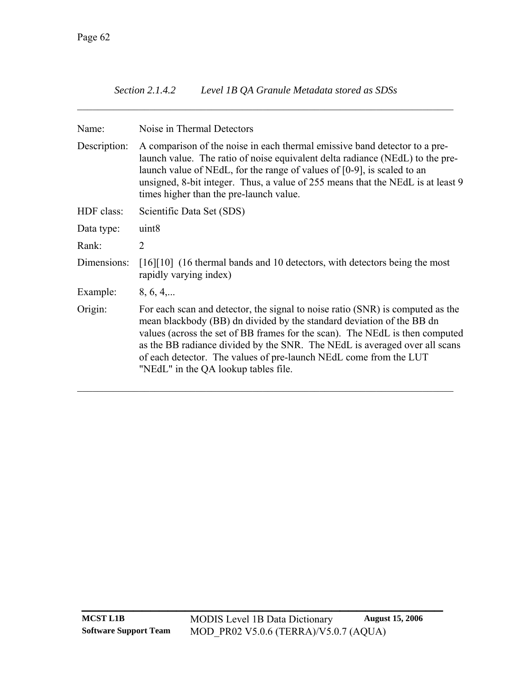| Level 1B QA Granule Metadata stored as SDSs<br><i>Section 2.1.4.2</i> |  |
|-----------------------------------------------------------------------|--|
|-----------------------------------------------------------------------|--|

| Name:        | Noise in Thermal Detectors                                                                                                                                                                                                                                                                                                                                                                                                         |  |  |  |  |  |
|--------------|------------------------------------------------------------------------------------------------------------------------------------------------------------------------------------------------------------------------------------------------------------------------------------------------------------------------------------------------------------------------------------------------------------------------------------|--|--|--|--|--|
| Description: | A comparison of the noise in each thermal emissive band detector to a pre-<br>launch value. The ratio of noise equivalent delta radiance (NEdL) to the pre-<br>launch value of NEdL, for the range of values of [0-9], is scaled to an<br>unsigned, 8-bit integer. Thus, a value of 255 means that the NEdL is at least 9<br>times higher than the pre-launch value.                                                               |  |  |  |  |  |
| HDF class:   | Scientific Data Set (SDS)                                                                                                                                                                                                                                                                                                                                                                                                          |  |  |  |  |  |
| Data type:   | uint <sub>8</sub>                                                                                                                                                                                                                                                                                                                                                                                                                  |  |  |  |  |  |
| Rank:        | 2                                                                                                                                                                                                                                                                                                                                                                                                                                  |  |  |  |  |  |
| Dimensions:  | [16][10] (16 thermal bands and 10 detectors, with detectors being the most<br>rapidly varying index)                                                                                                                                                                                                                                                                                                                               |  |  |  |  |  |
| Example:     | 8, 6, 4,                                                                                                                                                                                                                                                                                                                                                                                                                           |  |  |  |  |  |
| Origin:      | For each scan and detector, the signal to noise ratio (SNR) is computed as the<br>mean blackbody (BB) dn divided by the standard deviation of the BB dn<br>values (across the set of BB frames for the scan). The NEdL is then computed<br>as the BB radiance divided by the SNR. The NEdL is averaged over all scans<br>of each detector. The values of pre-launch NEdL come from the LUT<br>"NEdL" in the QA lookup tables file. |  |  |  |  |  |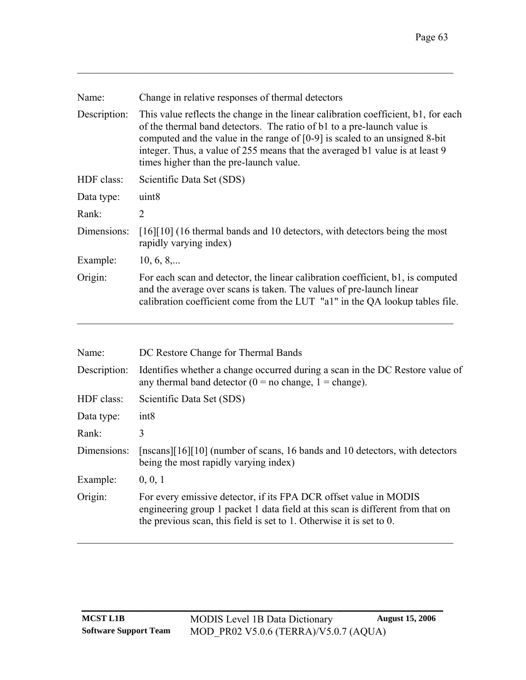| Change in relative responses of thermal detectors                                                                                                                                                                                                                                                                                                                         |
|---------------------------------------------------------------------------------------------------------------------------------------------------------------------------------------------------------------------------------------------------------------------------------------------------------------------------------------------------------------------------|
| This value reflects the change in the linear calibration coefficient, b1, for each<br>of the thermal band detectors. The ratio of b1 to a pre-launch value is<br>computed and the value in the range of $[0-9]$ is scaled to an unsigned 8-bit<br>integer. Thus, a value of 255 means that the averaged b1 value is at least 9<br>times higher than the pre-launch value. |
| Scientific Data Set (SDS)                                                                                                                                                                                                                                                                                                                                                 |
| uint <sub>8</sub>                                                                                                                                                                                                                                                                                                                                                         |
| $\overline{2}$                                                                                                                                                                                                                                                                                                                                                            |
| [16][10] (16 thermal bands and 10 detectors, with detectors being the most<br>rapidly varying index)                                                                                                                                                                                                                                                                      |
| $10, 6, 8, \ldots$                                                                                                                                                                                                                                                                                                                                                        |
| For each scan and detector, the linear calibration coefficient, b1, is computed<br>and the average over scans is taken. The values of pre-launch linear<br>calibration coefficient come from the LUT "al" in the QA lookup tables file.                                                                                                                                   |
|                                                                                                                                                                                                                                                                                                                                                                           |

| DC Restore Change for Thermal Bands                                                                                                                                                                                         |  |  |  |
|-----------------------------------------------------------------------------------------------------------------------------------------------------------------------------------------------------------------------------|--|--|--|
| Identifies whether a change occurred during a scan in the DC Restore value of<br>any thermal band detector ( $0 =$ no change, $1 =$ change).                                                                                |  |  |  |
| Scientific Data Set (SDS)                                                                                                                                                                                                   |  |  |  |
| int8                                                                                                                                                                                                                        |  |  |  |
| 3                                                                                                                                                                                                                           |  |  |  |
| [nscans][16][10] (number of scans, 16 bands and 10 detectors, with detectors<br>being the most rapidly varying index)                                                                                                       |  |  |  |
| 0, 0, 1                                                                                                                                                                                                                     |  |  |  |
| For every emissive detector, if its FPA DCR offset value in MODIS<br>engineering group 1 packet 1 data field at this scan is different from that on<br>the previous scan, this field is set to 1. Otherwise it is set to 0. |  |  |  |
|                                                                                                                                                                                                                             |  |  |  |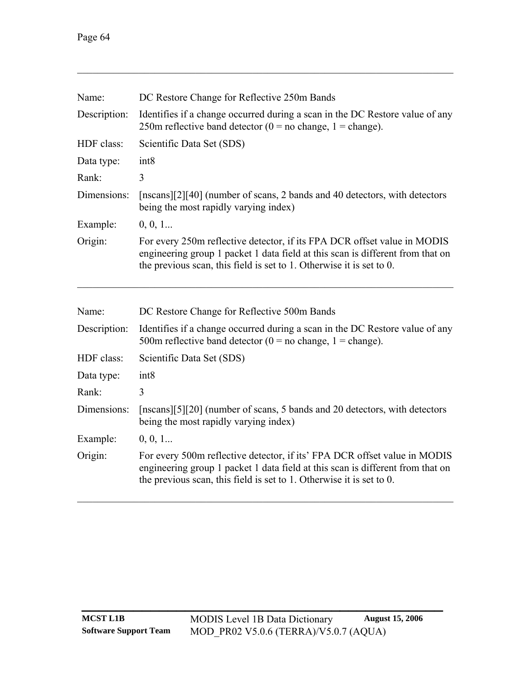| Name:        | DC Restore Change for Reflective 250m Bands                                                                                                                                                                                               |  |  |  |  |  |  |
|--------------|-------------------------------------------------------------------------------------------------------------------------------------------------------------------------------------------------------------------------------------------|--|--|--|--|--|--|
| Description: | Identifies if a change occurred during a scan in the DC Restore value of any<br>250m reflective band detector ( $0 =$ no change, $1 =$ change).                                                                                           |  |  |  |  |  |  |
| HDF class:   | Scientific Data Set (SDS)                                                                                                                                                                                                                 |  |  |  |  |  |  |
| Data type:   | int8                                                                                                                                                                                                                                      |  |  |  |  |  |  |
| Rank:        | 3                                                                                                                                                                                                                                         |  |  |  |  |  |  |
| Dimensions:  | [nscans][2][40] (number of scans, 2 bands and 40 detectors, with detectors<br>being the most rapidly varying index)                                                                                                                       |  |  |  |  |  |  |
| Example:     | 0, 0, 1                                                                                                                                                                                                                                   |  |  |  |  |  |  |
| Origin:      | For every 250m reflective detector, if its FPA DCR offset value in MODIS<br>engineering group 1 packet 1 data field at this scan is different from that on<br>the previous scan, this field is set to $1$ . Otherwise it is set to $0$ .  |  |  |  |  |  |  |
| Name:        | DC Restore Change for Reflective 500m Bands                                                                                                                                                                                               |  |  |  |  |  |  |
| Description: | Identifies if a change occurred during a scan in the DC Restore value of any<br>500m reflective band detector ( $0 =$ no change, 1 = change).                                                                                             |  |  |  |  |  |  |
| HDF class:   | Scientific Data Set (SDS)                                                                                                                                                                                                                 |  |  |  |  |  |  |
| Data type:   | int8                                                                                                                                                                                                                                      |  |  |  |  |  |  |
| Rank:        | 3                                                                                                                                                                                                                                         |  |  |  |  |  |  |
| Dimensions:  | [nscans][5][20] (number of scans, 5 bands and 20 detectors, with detectors<br>being the most rapidly varying index)                                                                                                                       |  |  |  |  |  |  |
| Example:     | 0, 0, 1                                                                                                                                                                                                                                   |  |  |  |  |  |  |
| Origin:      | For every 500m reflective detector, if its' FPA DCR offset value in MODIS<br>engineering group 1 packet 1 data field at this scan is different from that on<br>the previous scan, this field is set to $1$ . Otherwise it is set to $0$ . |  |  |  |  |  |  |
|              |                                                                                                                                                                                                                                           |  |  |  |  |  |  |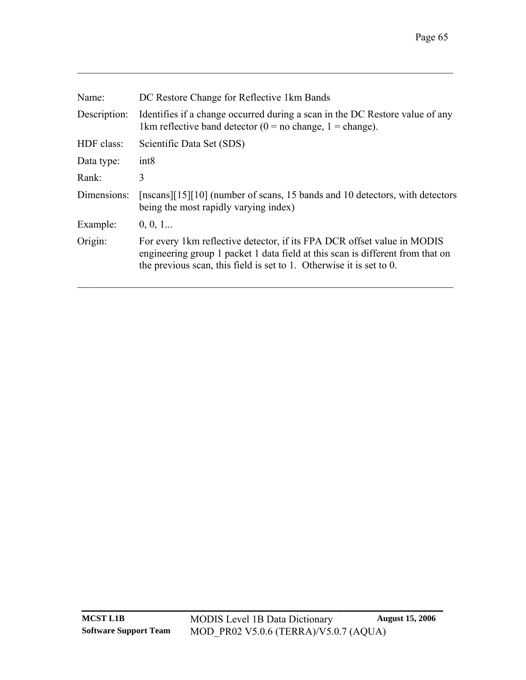| Name:        | DC Restore Change for Reflective 1km Bands                                                                                                                                                                                        |  |  |  |  |  |
|--------------|-----------------------------------------------------------------------------------------------------------------------------------------------------------------------------------------------------------------------------------|--|--|--|--|--|
| Description: | Identifies if a change occurred during a scan in the DC Restore value of any<br>1km reflective band detector ( $0 =$ no change, 1 = change).                                                                                      |  |  |  |  |  |
| HDF class:   | Scientific Data Set (SDS)                                                                                                                                                                                                         |  |  |  |  |  |
| Data type:   | int <sub>8</sub>                                                                                                                                                                                                                  |  |  |  |  |  |
| Rank:        | 3                                                                                                                                                                                                                                 |  |  |  |  |  |
| Dimensions:  | [nscans][15][10] (number of scans, 15 bands and 10 detectors, with detectors<br>being the most rapidly varying index)                                                                                                             |  |  |  |  |  |
| Example:     | 0, 0, 1                                                                                                                                                                                                                           |  |  |  |  |  |
| Origin:      | For every 1km reflective detector, if its FPA DCR offset value in MODIS<br>engineering group 1 packet 1 data field at this scan is different from that on<br>the previous scan, this field is set to 1. Otherwise it is set to 0. |  |  |  |  |  |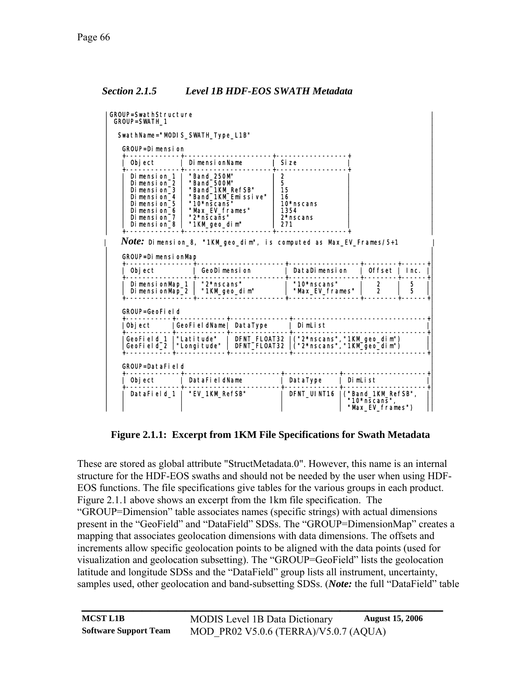#### <span id="page-69-1"></span>*Section 2.1.5 Level 1B HDF-EOS SWATH Metadata*

| GROUP=SwathStructure<br><b>GROUP=SWATH 1</b>                                                                                                                                                                                                                         |                                                    |                             |                                |                                          |                               |                                                        |        |                             |
|----------------------------------------------------------------------------------------------------------------------------------------------------------------------------------------------------------------------------------------------------------------------|----------------------------------------------------|-----------------------------|--------------------------------|------------------------------------------|-------------------------------|--------------------------------------------------------|--------|-----------------------------|
| SwathName="MODIS_SWATH_Type_L1B"                                                                                                                                                                                                                                     |                                                    |                             |                                |                                          |                               |                                                        |        |                             |
| GROUP=Dimension                                                                                                                                                                                                                                                      |                                                    |                             |                                |                                          |                               |                                                        |        |                             |
| Object                                                                                                                                                                                                                                                               |                                                    | Di mensi onName             |                                | Si ze                                    |                               |                                                        |        |                             |
| Dimension 1<br>"Band 250M"<br>"Band_500M"<br>Dimension 2<br>Dimension 3<br>"Band 1KM RefSB"<br>"Band 1KM Emissive"<br>Dimension 4  <br>"10*nscans"<br>Dimension 5<br>"Max EV frames"<br>Dimension 6<br>" $2$ *nscans"<br>Dimension 7<br>"1KM_geo_dim"<br>Dimension_8 |                                                    |                             |                                | 2<br>5<br>15<br>16<br>271                | 10*nscans<br>1354<br>2*nscans |                                                        |        |                             |
| $Note:$ Dimension_8, "1KM_geo_dim", is computed as Max_EV_Frames/5+1<br><b>GROUP=DimensionMap</b>                                                                                                                                                                    |                                                    |                             |                                |                                          |                               |                                                        |        |                             |
| Object                                                                                                                                                                                                                                                               |                                                    | GeoDimension                |                                |                                          | DataDimension                 |                                                        |        | $\vert$ Offset $\vert$ Inc. |
| DimensionMap_1  <br>Di mensi onMap_2                                                                                                                                                                                                                                 |                                                    | "2*nscans"<br>"1KM_geo_dim" | "10*nscans"<br>"Max EV frames" |                                          |                               | $\frac{2}{2}$                                          | 5<br>5 |                             |
| GROUP=GeoField                                                                                                                                                                                                                                                       |                                                    |                             |                                |                                          |                               |                                                        |        |                             |
| GeoFieldName  DataType<br>Obi ect                                                                                                                                                                                                                                    |                                                    |                             |                                | I DimList                                |                               |                                                        |        |                             |
|                                                                                                                                                                                                                                                                      | GeoField_1  "Latitude"<br>GeoField 2   "Longitude" |                             |                                | DFNT_FLOAT32  ("2*nscans","1KM_geo_dim") |                               |                                                        |        |                             |
| GROUP=DataField                                                                                                                                                                                                                                                      |                                                    |                             |                                |                                          |                               |                                                        |        |                             |
| Object                                                                                                                                                                                                                                                               |                                                    | DataFi el dName             |                                |                                          | DataType                      | DimList                                                |        |                             |
| DataField 1   "EV 1KM RefSB"                                                                                                                                                                                                                                         |                                                    |                             |                                | DFNT UINT16                              |                               | ("Band_1KM_RefSB",<br>"10*nscans",<br>"Max_EV_frames") |        |                             |

**Figure 2.1.1: Excerpt from 1KM File Specifications for Swath Metadata** 

<span id="page-69-0"></span>These are stored as global attribute "StructMetadata.0". However, this name is an internal structure for the HDF-EOS swaths and should not be needed by the user when using HDF-EOS functions. The file specifications give tables for the various groups in each product. [Figure 2.1.1](#page-69-0) above shows an excerpt from the 1km file specification. The

"GROUP=Dimension" table associates names (specific strings) with actual dimensions present in the "GeoField" and "DataField" SDSs. The "GROUP=DimensionMap" creates a mapping that associates geolocation dimensions with data dimensions. The offsets and increments allow specific geolocation points to be aligned with the data points (used for visualization and geolocation subsetting). The "GROUP=GeoField" lists the geolocation latitude and longitude SDSs and the "DataField" group lists all instrument, uncertainty, samples used, other geolocation and band-subsetting SDSs. (*Note:* the full "DataField" table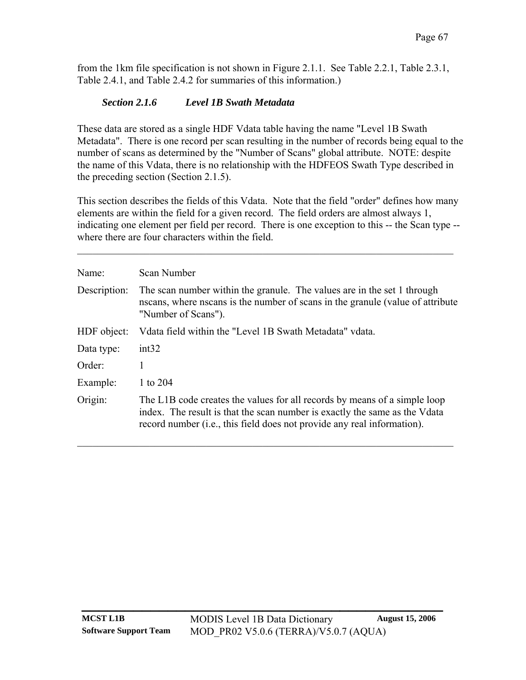from the 1km file specification is not shown in [Figure 2.1.1](#page-69-0). See [Table 2.2.1,](#page-80-0) [Table 2.3.1](#page-99-0), [Table 2.4.1](#page-100-0), and [Table 2.4.2](#page-100-1) for summaries of this information.)

### *Section 2.1.6 Level 1B Swath Metadata*

These data are stored as a single HDF Vdata table having the name "Level 1B Swath Metadata". There is one record per scan resulting in the number of records being equal to the number of scans as determined by the "Number of Scans" global attribute. NOTE: despite the name of this Vdata, there is no relationship with the HDFEOS Swath Type described in the preceding section [\(Section 2.1.5](#page-69-1)).

This section describes the fields of this Vdata. Note that the field "order" defines how many elements are within the field for a given record. The field orders are almost always 1, indicating one element per field per record. There is one exception to this -- the Scan type - where there are four characters within the field.

 $\mathcal{L}_\mathcal{L} = \{ \mathcal{L}_\mathcal{L} = \{ \mathcal{L}_\mathcal{L} = \{ \mathcal{L}_\mathcal{L} = \{ \mathcal{L}_\mathcal{L} = \{ \mathcal{L}_\mathcal{L} = \{ \mathcal{L}_\mathcal{L} = \{ \mathcal{L}_\mathcal{L} = \{ \mathcal{L}_\mathcal{L} = \{ \mathcal{L}_\mathcal{L} = \{ \mathcal{L}_\mathcal{L} = \{ \mathcal{L}_\mathcal{L} = \{ \mathcal{L}_\mathcal{L} = \{ \mathcal{L}_\mathcal{L} = \{ \mathcal{L}_\mathcal{$ 

| Name:        | Scan Number                                                                                                                                                                                                                                  |
|--------------|----------------------------------------------------------------------------------------------------------------------------------------------------------------------------------------------------------------------------------------------|
| Description: | The scan number within the granule. The values are in the set 1 through<br>nscans, where nscans is the number of scans in the granule (value of attribute<br>"Number of Scans").                                                             |
| HDF object:  | Vdata field within the "Level 1B Swath Metadata" vdata.                                                                                                                                                                                      |
| Data type:   | int32                                                                                                                                                                                                                                        |
| Order:       |                                                                                                                                                                                                                                              |
| Example:     | 1 to 204                                                                                                                                                                                                                                     |
| Origin:      | The L1B code creates the values for all records by means of a simple loop<br>index. The result is that the scan number is exactly the same as the V data<br>record number ( <i>i.e.</i> , this field does not provide any real information). |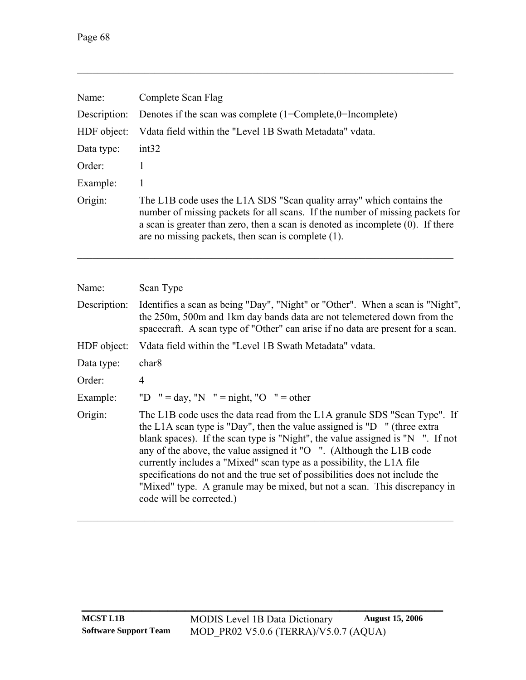| Complete Scan Flag                                                                                                                                                                                                                                                                                    |
|-------------------------------------------------------------------------------------------------------------------------------------------------------------------------------------------------------------------------------------------------------------------------------------------------------|
| Denotes if the scan was complete $(1=Complete,0=Incomplete)$                                                                                                                                                                                                                                          |
| Vdata field within the "Level 1B Swath Metadata" vdata.                                                                                                                                                                                                                                               |
| int32                                                                                                                                                                                                                                                                                                 |
|                                                                                                                                                                                                                                                                                                       |
| 1                                                                                                                                                                                                                                                                                                     |
| The L1B code uses the L1A SDS "Scan quality array" which contains the<br>number of missing packets for all scans. If the number of missing packets for<br>a scan is greater than zero, then a scan is denoted as incomplete $(0)$ . If there<br>are no missing packets, then scan is complete $(1)$ . |
|                                                                                                                                                                                                                                                                                                       |

| Name:        | Scan Type                                                                                                                                                                                                                                                                                                                                                                                                                                                                                                                                                                                     |
|--------------|-----------------------------------------------------------------------------------------------------------------------------------------------------------------------------------------------------------------------------------------------------------------------------------------------------------------------------------------------------------------------------------------------------------------------------------------------------------------------------------------------------------------------------------------------------------------------------------------------|
| Description: | Identifies a scan as being "Day", "Night" or "Other". When a scan is "Night",<br>the 250m, 500m and 1km day bands data are not telemetered down from the<br>spacecraft. A scan type of "Other" can arise if no data are present for a scan.                                                                                                                                                                                                                                                                                                                                                   |
| HDF object:  | Vdata field within the "Level 1B Swath Metadata" vdata.                                                                                                                                                                                                                                                                                                                                                                                                                                                                                                                                       |
| Data type:   | char <sub>8</sub>                                                                                                                                                                                                                                                                                                                                                                                                                                                                                                                                                                             |
| Order:       | $\overline{4}$                                                                                                                                                                                                                                                                                                                                                                                                                                                                                                                                                                                |
| Example:     | "D $" = day, "N" = night, "O" = other$                                                                                                                                                                                                                                                                                                                                                                                                                                                                                                                                                        |
| Origin:      | The L1B code uses the data read from the L1A granule SDS "Scan Type". If<br>the L1A scan type is "Day", then the value assigned is "D $\,$ " (three extra<br>blank spaces). If the scan type is "Night", the value assigned is "N $\,$ ". If not<br>any of the above, the value assigned it " $O$ ". (Although the L1B code<br>currently includes a "Mixed" scan type as a possibility, the L1A file<br>specifications do not and the true set of possibilities does not include the<br>"Mixed" type. A granule may be mixed, but not a scan. This discrepancy in<br>code will be corrected.) |

**\_\_\_\_\_\_\_\_\_\_\_\_\_\_\_\_\_\_\_\_\_\_\_\_\_\_\_\_\_\_\_\_\_\_\_\_\_\_\_\_\_\_**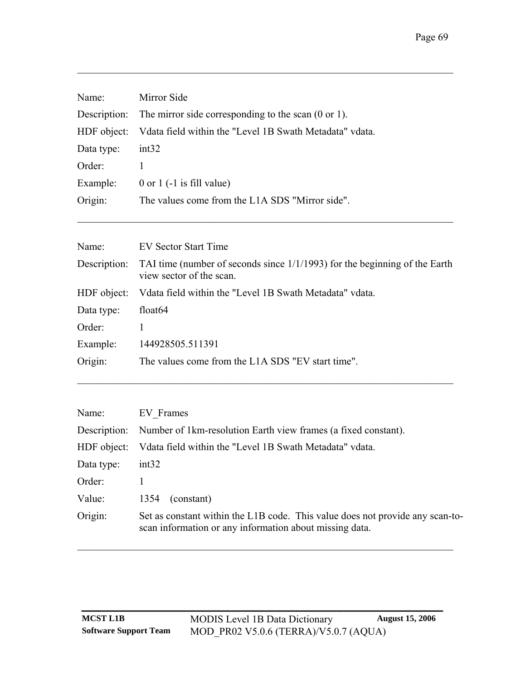| Name:       | Mirror Side                                                                  |  |  |
|-------------|------------------------------------------------------------------------------|--|--|
|             | Description: The mirror side corresponding to the scan $(0 \text{ or } 1)$ . |  |  |
| HDF object: | Vdata field within the "Level 1B Swath Metadata" vdata.                      |  |  |
| Data type:  | int32                                                                        |  |  |
| Order:      |                                                                              |  |  |
| Example:    | 0 or 1 $(-1$ is fill value)                                                  |  |  |
| Origin:     | The values come from the L1A SDS "Mirror side".                              |  |  |
|             |                                                                              |  |  |

| Name:        | EV Sector Start Time                                                                                      |  |
|--------------|-----------------------------------------------------------------------------------------------------------|--|
| Description: | TAI time (number of seconds since $1/1/1993$ ) for the beginning of the Earth<br>view sector of the scan. |  |
| HDF object:  | Vdata field within the "Level 1B Swath Metadata" vdata.                                                   |  |
| Data type:   | float <sub>64</sub>                                                                                       |  |
| Order:       |                                                                                                           |  |
| Example:     | 144928505.511391                                                                                          |  |
| Origin:      | The values come from the L1A SDS "EV start time".                                                         |  |

| Name:      | EV Frames                                                                                                                                |  |  |
|------------|------------------------------------------------------------------------------------------------------------------------------------------|--|--|
|            | Description: Number of 1km-resolution Earth view frames (a fixed constant).                                                              |  |  |
|            | HDF object: Vdata field within the "Level 1B Swath Metadata" vdata.                                                                      |  |  |
| Data type: | int32                                                                                                                                    |  |  |
| Order:     |                                                                                                                                          |  |  |
| Value:     | (constant)<br>1354                                                                                                                       |  |  |
| Origin:    | Set as constant within the L1B code. This value does not provide any scan-to-<br>scan information or any information about missing data. |  |  |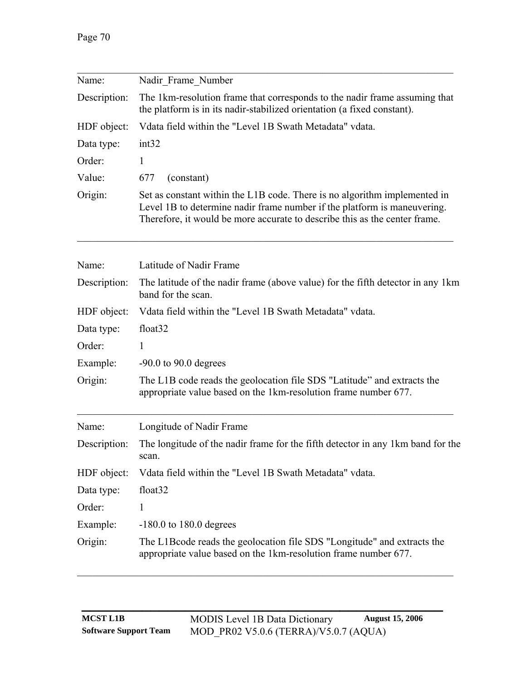| Name:        | Nadir Frame Number                                                                                                                                                                                                                  |  |  |
|--------------|-------------------------------------------------------------------------------------------------------------------------------------------------------------------------------------------------------------------------------------|--|--|
| Description: | The 1km-resolution frame that corresponds to the nadir frame assuming that<br>the platform is in its nadir-stabilized orientation (a fixed constant).                                                                               |  |  |
| HDF object:  | Vdata field within the "Level 1B Swath Metadata" vdata.                                                                                                                                                                             |  |  |
| Data type:   | int32                                                                                                                                                                                                                               |  |  |
| Order:       |                                                                                                                                                                                                                                     |  |  |
| Value:       | (constant)<br>677                                                                                                                                                                                                                   |  |  |
| Origin:      | Set as constant within the L1B code. There is no algorithm implemented in<br>Level 1B to determine nadir frame number if the platform is maneuvering.<br>Therefore, it would be more accurate to describe this as the center frame. |  |  |

| Name:        | Latitude of Nadir Frame                                                                                                                     |  |  |
|--------------|---------------------------------------------------------------------------------------------------------------------------------------------|--|--|
| Description: | The latitude of the nadir frame (above value) for the fifth detector in any 1km<br>band for the scan.                                       |  |  |
| HDF object:  | Vdata field within the "Level 1B Swath Metadata" vdata.                                                                                     |  |  |
| Data type:   | float <sub>32</sub>                                                                                                                         |  |  |
| Order:       | $\mathbf{1}$                                                                                                                                |  |  |
| Example:     | $-90.0$ to 90.0 degrees                                                                                                                     |  |  |
| Origin:      | The L1B code reads the geolocation file SDS "Latitude" and extracts the<br>appropriate value based on the 1km-resolution frame number 677.  |  |  |
| Name:        | Longitude of Nadir Frame                                                                                                                    |  |  |
| Description: | The longitude of the nadir frame for the fifth detector in any 1km band for the<br>scan.                                                    |  |  |
| HDF object:  | Vdata field within the "Level 1B Swath Metadata" vdata.                                                                                     |  |  |
| Data type:   | float <sub>32</sub>                                                                                                                         |  |  |
| Order:       | $\mathbf{1}$                                                                                                                                |  |  |
| Example:     | $-180.0$ to 180.0 degrees                                                                                                                   |  |  |
| Origin:      | The L1B code reads the geolocation file SDS "Longitude" and extracts the<br>appropriate value based on the 1km-resolution frame number 677. |  |  |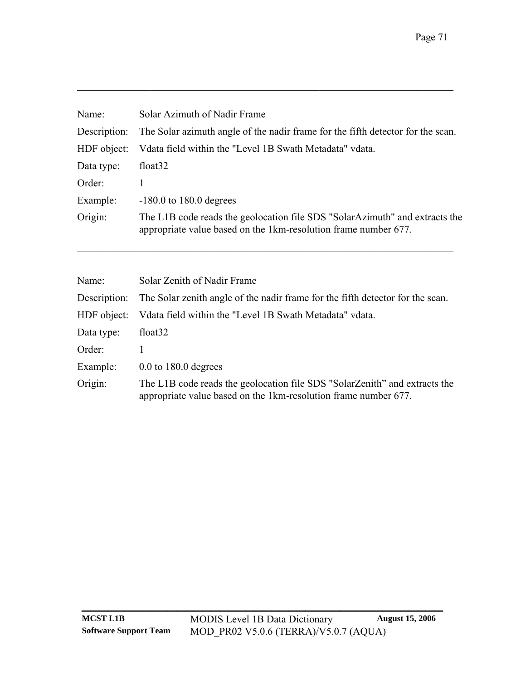| Name:                                 | Solar Azimuth of Nadir Frame                                                                                                                   |
|---------------------------------------|------------------------------------------------------------------------------------------------------------------------------------------------|
| Description:                          | The Solar azimuth angle of the nadir frame for the fifth detector for the scan.                                                                |
| HDF object:                           | Vdata field within the "Level 1B Swath Metadata" vdata.                                                                                        |
| Data type:                            | float <sub>32</sub>                                                                                                                            |
| Order:                                | 1                                                                                                                                              |
| $-180.0$ to 180.0 degrees<br>Example: |                                                                                                                                                |
| Origin:                               | The L1B code reads the geolocation file SDS "SolarAzimuth" and extracts the<br>appropriate value based on the 1km-resolution frame number 677. |
| Name:                                 | Solar Zenith of Nadir Frame                                                                                                                    |
|                                       |                                                                                                                                                |
| Description:                          | The Solar zenith angle of the nadir frame for the fifth detector for the scan.                                                                 |
| HDF object:                           | Vdata field within the "Level 1B Swath Metadata" vdata.                                                                                        |
| Data type:                            | float <sub>32</sub>                                                                                                                            |
| Order:                                | 1                                                                                                                                              |
| Example:                              | $0.0$ to 180.0 degrees                                                                                                                         |
| Origin:                               | The L1B code reads the geolocation file SDS "SolarZenith" and extracts the<br>appropriate value based on the 1km-resolution frame number 677.  |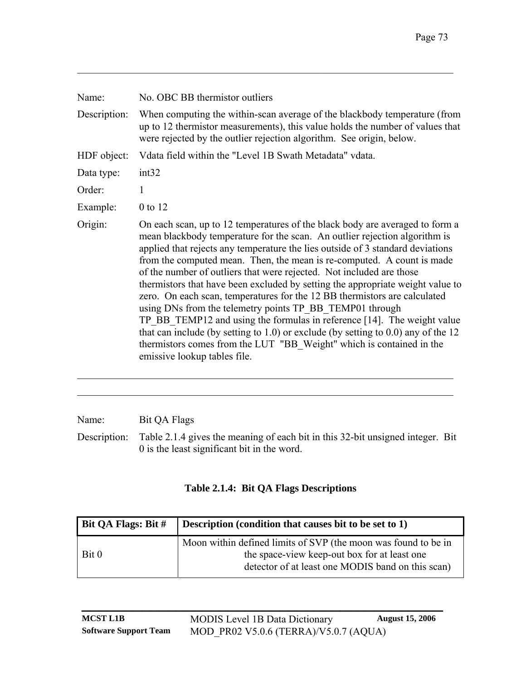| Name:        | No. OBC BB thermistor outliers                                                                                                                                                                                                                                                                                                                                                                                                                                                                                                                                                                                                                                                                                                                                                                                                                                                                          |  |  |
|--------------|---------------------------------------------------------------------------------------------------------------------------------------------------------------------------------------------------------------------------------------------------------------------------------------------------------------------------------------------------------------------------------------------------------------------------------------------------------------------------------------------------------------------------------------------------------------------------------------------------------------------------------------------------------------------------------------------------------------------------------------------------------------------------------------------------------------------------------------------------------------------------------------------------------|--|--|
| Description: | When computing the within-scan average of the blackbody temperature (from<br>up to 12 thermistor measurements), this value holds the number of values that<br>were rejected by the outlier rejection algorithm. See origin, below.                                                                                                                                                                                                                                                                                                                                                                                                                                                                                                                                                                                                                                                                      |  |  |
| HDF object:  | Vdata field within the "Level 1B Swath Metadata" vdata.                                                                                                                                                                                                                                                                                                                                                                                                                                                                                                                                                                                                                                                                                                                                                                                                                                                 |  |  |
| Data type:   | int32                                                                                                                                                                                                                                                                                                                                                                                                                                                                                                                                                                                                                                                                                                                                                                                                                                                                                                   |  |  |
| Order:       | 1                                                                                                                                                                                                                                                                                                                                                                                                                                                                                                                                                                                                                                                                                                                                                                                                                                                                                                       |  |  |
| Example:     | 0 to 12                                                                                                                                                                                                                                                                                                                                                                                                                                                                                                                                                                                                                                                                                                                                                                                                                                                                                                 |  |  |
| Origin:      | On each scan, up to 12 temperatures of the black body are averaged to form a<br>mean blackbody temperature for the scan. An outlier rejection algorithm is<br>applied that rejects any temperature the lies outside of 3 standard deviations<br>from the computed mean. Then, the mean is re-computed. A count is made<br>of the number of outliers that were rejected. Not included are those<br>thermistors that have been excluded by setting the appropriate weight value to<br>zero. On each scan, temperatures for the 12 BB thermistors are calculated<br>using DNs from the telemetry points TP BB TEMP01 through<br>TP BB TEMP12 and using the formulas in reference [14]. The weight value<br>that can include (by setting to $1.0$ ) or exclude (by setting to $0.0$ ) any of the 12<br>thermistors comes from the LUT "BB Weight" which is contained in the<br>emissive lookup tables file. |  |  |

Name: Bit QA Flags

Description: [Table 2.1.4](#page-76-0) gives the meaning of each bit in this 32-bit unsigned integer. Bit 0 is the least significant bit in the word.

 $\mathcal{L}_\text{max} = \mathcal{L}_\text{max} = \mathcal{L}_\text{max} = \mathcal{L}_\text{max} = \mathcal{L}_\text{max} = \mathcal{L}_\text{max} = \mathcal{L}_\text{max} = \mathcal{L}_\text{max} = \mathcal{L}_\text{max} = \mathcal{L}_\text{max} = \mathcal{L}_\text{max} = \mathcal{L}_\text{max} = \mathcal{L}_\text{max} = \mathcal{L}_\text{max} = \mathcal{L}_\text{max} = \mathcal{L}_\text{max} = \mathcal{L}_\text{max} = \mathcal{L}_\text{max} = \mathcal{$ 

### **Table 2.1.4: Bit QA Flags Descriptions**

<span id="page-76-0"></span>

| Bit QA Flags: Bit # | Description (condition that causes bit to be set to 1)                                                                                                              |
|---------------------|---------------------------------------------------------------------------------------------------------------------------------------------------------------------|
| Bit 0               | Moon within defined limits of SVP (the moon was found to be in<br>the space-view keep-out box for at least one<br>detector of at least one MODIS band on this scan) |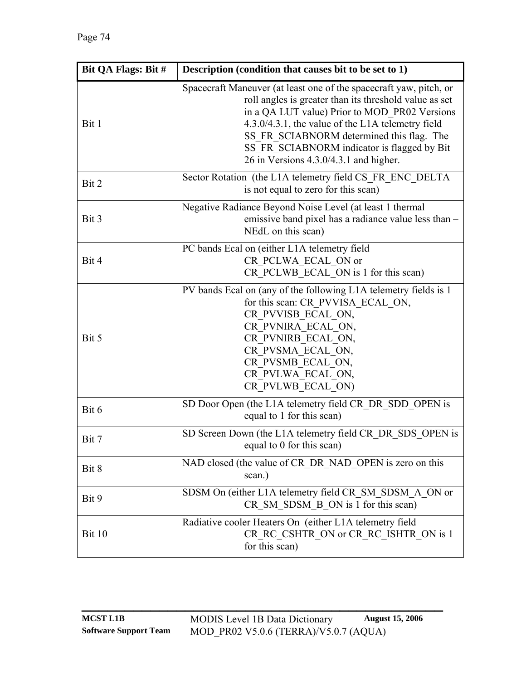| Bit QA Flags: Bit # | Description (condition that causes bit to be set to 1)                                                                                                                                                                                                                                                                                                                   |  |  |
|---------------------|--------------------------------------------------------------------------------------------------------------------------------------------------------------------------------------------------------------------------------------------------------------------------------------------------------------------------------------------------------------------------|--|--|
| Bit 1               | Spacecraft Maneuver (at least one of the spacecraft yaw, pitch, or<br>roll angles is greater than its threshold value as set<br>in a QA LUT value) Prior to MOD_PR02 Versions<br>4.3.0/4.3.1, the value of the L1A telemetry field<br>SS_FR_SCIABNORM determined this flag. The<br>SS FR SCIABNORM indicator is flagged by Bit<br>26 in Versions 4.3.0/4.3.1 and higher. |  |  |
| Bit 2               | Sector Rotation (the L1A telemetry field CS FR ENC DELTA<br>is not equal to zero for this scan)                                                                                                                                                                                                                                                                          |  |  |
| Bit 3               | Negative Radiance Beyond Noise Level (at least 1 thermal<br>emissive band pixel has a radiance value less than -<br>NEdL on this scan)                                                                                                                                                                                                                                   |  |  |
| Bit 4               | PC bands Ecal on (either L1A telemetry field<br>CR PCLWA ECAL ON or<br>CR PCLWB ECAL ON is 1 for this scan)                                                                                                                                                                                                                                                              |  |  |
| Bit 5               | PV bands Ecal on (any of the following L1A telemetry fields is 1<br>for this scan: CR PVVISA ECAL ON,<br>CR PVVISB ECAL ON,<br>CR PVNIRA ECAL ON,<br>CR PVNIRB ECAL ON,<br>CR PVSMA ECAL ON,<br>CR PVSMB ECAL ON,<br>CR PVLWA ECAL ON,<br>CR PVLWB ECAL ON)                                                                                                              |  |  |
| Bit 6               | SD Door Open (the L1A telemetry field CR DR SDD OPEN is<br>equal to 1 for this scan)                                                                                                                                                                                                                                                                                     |  |  |
| Bit 7               | SD Screen Down (the L1A telemetry field CR DR SDS OPEN is<br>equal to 0 for this scan)                                                                                                                                                                                                                                                                                   |  |  |
| Bit 8               | NAD closed (the value of CR DR NAD OPEN is zero on this<br>scan.)                                                                                                                                                                                                                                                                                                        |  |  |
| Bit 9               | SDSM On (either L1A telemetry field CR SM SDSM A ON or<br>CR SM SDSM B ON is 1 for this scan)                                                                                                                                                                                                                                                                            |  |  |
| Bit 10              | Radiative cooler Heaters On (either L1A telemetry field<br>CR RC CSHTR ON or CR RC ISHTR ON is 1<br>for this scan)                                                                                                                                                                                                                                                       |  |  |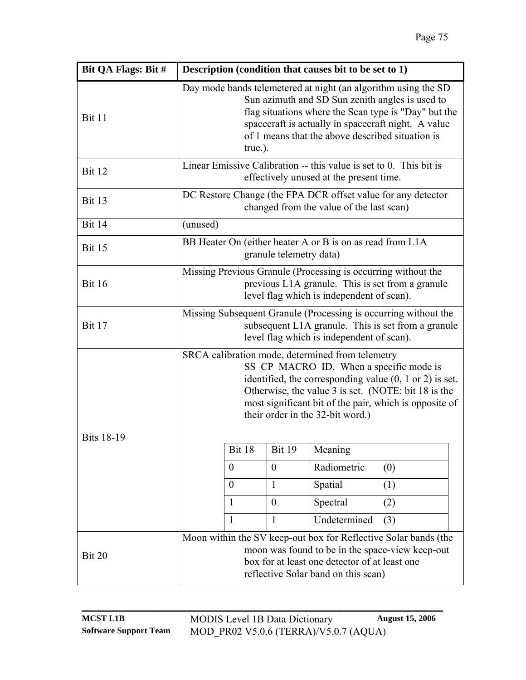| Bit QA Flags: Bit # |                                                                                                                                                                                                                                                                                                 | Description (condition that causes bit to be set to 1)                                                                                                                                                                                                                                                                 |  |
|---------------------|-------------------------------------------------------------------------------------------------------------------------------------------------------------------------------------------------------------------------------------------------------------------------------------------------|------------------------------------------------------------------------------------------------------------------------------------------------------------------------------------------------------------------------------------------------------------------------------------------------------------------------|--|
| <b>Bit 11</b>       | Day mode bands telemetered at night (an algorithm using the SD<br>Sun azimuth and SD Sun zenith angles is used to<br>flag situations where the Scan type is "Day" but the<br>spacecraft is actually in spacecraft night. A value<br>of 1 means that the above described situation is<br>true.). |                                                                                                                                                                                                                                                                                                                        |  |
| <b>Bit 12</b>       | Linear Emissive Calibration -- this value is set to 0. This bit is<br>effectively unused at the present time.                                                                                                                                                                                   |                                                                                                                                                                                                                                                                                                                        |  |
| <b>Bit 13</b>       | DC Restore Change (the FPA DCR offset value for any detector<br>changed from the value of the last scan)                                                                                                                                                                                        |                                                                                                                                                                                                                                                                                                                        |  |
| <b>Bit 14</b>       | (unused)                                                                                                                                                                                                                                                                                        |                                                                                                                                                                                                                                                                                                                        |  |
| <b>Bit 15</b>       | BB Heater On (either heater A or B is on as read from L1A<br>granule telemetry data)                                                                                                                                                                                                            |                                                                                                                                                                                                                                                                                                                        |  |
| <b>Bit 16</b>       | Missing Previous Granule (Processing is occurring without the<br>previous L1A granule. This is set from a granule<br>level flag which is independent of scan).                                                                                                                                  |                                                                                                                                                                                                                                                                                                                        |  |
| <b>Bit 17</b>       | Missing Subsequent Granule (Processing is occurring without the<br>subsequent L1A granule. This is set from a granule<br>level flag which is independent of scan).                                                                                                                              |                                                                                                                                                                                                                                                                                                                        |  |
| <b>Bits 18-19</b>   |                                                                                                                                                                                                                                                                                                 | SRCA calibration mode, determined from telemetry<br>SS CP MACRO ID. When a specific mode is<br>identified, the corresponding value $(0, 1 \text{ or } 2)$ is set.<br>Otherwise, the value 3 is set. (NOTE: bit 18 is the<br>most significant bit of the pair, which is opposite of<br>their order in the 32-bit word.) |  |
|                     | Bit 18                                                                                                                                                                                                                                                                                          | <b>Bit 19</b><br>Meaning                                                                                                                                                                                                                                                                                               |  |
|                     | $\theta$                                                                                                                                                                                                                                                                                        | Radiometric<br>$\overline{0}$<br>(0)                                                                                                                                                                                                                                                                                   |  |
|                     | $\theta$                                                                                                                                                                                                                                                                                        | $\mathbf{1}$<br>Spatial<br>(1)                                                                                                                                                                                                                                                                                         |  |
|                     | 1                                                                                                                                                                                                                                                                                               | Spectral<br>$\boldsymbol{0}$<br>(2)                                                                                                                                                                                                                                                                                    |  |
|                     | 1                                                                                                                                                                                                                                                                                               | Undetermined<br>$\mathbf{1}$<br>(3)                                                                                                                                                                                                                                                                                    |  |
| Bit 20              |                                                                                                                                                                                                                                                                                                 | Moon within the SV keep-out box for Reflective Solar bands (the<br>moon was found to be in the space-view keep-out<br>box for at least one detector of at least one<br>reflective Solar band on this scan)                                                                                                             |  |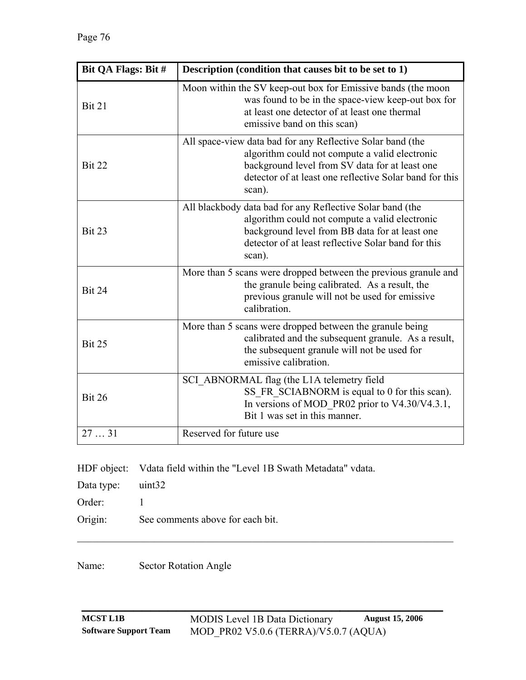| Bit QA Flags: Bit # | Description (condition that causes bit to be set to 1)                                                                                                                                                                              |
|---------------------|-------------------------------------------------------------------------------------------------------------------------------------------------------------------------------------------------------------------------------------|
| <b>Bit 21</b>       | Moon within the SV keep-out box for Emissive bands (the moon<br>was found to be in the space-view keep-out box for<br>at least one detector of at least one thermal<br>emissive band on this scan)                                  |
| <b>Bit 22</b>       | All space-view data bad for any Reflective Solar band (the<br>algorithm could not compute a valid electronic<br>background level from SV data for at least one<br>detector of at least one reflective Solar band for this<br>scan). |
| Bit 23              | All blackbody data bad for any Reflective Solar band (the<br>algorithm could not compute a valid electronic<br>background level from BB data for at least one<br>detector of at least reflective Solar band for this<br>scan).      |
| <b>Bit 24</b>       | More than 5 scans were dropped between the previous granule and<br>the granule being calibrated. As a result, the<br>previous granule will not be used for emissive<br>calibration.                                                 |
| <b>Bit 25</b>       | More than 5 scans were dropped between the granule being<br>calibrated and the subsequent granule. As a result,<br>the subsequent granule will not be used for<br>emissive calibration.                                             |
| <b>Bit 26</b>       | SCI ABNORMAL flag (the L1A telemetry field<br>SS FR SCIABNORM is equal to 0 for this scan).<br>In versions of MOD_PR02 prior to V4.30/V4.3.1,<br>Bit 1 was set in this manner.                                                      |
| 2731                | Reserved for future use                                                                                                                                                                                                             |

HDF object: Vdata field within the "Level 1B Swath Metadata" vdata.

Data type: uint32

Order: 1

Origin: See comments above for each bit.

Name: Sector Rotation Angle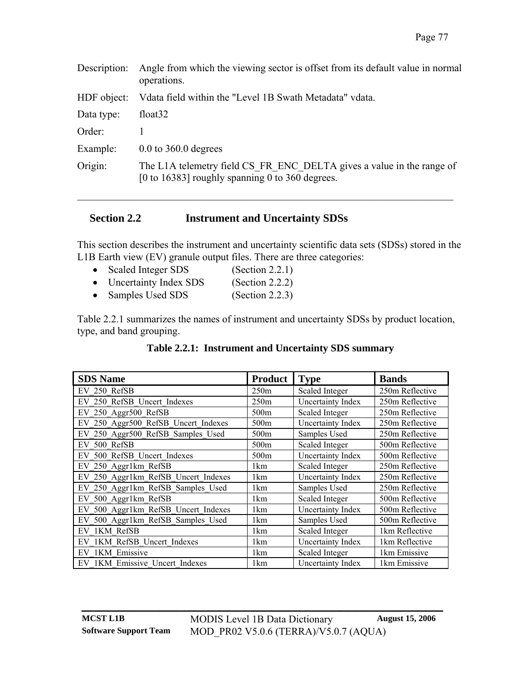| Angle from which the viewing sector is offset from its default value in normal<br>operations.                            |  |
|--------------------------------------------------------------------------------------------------------------------------|--|
| Vdata field within the "Level 1B Swath Metadata" vdata.                                                                  |  |
| float <sub>32</sub>                                                                                                      |  |
|                                                                                                                          |  |
| $0.0$ to 360.0 degrees                                                                                                   |  |
| The L1A telemetry field CS FR ENC DELTA gives a value in the range of<br>[0 to 16383] roughly spanning 0 to 360 degrees. |  |
|                                                                                                                          |  |

## **Section 2.2 Instrument and Uncertainty SDSs**

This section describes the instrument and uncertainty scientific data sets (SDSs) stored in the L1B Earth view (EV) granule output files. There are three categories:

- Scaled Integer SDS ([Section 2.2.1](#page-81-0)) • Uncertainty Index SDS ([Section 2.2.2](#page-92-0))
- Samples Used SDS ([Section 2.2.3](#page-97-0))

[Table 2.2.1](#page-80-0) summarizes the names of instrument and uncertainty SDSs by product location, type, and band grouping.

### **Table 2.2.1: Instrument and Uncertainty SDS summary**

<span id="page-80-0"></span>

| <b>SDS Name</b>                     | <b>Product</b>   | <b>Type</b>              | <b>Bands</b>    |
|-------------------------------------|------------------|--------------------------|-----------------|
| EV 250 RefSB                        | 250m             | Scaled Integer           | 250m Reflective |
| EV 250 RefSB Uncert Indexes         | 250m             | Uncertainty Index        | 250m Reflective |
| EV 250 Aggr500 RefSB                | 500m             | Scaled Integer           | 250m Reflective |
| EV 250 Aggr500 RefSB Uncert Indexes | 500 <sub>m</sub> | Uncertainty Index        | 250m Reflective |
| EV 250 Aggr500 RefSB Samples Used   | 500m             | Samples Used             | 250m Reflective |
| EV 500 RefSB                        | 500 <sub>m</sub> | Scaled Integer           | 500m Reflective |
| EV 500 RefSB Uncert Indexes         | 500 <sub>m</sub> | <b>Uncertainty Index</b> | 500m Reflective |
| EV 250 Aggr1km RefSB                | 1 <sub>km</sub>  | Scaled Integer           | 250m Reflective |
| EV 250 Aggr1km RefSB Uncert Indexes | 1 <sub>km</sub>  | Uncertainty Index        | 250m Reflective |
| EV 250 Aggr1km RefSB Samples Used   | 1 <sub>km</sub>  | Samples Used             | 250m Reflective |
| EV 500 Aggr1km RefSB                | 1km              | <b>Scaled Integer</b>    | 500m Reflective |
| EV 500 Aggr1km RefSB Uncert Indexes | 1 <sub>km</sub>  | Uncertainty Index        | 500m Reflective |
| EV 500 Aggr1km RefSB Samples Used   | 1 <sub>km</sub>  | Samples Used             | 500m Reflective |
| EV 1KM RefSB                        | 1 <sub>km</sub>  | Scaled Integer           | 1km Reflective  |
| EV 1KM RefSB Uncert Indexes         | 1 <sub>km</sub>  | Uncertainty Index        | 1km Reflective  |
| EV 1KM Emissive                     | 1 <sub>km</sub>  | Scaled Integer           | 1km Emissive    |
| EV 1KM Emissive Uncert Indexes      | 1 <sub>km</sub>  | Uncertainty Index        | 1km Emissive    |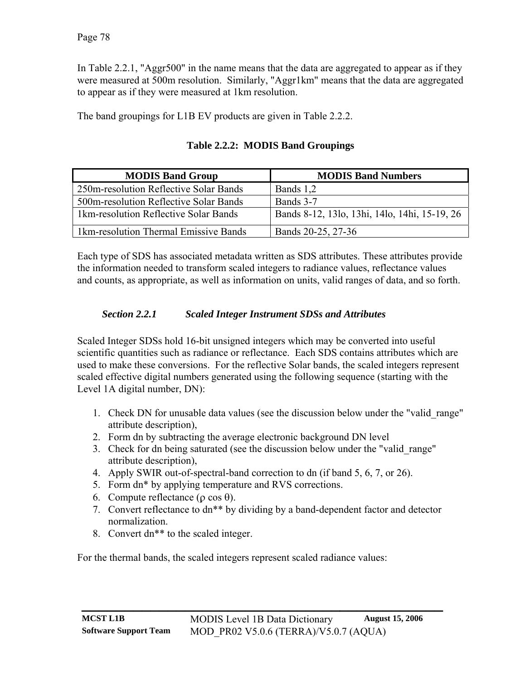In [Table 2.2.1](#page-80-0), "Aggr500" in the name means that the data are aggregated to appear as if they were measured at 500m resolution. Similarly, "Aggr1km" means that the data are aggregated to appear as if they were measured at 1km resolution.

The band groupings for L1B EV products are given in [Table 2.2.2.](#page-81-1)

<span id="page-81-1"></span>

| <b>MODIS Band Group</b>                | <b>MODIS Band Numbers</b>                     |
|----------------------------------------|-----------------------------------------------|
| 250m-resolution Reflective Solar Bands | Bands 1,2                                     |
| 500m-resolution Reflective Solar Bands | Bands 3-7                                     |
| 1km-resolution Reflective Solar Bands  | Bands 8-12, 13lo, 13hi, 14lo, 14hi, 15-19, 26 |
| 1km-resolution Thermal Emissive Bands  | Bands 20-25, 27-36                            |

**Table 2.2.2: MODIS Band Groupings** 

Each type of SDS has associated metadata written as SDS attributes. These attributes provide the information needed to transform scaled integers to radiance values, reflectance values and counts, as appropriate, as well as information on units, valid ranges of data, and so forth.

## *Section 2.2.1 Scaled Integer Instrument SDSs and Attributes*

<span id="page-81-0"></span>Scaled Integer SDSs hold 16-bit unsigned integers which may be converted into useful scientific quantities such as radiance or reflectance. Each SDS contains attributes which are used to make these conversions. For the reflective Solar bands, the scaled integers represent scaled effective digital numbers generated using the following sequence (starting with the Level 1A digital number, DN):

- 1. Check DN for unusable data values (see the discussion below under the "valid\_range" attribute description),
- 2. Form dn by subtracting the average electronic background DN level
- 3. Check for dn being saturated (see the discussion below under the "valid\_range" attribute description),
- 4. Apply SWIR out-of-spectral-band correction to dn (if band 5, 6, 7, or 26).
- 5. Form dn\* by applying temperature and RVS corrections.
- 6. Compute reflectance (ρ cos θ).
- 7. Convert reflectance to dn\*\* by dividing by a band-dependent factor and detector normalization.
- 8. Convert dn\*\* to the scaled integer.

For the thermal bands, the scaled integers represent scaled radiance values: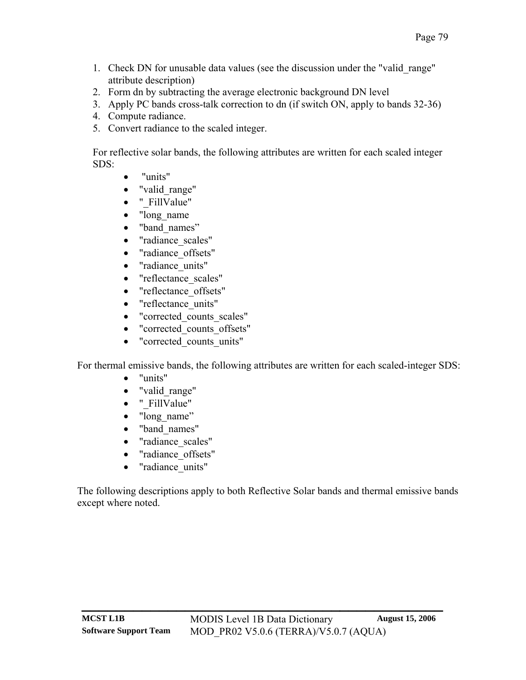- 1. Check DN for unusable data values (see the discussion under the "valid\_range" attribute description)
- 2. Form dn by subtracting the average electronic background DN level
- 3. Apply PC bands cross-talk correction to dn (if switch ON, apply to bands 32-36)
- 4. Compute radiance.
- 5. Convert radiance to the scaled integer.

For reflective solar bands, the following attributes are written for each scaled integer SDS:

- "units"
- "valid range"
- " FillValue"
- "long\_name"
- "band names"
- "radiance\_scales"
- "radiance\_offsets"
- "radiance units"
- "reflectance scales"
- "reflectance offsets"
- "reflectance units"
- "corrected\_counts\_scales"
- "corrected\_counts\_offsets"
- "corrected counts units"

For thermal emissive bands, the following attributes are written for each scaled-integer SDS:

- "units"
- "valid\_range"
- " FillValue"
- "long\_name"
- "band\_names"
- "radiance scales"
- "radiance\_offsets"
- "radiance units"

The following descriptions apply to both Reflective Solar bands and thermal emissive bands except where noted.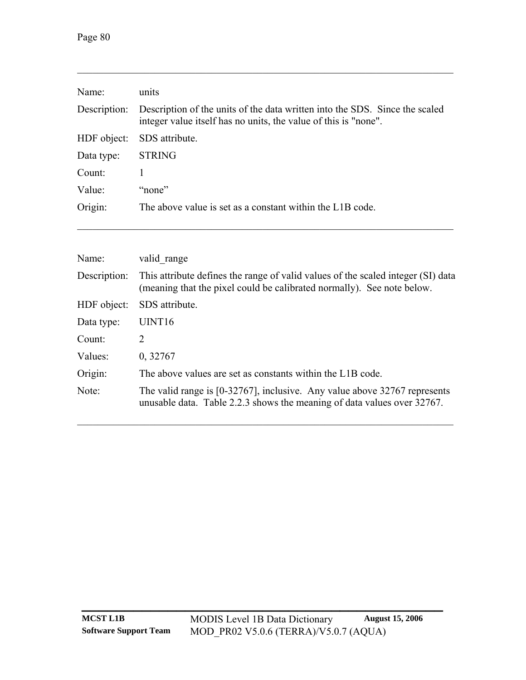| Name:        | units                                                                                                                                          |
|--------------|------------------------------------------------------------------------------------------------------------------------------------------------|
| Description: | Description of the units of the data written into the SDS. Since the scaled<br>integer value itself has no units, the value of this is "none". |
| HDF object:  | SDS attribute.                                                                                                                                 |
| Data type:   | <b>STRING</b>                                                                                                                                  |
| Count:       |                                                                                                                                                |
| Value:       | "none"                                                                                                                                         |
| Origin:      | The above value is set as a constant within the L1B code.                                                                                      |

 $\mathcal{L}_\mathcal{L} = \{ \mathcal{L}_\mathcal{L} = \{ \mathcal{L}_\mathcal{L} = \{ \mathcal{L}_\mathcal{L} = \{ \mathcal{L}_\mathcal{L} = \{ \mathcal{L}_\mathcal{L} = \{ \mathcal{L}_\mathcal{L} = \{ \mathcal{L}_\mathcal{L} = \{ \mathcal{L}_\mathcal{L} = \{ \mathcal{L}_\mathcal{L} = \{ \mathcal{L}_\mathcal{L} = \{ \mathcal{L}_\mathcal{L} = \{ \mathcal{L}_\mathcal{L} = \{ \mathcal{L}_\mathcal{L} = \{ \mathcal{L}_\mathcal{$ 

| Name:        | valid range                                                                                                                                                |
|--------------|------------------------------------------------------------------------------------------------------------------------------------------------------------|
| Description: | This attribute defines the range of valid values of the scaled integer (SI) data<br>(meaning that the pixel could be calibrated normally). See note below. |
| HDF object:  | SDS attribute.                                                                                                                                             |
| Data type:   | UINT <sub>16</sub>                                                                                                                                         |
| Count:       | 2                                                                                                                                                          |
| Values:      | 0,32767                                                                                                                                                    |
| Origin:      | The above values are set as constants within the L1B code.                                                                                                 |
| Note:        | The valid range is [0-32767], inclusive. Any value above 32767 represents<br>unusable data. Table 2.2.3 shows the meaning of data values over 32767.       |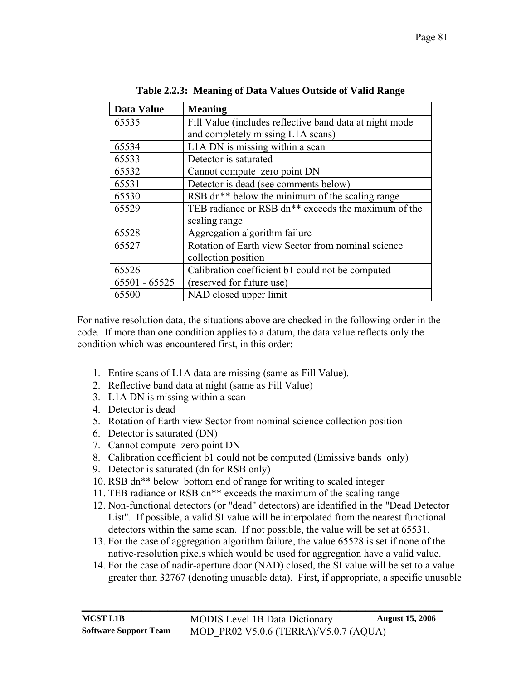<span id="page-84-0"></span>

| <b>Data Value</b> | <b>Meaning</b>                                                  |
|-------------------|-----------------------------------------------------------------|
| 65535             | Fill Value (includes reflective band data at night mode         |
|                   | and completely missing L1A scans)                               |
| 65534             | L1A DN is missing within a scan                                 |
| 65533             | Detector is saturated                                           |
| 65532             | Cannot compute zero point DN                                    |
| 65531             | Detector is dead (see comments below)                           |
| 65530             | RSB dn <sup>**</sup> below the minimum of the scaling range     |
| 65529             | TEB radiance or RSB dn <sup>**</sup> exceeds the maximum of the |
|                   | scaling range                                                   |
| 65528             | Aggregation algorithm failure                                   |
| 65527             | Rotation of Earth view Sector from nominal science              |
|                   | collection position                                             |
| 65526             | Calibration coefficient b1 could not be computed                |
| $65501 - 65525$   | (reserved for future use)                                       |
| 65500             | NAD closed upper limit                                          |

**Table 2.2.3: Meaning of Data Values Outside of Valid Range** 

For native resolution data, the situations above are checked in the following order in the code. If more than one condition applies to a datum, the data value reflects only the condition which was encountered first, in this order:

- 1. Entire scans of L1A data are missing (same as Fill Value).
- 2. Reflective band data at night (same as Fill Value)
- 3. L1A DN is missing within a scan
- 4. Detector is dead
- 5. Rotation of Earth view Sector from nominal science collection position
- 6. Detector is saturated (DN)
- 7. Cannot compute zero point DN
- 8. Calibration coefficient b1 could not be computed (Emissive bands only)
- 9. Detector is saturated (dn for RSB only)
- 10. RSB dn\*\* below bottom end of range for writing to scaled integer
- 11. TEB radiance or RSB dn\*\* exceeds the maximum of the scaling range
- 12. Non-functional detectors (or "dead" detectors) are identified in the "Dead Detector List". If possible, a valid SI value will be interpolated from the nearest functional detectors within the same scan. If not possible, the value will be set at 65531.
- 13. For the case of aggregation algorithm failure, the value 65528 is set if none of the native-resolution pixels which would be used for aggregation have a valid value.
- 14. For the case of nadir-aperture door (NAD) closed, the SI value will be set to a value greater than 32767 (denoting unusable data). First, if appropriate, a specific unusable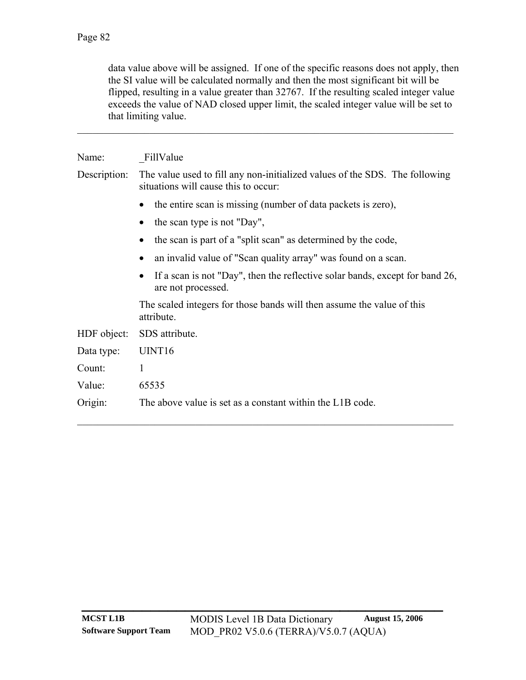data value above will be assigned. If one of the specific reasons does not apply, then the SI value will be calculated normally and then the most significant bit will be flipped, resulting in a value greater than 32767. If the resulting scaled integer value exceeds the value of NAD closed upper limit, the scaled integer value will be set to that limiting value.

## Name: FillValue

Description: The value used to fill any non-initialized values of the SDS. The following situations will cause this to occur:

 $\mathcal{L}_\mathcal{L} = \{ \mathcal{L}_\mathcal{L} = \{ \mathcal{L}_\mathcal{L} = \{ \mathcal{L}_\mathcal{L} = \{ \mathcal{L}_\mathcal{L} = \{ \mathcal{L}_\mathcal{L} = \{ \mathcal{L}_\mathcal{L} = \{ \mathcal{L}_\mathcal{L} = \{ \mathcal{L}_\mathcal{L} = \{ \mathcal{L}_\mathcal{L} = \{ \mathcal{L}_\mathcal{L} = \{ \mathcal{L}_\mathcal{L} = \{ \mathcal{L}_\mathcal{L} = \{ \mathcal{L}_\mathcal{L} = \{ \mathcal{L}_\mathcal{$ 

- the entire scan is missing (number of data packets is zero),
- the scan type is not "Day",
- the scan is part of a "split scan" as determined by the code,
- an invalid value of "Scan quality array" was found on a scan.
- If a scan is not "Day", then the reflective solar bands, except for band 26, are not processed.

The scaled integers for those bands will then assume the value of this attribute.

HDF object: SDS attribute. Data type: UINT16 Count: 1 Value: 65535 Origin: The above value is set as a constant within the L1B code.  $\mathcal{L}_\mathcal{L} = \{ \mathcal{L}_\mathcal{L} = \{ \mathcal{L}_\mathcal{L} = \{ \mathcal{L}_\mathcal{L} = \{ \mathcal{L}_\mathcal{L} = \{ \mathcal{L}_\mathcal{L} = \{ \mathcal{L}_\mathcal{L} = \{ \mathcal{L}_\mathcal{L} = \{ \mathcal{L}_\mathcal{L} = \{ \mathcal{L}_\mathcal{L} = \{ \mathcal{L}_\mathcal{L} = \{ \mathcal{L}_\mathcal{L} = \{ \mathcal{L}_\mathcal{L} = \{ \mathcal{L}_\mathcal{L} = \{ \mathcal{L}_\mathcal{$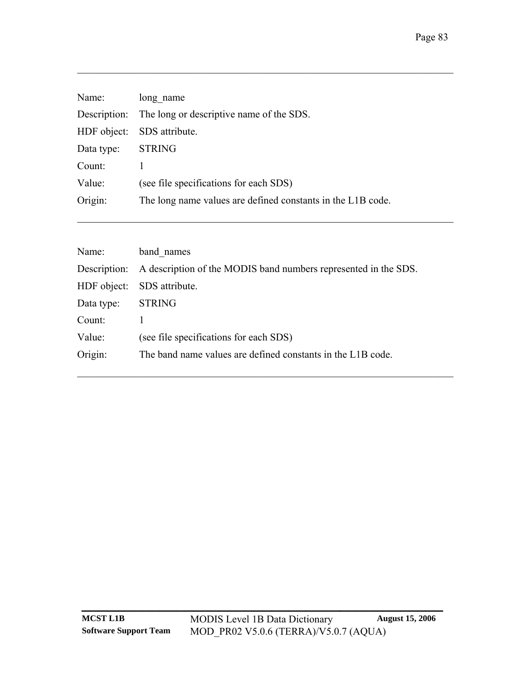| Name:             | long name                                                   |
|-------------------|-------------------------------------------------------------|
|                   | Description: The long or descriptive name of the SDS.       |
|                   | HDF object: SDS attribute.                                  |
| Data type: STRING |                                                             |
| Count:            |                                                             |
| Value:            | (see file specifications for each SDS)                      |
| Origin:           | The long name values are defined constants in the L1B code. |

 $\mathcal{L}_\text{max} = \mathcal{L}_\text{max} = \mathcal{L}_\text{max} = \mathcal{L}_\text{max} = \mathcal{L}_\text{max} = \mathcal{L}_\text{max} = \mathcal{L}_\text{max} = \mathcal{L}_\text{max} = \mathcal{L}_\text{max} = \mathcal{L}_\text{max} = \mathcal{L}_\text{max} = \mathcal{L}_\text{max} = \mathcal{L}_\text{max} = \mathcal{L}_\text{max} = \mathcal{L}_\text{max} = \mathcal{L}_\text{max} = \mathcal{L}_\text{max} = \mathcal{L}_\text{max} = \mathcal{$ 

| Name:       | band names                                                                   |
|-------------|------------------------------------------------------------------------------|
|             | Description: A description of the MODIS band numbers represented in the SDS. |
| HDF object: | SDS attribute.                                                               |
| Data type:  | <b>STRING</b>                                                                |
| Count:      |                                                                              |
| Value:      | (see file specifications for each SDS)                                       |
| Origin:     | The band name values are defined constants in the L1B code.                  |
|             |                                                                              |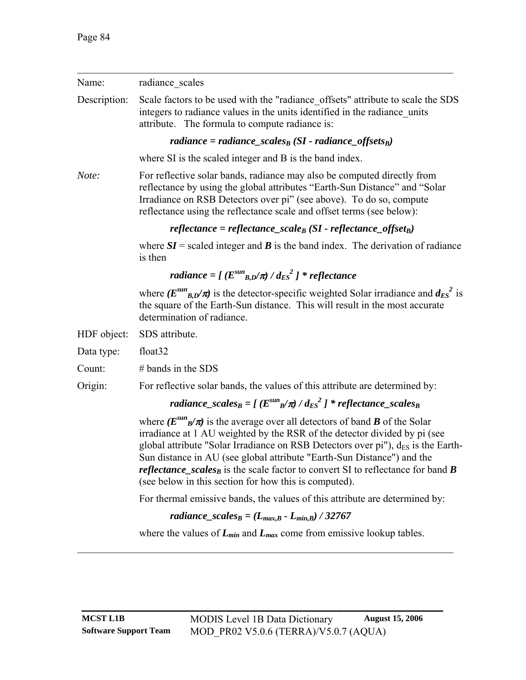| Name:        | radiance scales                                                                                                                                                                                                                                                                                                                                                                                                                                                                                              |
|--------------|--------------------------------------------------------------------------------------------------------------------------------------------------------------------------------------------------------------------------------------------------------------------------------------------------------------------------------------------------------------------------------------------------------------------------------------------------------------------------------------------------------------|
| Description: | Scale factors to be used with the "radiance offsets" attribute to scale the SDS<br>integers to radiance values in the units identified in the radiance units<br>attribute. The formula to compute radiance is:                                                                                                                                                                                                                                                                                               |
|              | radiance = radiance_scales <sub>B</sub> (SI - radiance_offsets <sub>B</sub> )                                                                                                                                                                                                                                                                                                                                                                                                                                |
|              | where SI is the scaled integer and B is the band index.                                                                                                                                                                                                                                                                                                                                                                                                                                                      |
| Note:        | For reflective solar bands, radiance may also be computed directly from<br>reflectance by using the global attributes "Earth-Sun Distance" and "Solar<br>Irradiance on RSB Detectors over pi" (see above). To do so, compute<br>reflectance using the reflectance scale and offset terms (see below):                                                                                                                                                                                                        |
|              | reflectance = reflectance_scale <sub>B</sub> (SI - reflectance_offset <sub>B</sub> )                                                                                                                                                                                                                                                                                                                                                                                                                         |
|              | where $SI$ = scaled integer and <b>B</b> is the band index. The derivation of radiance<br>is then                                                                                                                                                                                                                                                                                                                                                                                                            |
|              | radiance = $[(E^{sun}_{B,D}/\pi) / d_{ES}^2]$ * reflectance                                                                                                                                                                                                                                                                                                                                                                                                                                                  |
|              | where $(E^{sun}_{B,D}/\pi)$ is the detector-specific weighted Solar irradiance and $d_{ES}^2$ is<br>the square of the Earth-Sun distance. This will result in the most accurate<br>determination of radiance.                                                                                                                                                                                                                                                                                                |
| HDF object:  | SDS attribute.                                                                                                                                                                                                                                                                                                                                                                                                                                                                                               |
| Data type:   | float <sub>32</sub>                                                                                                                                                                                                                                                                                                                                                                                                                                                                                          |
| Count:       | $#$ bands in the SDS                                                                                                                                                                                                                                                                                                                                                                                                                                                                                         |
| Origin:      | For reflective solar bands, the values of this attribute are determined by:                                                                                                                                                                                                                                                                                                                                                                                                                                  |
|              | radiance_scales <sub>B</sub> = [( $E^{sun}$ <sub>B</sub> $/\pi$ ) / $d_{ES}^2$ ] * reflectance_scales <sub>B</sub>                                                                                                                                                                                                                                                                                                                                                                                           |
|              | where $(E^{sun}_{B}/\pi)$ is the average over all detectors of band <b>B</b> of the Solar<br>irradiance at 1 AU weighted by the RSR of the detector divided by pi (see<br>global attribute "Solar Irradiance on RSB Detectors over $pi$ "), $d_{ES}$ is the Earth-<br>Sun distance in AU (see global attribute "Earth-Sun Distance") and the<br><i>reflectance_scales<sub>B</sub></i> is the scale factor to convert SI to reflectance for band $B$<br>(see below in this section for how this is computed). |
|              | For thermal emissive bands, the values of this attribute are determined by:                                                                                                                                                                                                                                                                                                                                                                                                                                  |
|              | radiance_scales <sub>B</sub> = $(L_{max,B} - L_{min,B})$ / 32767                                                                                                                                                                                                                                                                                                                                                                                                                                             |
|              | where the values of $L_{min}$ and $L_{max}$ come from emissive lookup tables.                                                                                                                                                                                                                                                                                                                                                                                                                                |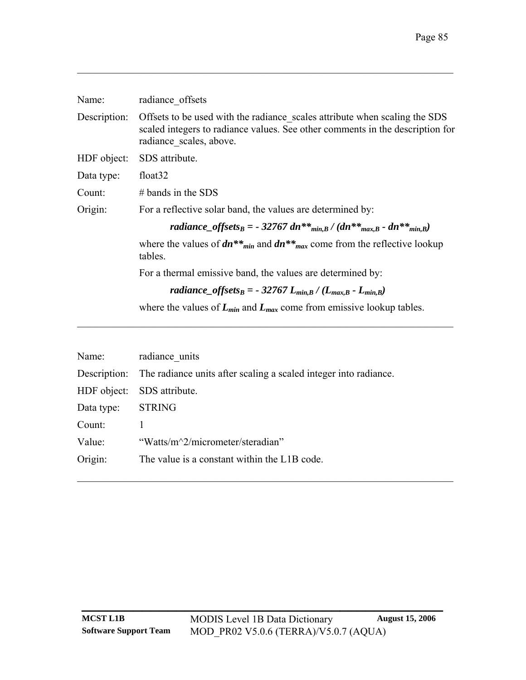| Name:        | radiance offsets                                                                                                                                                                       |
|--------------|----------------------------------------------------------------------------------------------------------------------------------------------------------------------------------------|
| Description: | Offsets to be used with the radiance scales attribute when scaling the SDS<br>scaled integers to radiance values. See other comments in the description for<br>radiance scales, above. |
| HDF object:  | SDS attribute.                                                                                                                                                                         |
| Data type:   | float <sub>32</sub>                                                                                                                                                                    |
| Count:       | $#$ bands in the SDS                                                                                                                                                                   |
| Origin:      | For a reflective solar band, the values are determined by:                                                                                                                             |
|              | radiance_offsets <sub>B</sub> = - 32767 dn** <sub>min,B</sub> / (dn** <sub>max,B</sub> - dn** <sub>min,B</sub> )                                                                       |
|              | where the values of $dn^{**}m_{min}$ and $dn^{**}m_{max}$ come from the reflective lookup<br>tables.                                                                                   |
|              | For a thermal emissive band, the values are determined by:                                                                                                                             |
|              | radiance_offsets <sub>B</sub> = - 32767 L <sub>min,B</sub> / (L <sub>max,B</sub> - L <sub>min,B</sub> )                                                                                |
|              | where the values of $L_{min}$ and $L_{max}$ come from emissive lookup tables.                                                                                                          |

| Name:      | radiance units                                                                |
|------------|-------------------------------------------------------------------------------|
|            | Description: The radiance units after scaling a scaled integer into radiance. |
|            | HDF object: SDS attribute.                                                    |
| Data type: | <b>STRING</b>                                                                 |
| Count:     |                                                                               |
| Value:     | "Watts/m <sup>2</sup> /micrometer/steradian"                                  |
| Origin:    | The value is a constant within the L1B code.                                  |
|            |                                                                               |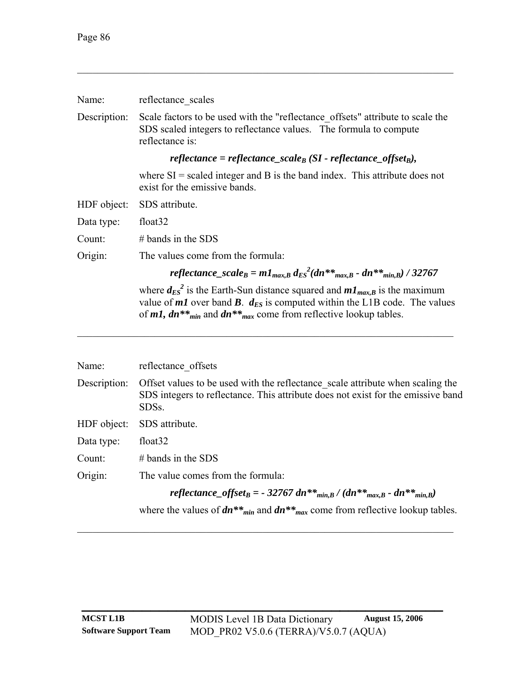| Name:        | reflectance scales                                                                                                                                                                                                                                       |  |  |
|--------------|----------------------------------------------------------------------------------------------------------------------------------------------------------------------------------------------------------------------------------------------------------|--|--|
| Description: | Scale factors to be used with the "reflectance_offsets" attribute to scale the<br>SDS scaled integers to reflectance values. The formula to compute<br>reflectance is:                                                                                   |  |  |
|              | reflectance = reflectance_scale <sub>B</sub> (SI - reflectance_offset <sub>B</sub> ),                                                                                                                                                                    |  |  |
|              | where $SI$ = scaled integer and B is the band index. This attribute does not<br>exist for the emissive bands.                                                                                                                                            |  |  |
| HDF object:  | SDS attribute.                                                                                                                                                                                                                                           |  |  |
| Data type:   | float <sub>32</sub>                                                                                                                                                                                                                                      |  |  |
| Count:       | $#$ bands in the SDS                                                                                                                                                                                                                                     |  |  |
| Origin:      | The values come from the formula:                                                                                                                                                                                                                        |  |  |
|              | reflectance_scale <sub>B</sub> = $m_{{max,B}} d_{ES}^{2}(dn^{**}{}_{max,B} - dn^{**}{}_{min,B})$ / 32767                                                                                                                                                 |  |  |
|              | where $d_{ES}^2$ is the Earth-Sun distance squared and $m_{{max,B}}$ is the maximum<br>value of $m1$ over band $B$ . $d_{ES}$ is computed within the L1B code. The values<br>of $m1$ , $dn**_{min}$ and $dn**_{max}$ come from reflective lookup tables. |  |  |
| Name:        | reflectance offsets                                                                                                                                                                                                                                      |  |  |
| Description: | Offset values to be used with the reflectance scale attribute when scaling the<br>SDS integers to reflectance. This attribute does not exist for the emissive band<br>SDSs.                                                                              |  |  |
| HDF object:  | SDS attribute.                                                                                                                                                                                                                                           |  |  |

| Data type: | float <sub>32</sub> |
|------------|---------------------|
|------------|---------------------|

Count: # bands in the SDS

Origin: The value comes from the formula:

*reflectance\_offset<sub>B</sub> = - 32767 dn\*\**  $_{min,B} / (dn^{**} {_{max,B}} - dn^{**} {_{min,B}})$ 

where the values of  $dn^{**}$ <sub>*min*</sub> and  $dn^{**}$ <sub>*max*</sub> come from reflective lookup tables.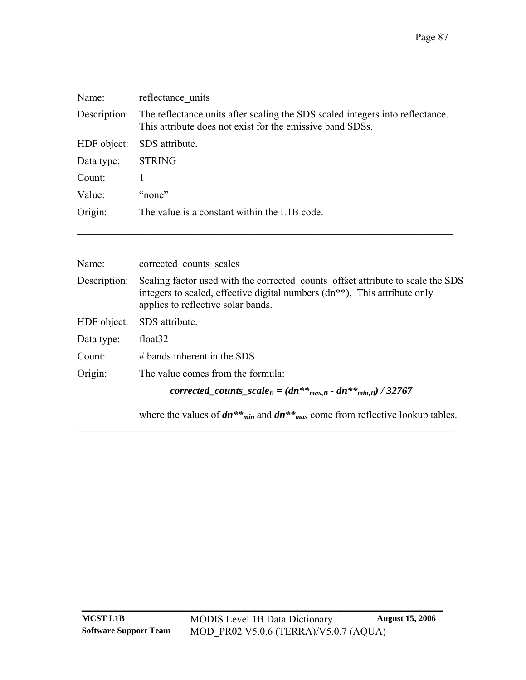| Name:        | reflectance units                                                                                                                          |
|--------------|--------------------------------------------------------------------------------------------------------------------------------------------|
| Description: | The reflectance units after scaling the SDS scaled integers into reflectance.<br>This attribute does not exist for the emissive band SDSs. |
| HDF object:  | SDS attribute.                                                                                                                             |
| Data type:   | <b>STRING</b>                                                                                                                              |
| Count:       |                                                                                                                                            |
| Value:       | "none"                                                                                                                                     |
| Origin:      | The value is a constant within the L1B code.                                                                                               |

| Name:        | corrected counts scales                                                                                                                                                                                         |
|--------------|-----------------------------------------------------------------------------------------------------------------------------------------------------------------------------------------------------------------|
| Description: | Scaling factor used with the corrected counts offset attribute to scale the SDS<br>integers to scaled, effective digital numbers (dn <sup>**</sup> ). This attribute only<br>applies to reflective solar bands. |
| HDF object:  | SDS attribute.                                                                                                                                                                                                  |
| Data type:   | float <sub>32</sub>                                                                                                                                                                                             |
| Count:       | $#$ bands inherent in the SDS                                                                                                                                                                                   |
| Origin:      | The value comes from the formula:                                                                                                                                                                               |
|              | corrected_counts_scale <sub>B</sub> = $(dn^{**}$ <sub>max,B</sub> - $dn^{**}$ <sub>min,B</sub> $)/32767$                                                                                                        |
|              | where the values of $dn^{**}m_{in}$ and $dn^{**}m_{ax}$ come from reflective lookup tables.                                                                                                                     |

 $\mathcal{L}_\text{max} = \mathcal{L}_\text{max} = \mathcal{L}_\text{max} = \mathcal{L}_\text{max} = \mathcal{L}_\text{max} = \mathcal{L}_\text{max} = \mathcal{L}_\text{max} = \mathcal{L}_\text{max} = \mathcal{L}_\text{max} = \mathcal{L}_\text{max} = \mathcal{L}_\text{max} = \mathcal{L}_\text{max} = \mathcal{L}_\text{max} = \mathcal{L}_\text{max} = \mathcal{L}_\text{max} = \mathcal{L}_\text{max} = \mathcal{L}_\text{max} = \mathcal{L}_\text{max} = \mathcal{$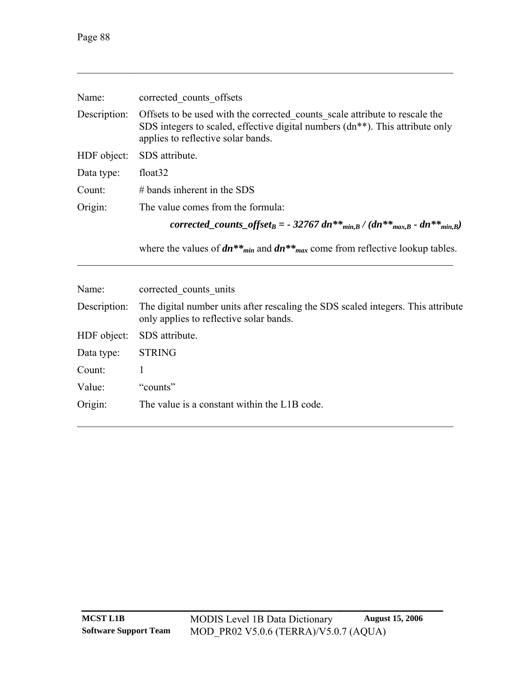| Name:        | corrected counts offsets                                                                                                                                                                                        |  |  |
|--------------|-----------------------------------------------------------------------------------------------------------------------------------------------------------------------------------------------------------------|--|--|
| Description: | Offsets to be used with the corrected counts scale attribute to rescale the<br>SDS integers to scaled, effective digital numbers (dn <sup>**</sup> ). This attribute only<br>applies to reflective solar bands. |  |  |
| HDF object:  | SDS attribute.                                                                                                                                                                                                  |  |  |
| Data type:   | float <sub>32</sub>                                                                                                                                                                                             |  |  |
| Count:       | $#$ bands inherent in the SDS                                                                                                                                                                                   |  |  |
| Origin:      | The value comes from the formula:                                                                                                                                                                               |  |  |
|              | corrected_counts_offset <sub>B</sub> = - 32767 dn** <sub>min,B</sub> / (dn** <sub>max,B</sub> - dn** <sub>min,B</sub> )                                                                                         |  |  |
|              | where the values of $dn^{**}m_{in}$ and $dn^{**}m_{ax}$ come from reflective lookup tables.                                                                                                                     |  |  |

| Name:        | corrected counts units                                                                                                      |
|--------------|-----------------------------------------------------------------------------------------------------------------------------|
| Description: | The digital number units after rescaling the SDS scaled integers. This attribute<br>only applies to reflective solar bands. |
| HDF object:  | SDS attribute.                                                                                                              |
| Data type:   | <b>STRING</b>                                                                                                               |
| Count:       |                                                                                                                             |
| Value:       | "counts"                                                                                                                    |
| Origin:      | The value is a constant within the L1B code.                                                                                |

 $\mathcal{L}_\text{max} = \mathcal{L}_\text{max} = \mathcal{L}_\text{max} = \mathcal{L}_\text{max} = \mathcal{L}_\text{max} = \mathcal{L}_\text{max} = \mathcal{L}_\text{max} = \mathcal{L}_\text{max} = \mathcal{L}_\text{max} = \mathcal{L}_\text{max} = \mathcal{L}_\text{max} = \mathcal{L}_\text{max} = \mathcal{L}_\text{max} = \mathcal{L}_\text{max} = \mathcal{L}_\text{max} = \mathcal{L}_\text{max} = \mathcal{L}_\text{max} = \mathcal{L}_\text{max} = \mathcal{$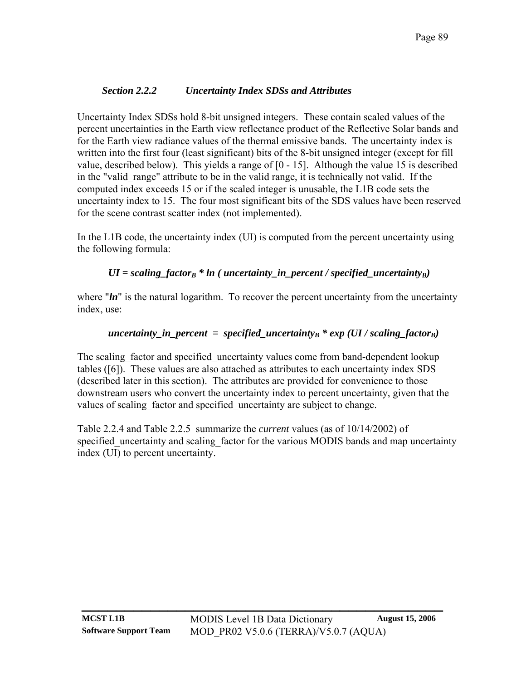## *Section 2.2.2 Uncertainty Index SDSs and Attributes*

<span id="page-92-0"></span>Uncertainty Index SDSs hold 8-bit unsigned integers. These contain scaled values of the percent uncertainties in the Earth view reflectance product of the Reflective Solar bands and for the Earth view radiance values of the thermal emissive bands. The uncertainty index is written into the first four (least significant) bits of the 8-bit unsigned integer (except for fill value, described below). This yields a range of [0 - 15]. Although the value 15 is described in the "valid range" attribute to be in the valid range, it is technically not valid. If the computed index exceeds 15 or if the scaled integer is unusable, the L1B code sets the uncertainty index to 15. The four most significant bits of the SDS values have been reserved for the scene contrast scatter index (not implemented).

In the L1B code, the uncertainty index (UI) is computed from the percent uncertainty using the following formula:

## *UI = scaling\_factor<sub>B</sub> \* ln ( uncertainty\_in\_percent / specified\_uncertainty<sub>B</sub>)*

where "*ln*" is the natural logarithm. To recover the percent uncertainty from the uncertainty index, use:

## *uncertainty in percent = specified uncertainty<sub>B</sub> \* exp (UI / scaling factor<sub>B</sub>)*

The scaling factor and specified uncertainty values come from band-dependent lookup tables [\(\[6\]](#page-107-0)). These values are also attached as attributes to each uncertainty index SDS (described later in this section). The attributes are provided for convenience to those downstream users who convert the uncertainty index to percent uncertainty, given that the values of scaling factor and specified uncertainty are subject to change.

[Table 2.2.4](#page-93-0) and [Table 2.2.5](#page-93-1) summarize the *current* values (as of 10/14/2002) of specified uncertainty and scaling factor for the various MODIS bands and map uncertainty index (UI) to percent uncertainty.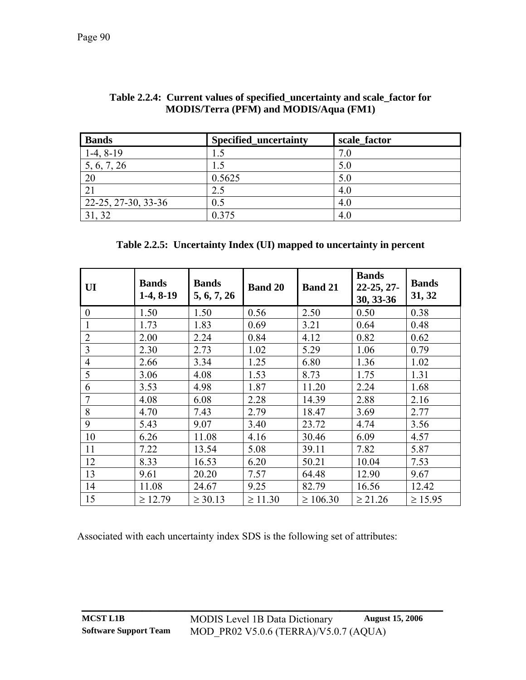<span id="page-93-0"></span>

| <b>Bands</b>        | <b>Specified_uncertainty</b> | scale factor |
|---------------------|------------------------------|--------------|
| $1-4, 8-19$         | 1.5                          | 7.0          |
| 5, 6, 7, 26         | 1.5                          | 5.0          |
| 20                  | 0.5625                       | 5.0          |
| 21                  | 2.5                          | 4.0          |
| 22-25, 27-30, 33-36 | 0.5                          | 4.0          |
| 31, 32              | 0.375                        | 4.0          |

| Table 2.2.4: Current values of specified_uncertainty and scale_factor for |  |
|---------------------------------------------------------------------------|--|
| <b>MODIS/Terra (PFM) and MODIS/Aqua (FM1)</b>                             |  |

#### **Table 2.2.5: Uncertainty Index (UI) mapped to uncertainty in percent**

<span id="page-93-1"></span>

| UI               | <b>Bands</b><br>$1-4, 8-19$ | <b>Bands</b><br>5, 6, 7, 26 | <b>Band 20</b> | <b>Band 21</b> | <b>Bands</b><br>$22-25, 27-$<br>30, 33-36 | <b>Bands</b><br>31, 32 |
|------------------|-----------------------------|-----------------------------|----------------|----------------|-------------------------------------------|------------------------|
| $\boldsymbol{0}$ | 1.50                        | 1.50                        | 0.56           | 2.50           | 0.50                                      | 0.38                   |
| 1                | 1.73                        | 1.83                        | 0.69           | 3.21           | 0.64                                      | 0.48                   |
| $\overline{2}$   | 2.00                        | 2.24                        | 0.84           | 4.12           | 0.82                                      | 0.62                   |
| 3                | 2.30                        | 2.73                        | 1.02           | 5.29           | 1.06                                      | 0.79                   |
| $\overline{4}$   | 2.66                        | 3.34                        | 1.25           | 6.80           | 1.36                                      | 1.02                   |
| 5                | 3.06                        | 4.08                        | 1.53           | 8.73           | 1.75                                      | 1.31                   |
| 6                | 3.53                        | 4.98                        | 1.87           | 11.20          | 2.24                                      | 1.68                   |
| $\overline{7}$   | 4.08                        | 6.08                        | 2.28           | 14.39          | 2.88                                      | 2.16                   |
| 8                | 4.70                        | 7.43                        | 2.79           | 18.47          | 3.69                                      | 2.77                   |
| 9                | 5.43                        | 9.07                        | 3.40           | 23.72          | 4.74                                      | 3.56                   |
| 10               | 6.26                        | 11.08                       | 4.16           | 30.46          | 6.09                                      | 4.57                   |
| 11               | 7.22                        | 13.54                       | 5.08           | 39.11          | 7.82                                      | 5.87                   |
| 12               | 8.33                        | 16.53                       | 6.20           | 50.21          | 10.04                                     | 7.53                   |
| 13               | 9.61                        | 20.20                       | 7.57           | 64.48          | 12.90                                     | 9.67                   |
| 14               | 11.08                       | 24.67                       | 9.25           | 82.79          | 16.56                                     | 12.42                  |
| 15               | $\geq 12.79$                | $\geq 30.13$                | $\geq 11.30$   | $\geq 106.30$  | $\geq 21.26$                              | $\geq 15.95$           |

Associated with each uncertainty index SDS is the following set of attributes: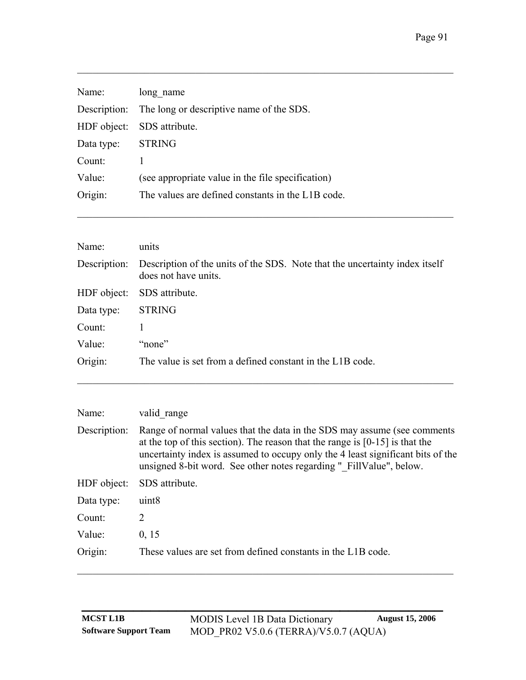| Name:             | long name                                             |
|-------------------|-------------------------------------------------------|
|                   | Description: The long or descriptive name of the SDS. |
|                   | HDF object: SDS attribute.                            |
| Data type: STRING |                                                       |
| Count:            |                                                       |
| Value:            | (see appropriate value in the file specification)     |
| Origin:           | The values are defined constants in the L1B code.     |
|                   |                                                       |

| Name:        | units                                                                                               |
|--------------|-----------------------------------------------------------------------------------------------------|
| Description: | Description of the units of the SDS. Note that the uncertainty index itself<br>does not have units. |
| HDF object:  | SDS attribute.                                                                                      |
| Data type:   | <b>STRING</b>                                                                                       |
| Count:       |                                                                                                     |
| Value:       | "none"                                                                                              |
| Origin:      | The value is set from a defined constant in the L1B code.                                           |

 $\mathcal{L}_\text{max} = \mathcal{L}_\text{max} = \mathcal{L}_\text{max} = \mathcal{L}_\text{max} = \mathcal{L}_\text{max} = \mathcal{L}_\text{max} = \mathcal{L}_\text{max} = \mathcal{L}_\text{max} = \mathcal{L}_\text{max} = \mathcal{L}_\text{max} = \mathcal{L}_\text{max} = \mathcal{L}_\text{max} = \mathcal{L}_\text{max} = \mathcal{L}_\text{max} = \mathcal{L}_\text{max} = \mathcal{L}_\text{max} = \mathcal{L}_\text{max} = \mathcal{L}_\text{max} = \mathcal{$ 

 $\mathcal{L}_\mathcal{L} = \{ \mathcal{L}_\mathcal{L} = \{ \mathcal{L}_\mathcal{L} = \{ \mathcal{L}_\mathcal{L} = \{ \mathcal{L}_\mathcal{L} = \{ \mathcal{L}_\mathcal{L} = \{ \mathcal{L}_\mathcal{L} = \{ \mathcal{L}_\mathcal{L} = \{ \mathcal{L}_\mathcal{L} = \{ \mathcal{L}_\mathcal{L} = \{ \mathcal{L}_\mathcal{L} = \{ \mathcal{L}_\mathcal{L} = \{ \mathcal{L}_\mathcal{L} = \{ \mathcal{L}_\mathcal{L} = \{ \mathcal{L}_\mathcal{$ 

| valid range                                                                                                                                                                                                                                                                                                          |
|----------------------------------------------------------------------------------------------------------------------------------------------------------------------------------------------------------------------------------------------------------------------------------------------------------------------|
| Range of normal values that the data in the SDS may assume (see comments<br>at the top of this section). The reason that the range is $[0-15]$ is that the<br>uncertainty index is assumed to occupy only the 4 least significant bits of the<br>unsigned 8-bit word. See other notes regarding " FillValue", below. |
| SDS attribute.                                                                                                                                                                                                                                                                                                       |
| uint <sub>8</sub>                                                                                                                                                                                                                                                                                                    |
| 2                                                                                                                                                                                                                                                                                                                    |
| 0, 15                                                                                                                                                                                                                                                                                                                |
| These values are set from defined constants in the L1B code.                                                                                                                                                                                                                                                         |
|                                                                                                                                                                                                                                                                                                                      |

 $\mathcal{L}_\mathcal{L} = \{ \mathcal{L}_\mathcal{L} = \{ \mathcal{L}_\mathcal{L} = \{ \mathcal{L}_\mathcal{L} = \{ \mathcal{L}_\mathcal{L} = \{ \mathcal{L}_\mathcal{L} = \{ \mathcal{L}_\mathcal{L} = \{ \mathcal{L}_\mathcal{L} = \{ \mathcal{L}_\mathcal{L} = \{ \mathcal{L}_\mathcal{L} = \{ \mathcal{L}_\mathcal{L} = \{ \mathcal{L}_\mathcal{L} = \{ \mathcal{L}_\mathcal{L} = \{ \mathcal{L}_\mathcal{L} = \{ \mathcal{L}_\mathcal{$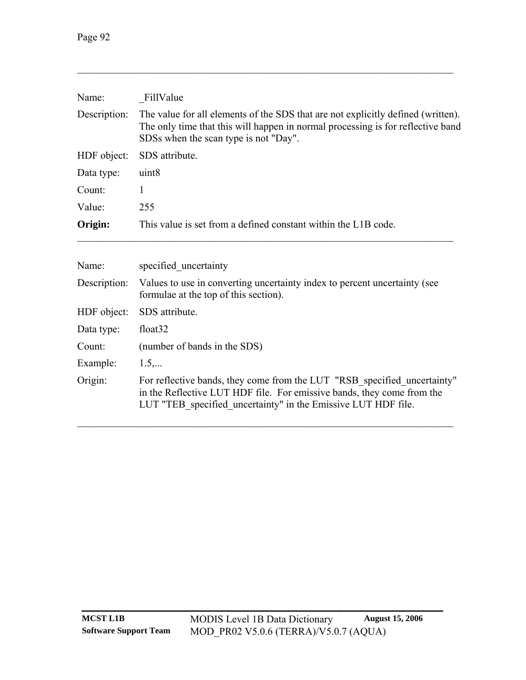| Name:                                                                                                                              | FillValue<br>The value for all elements of the SDS that are not explicitly defined (written).<br>The only time that this will happen in normal processing is for reflective band<br>SDSs when the scan type is not "Day". |  |  |  |
|------------------------------------------------------------------------------------------------------------------------------------|---------------------------------------------------------------------------------------------------------------------------------------------------------------------------------------------------------------------------|--|--|--|
| Description:                                                                                                                       |                                                                                                                                                                                                                           |  |  |  |
| HDF object:                                                                                                                        | SDS attribute.                                                                                                                                                                                                            |  |  |  |
| uint <sub>8</sub><br>Data type:                                                                                                    |                                                                                                                                                                                                                           |  |  |  |
| Count:                                                                                                                             | 1<br>255                                                                                                                                                                                                                  |  |  |  |
| Value:                                                                                                                             |                                                                                                                                                                                                                           |  |  |  |
| Origin:<br>This value is set from a defined constant within the L1B code.                                                          |                                                                                                                                                                                                                           |  |  |  |
| Name:                                                                                                                              | specified uncertainty                                                                                                                                                                                                     |  |  |  |
| Description:<br>Values to use in converting uncertainty index to percent uncertainty (see<br>formulae at the top of this section). |                                                                                                                                                                                                                           |  |  |  |
| HDF object:                                                                                                                        | SDS attribute.                                                                                                                                                                                                            |  |  |  |
| float <sub>32</sub><br>Data type:                                                                                                  |                                                                                                                                                                                                                           |  |  |  |

Count: (number of bands in the SDS)

Example:  $1.5,...$ Origin: For reflective bands, they come from the LUT "RSB\_specified\_uncertainty" in the Reflective LUT HDF file. For emissive bands, they come from the LUT "TEB\_specified\_uncertainty" in the Emissive LUT HDF file.

 $\mathcal{L}_\mathcal{L} = \{ \mathcal{L}_\mathcal{L} = \{ \mathcal{L}_\mathcal{L} = \{ \mathcal{L}_\mathcal{L} = \{ \mathcal{L}_\mathcal{L} = \{ \mathcal{L}_\mathcal{L} = \{ \mathcal{L}_\mathcal{L} = \{ \mathcal{L}_\mathcal{L} = \{ \mathcal{L}_\mathcal{L} = \{ \mathcal{L}_\mathcal{L} = \{ \mathcal{L}_\mathcal{L} = \{ \mathcal{L}_\mathcal{L} = \{ \mathcal{L}_\mathcal{L} = \{ \mathcal{L}_\mathcal{L} = \{ \mathcal{L}_\mathcal{$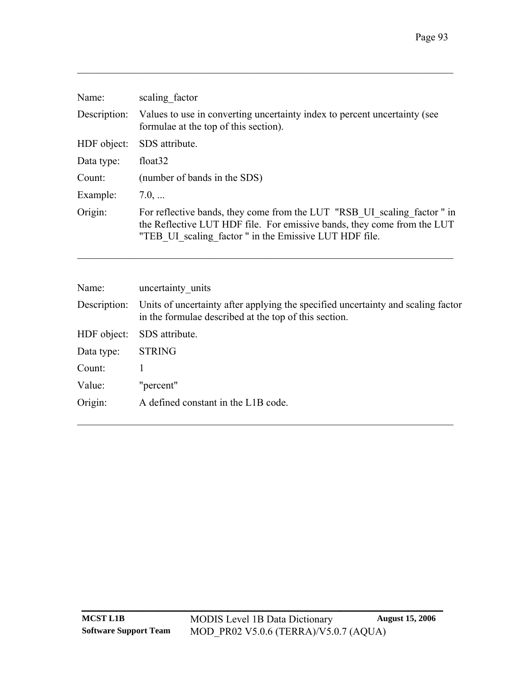| Name:        | scaling factor                                                                                                                                                                                              |
|--------------|-------------------------------------------------------------------------------------------------------------------------------------------------------------------------------------------------------------|
| Description: | Values to use in converting uncertainty index to percent uncertainty (see<br>formulae at the top of this section).                                                                                          |
| HDF object:  | SDS attribute.                                                                                                                                                                                              |
| Data type:   | float <sub>32</sub>                                                                                                                                                                                         |
| Count:       | (number of bands in the SDS)                                                                                                                                                                                |
| Example:     | 7.0,                                                                                                                                                                                                        |
| Origin:      | For reflective bands, they come from the LUT "RSB UI scaling factor" in<br>the Reflective LUT HDF file. For emissive bands, they come from the LUT<br>"TEB UI scaling factor" in the Emissive LUT HDF file. |

 $\mathcal{L}_\mathcal{L} = \{ \mathcal{L}_\mathcal{L} = \{ \mathcal{L}_\mathcal{L} = \{ \mathcal{L}_\mathcal{L} = \{ \mathcal{L}_\mathcal{L} = \{ \mathcal{L}_\mathcal{L} = \{ \mathcal{L}_\mathcal{L} = \{ \mathcal{L}_\mathcal{L} = \{ \mathcal{L}_\mathcal{L} = \{ \mathcal{L}_\mathcal{L} = \{ \mathcal{L}_\mathcal{L} = \{ \mathcal{L}_\mathcal{L} = \{ \mathcal{L}_\mathcal{L} = \{ \mathcal{L}_\mathcal{L} = \{ \mathcal{L}_\mathcal{$ 

| Name:        | uncertainty units                                                                                                                         |
|--------------|-------------------------------------------------------------------------------------------------------------------------------------------|
| Description: | Units of uncertainty after applying the specified uncertainty and scaling factor<br>in the formulae described at the top of this section. |
| HDF object:  | SDS attribute.                                                                                                                            |
| Data type:   | <b>STRING</b>                                                                                                                             |
| Count:       |                                                                                                                                           |
| Value:       | "percent"                                                                                                                                 |
| Origin:      | A defined constant in the L1B code.                                                                                                       |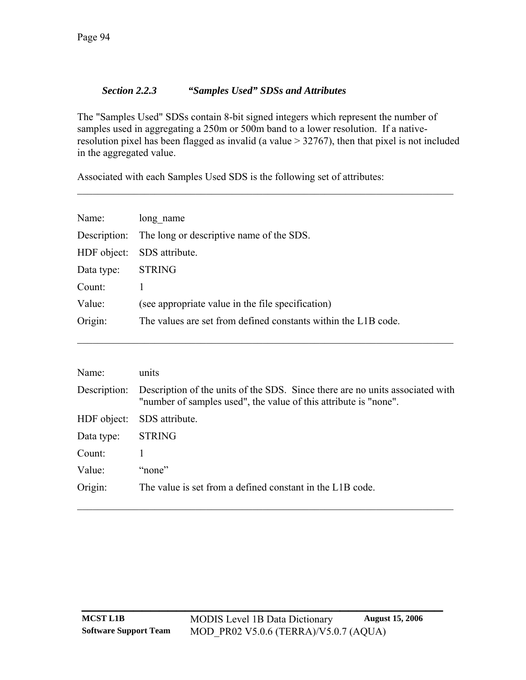### *Section 2.2.3 "Samples Used" SDSs and Attributes*

<span id="page-97-0"></span>The "Samples Used" SDSs contain 8-bit signed integers which represent the number of samples used in aggregating a 250m or 500m band to a lower resolution. If a nativeresolution pixel has been flagged as invalid (a value > 32767), then that pixel is not included in the aggregated value.

 $\mathcal{L}_\mathcal{L} = \{ \mathcal{L}_\mathcal{L} = \{ \mathcal{L}_\mathcal{L} = \{ \mathcal{L}_\mathcal{L} = \{ \mathcal{L}_\mathcal{L} = \{ \mathcal{L}_\mathcal{L} = \{ \mathcal{L}_\mathcal{L} = \{ \mathcal{L}_\mathcal{L} = \{ \mathcal{L}_\mathcal{L} = \{ \mathcal{L}_\mathcal{L} = \{ \mathcal{L}_\mathcal{L} = \{ \mathcal{L}_\mathcal{L} = \{ \mathcal{L}_\mathcal{L} = \{ \mathcal{L}_\mathcal{L} = \{ \mathcal{L}_\mathcal{$ 

Associated with each Samples Used SDS is the following set of attributes:

| Name:       | long name                                                      |  |  |  |  |
|-------------|----------------------------------------------------------------|--|--|--|--|
|             | Description: The long or descriptive name of the SDS.          |  |  |  |  |
| HDF object: | SDS attribute.                                                 |  |  |  |  |
| Data type:  | <b>STRING</b>                                                  |  |  |  |  |
| Count:      | 1                                                              |  |  |  |  |
| Value:      | (see appropriate value in the file specification)              |  |  |  |  |
| Origin:     | The values are set from defined constants within the L1B code. |  |  |  |  |
|             |                                                                |  |  |  |  |

| Name:        | units                                                                                                                                             |  |  |  |  |  |
|--------------|---------------------------------------------------------------------------------------------------------------------------------------------------|--|--|--|--|--|
| Description: | Description of the units of the SDS. Since there are no units associated with<br>"number of samples used", the value of this attribute is "none". |  |  |  |  |  |
| HDF object:  | SDS attribute.                                                                                                                                    |  |  |  |  |  |
| Data type:   | <b>STRING</b>                                                                                                                                     |  |  |  |  |  |
| Count:       |                                                                                                                                                   |  |  |  |  |  |
| Value:       | "none"                                                                                                                                            |  |  |  |  |  |
| Origin:      | The value is set from a defined constant in the L1B code.                                                                                         |  |  |  |  |  |
|              |                                                                                                                                                   |  |  |  |  |  |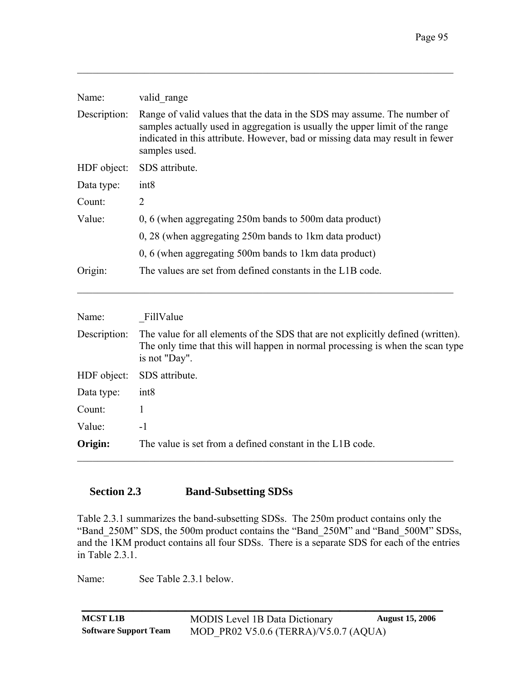| Name:        | valid range                                                                                                                                                                                                                                                |  |  |  |  |
|--------------|------------------------------------------------------------------------------------------------------------------------------------------------------------------------------------------------------------------------------------------------------------|--|--|--|--|
| Description: | Range of valid values that the data in the SDS may assume. The number of<br>samples actually used in aggregation is usually the upper limit of the range<br>indicated in this attribute. However, bad or missing data may result in fewer<br>samples used. |  |  |  |  |
| HDF object:  | SDS attribute.                                                                                                                                                                                                                                             |  |  |  |  |
| Data type:   | int <sub>8</sub>                                                                                                                                                                                                                                           |  |  |  |  |
| Count:       | 2                                                                                                                                                                                                                                                          |  |  |  |  |
| Value:       | 0, 6 (when aggregating 250m bands to 500m data product)                                                                                                                                                                                                    |  |  |  |  |
|              | 0, 28 (when aggregating 250m bands to 1km data product)                                                                                                                                                                                                    |  |  |  |  |
|              | 0, 6 (when aggregating 500m bands to 1km data product)                                                                                                                                                                                                     |  |  |  |  |
| Origin:      | The values are set from defined constants in the L1B code.                                                                                                                                                                                                 |  |  |  |  |
|              |                                                                                                                                                                                                                                                            |  |  |  |  |

| Name:        | FillValue                                                                                                                                                                           |  |  |  |
|--------------|-------------------------------------------------------------------------------------------------------------------------------------------------------------------------------------|--|--|--|
| Description: | The value for all elements of the SDS that are not explicitly defined (written).<br>The only time that this will happen in normal processing is when the scan type<br>is not "Day". |  |  |  |
| HDF object:  | SDS attribute.                                                                                                                                                                      |  |  |  |
| Data type:   | int8                                                                                                                                                                                |  |  |  |
| Count:       |                                                                                                                                                                                     |  |  |  |
| Value:       | $-1$                                                                                                                                                                                |  |  |  |
| Origin:      | The value is set from a defined constant in the L1B code.                                                                                                                           |  |  |  |

### **Section 2.3 Band-Subsetting SDSs**

[Table 2.3.1](#page-99-0) summarizes the band-subsetting SDSs. The 250m product contains only the "Band 250M" SDS, the 500m product contains the "Band 250M" and "Band 500M" SDSs, and the 1KM product contains all four SDSs. There is a separate SDS for each of the entries in [Table 2.3.1.](#page-99-0)

Name: See [Table 2.3.1](#page-99-0) below.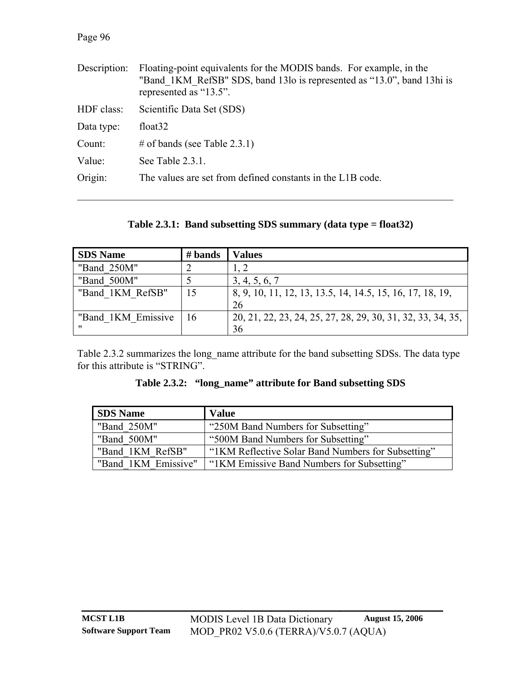#### Page 96

| Description: | Floating-point equivalents for the MODIS bands. For example, in the<br>"Band 1KM RefSB" SDS, band 13lo is represented as "13.0", band 13hi is<br>represented as "13.5". |  |  |  |
|--------------|-------------------------------------------------------------------------------------------------------------------------------------------------------------------------|--|--|--|
| HDF class:   | Scientific Data Set (SDS)                                                                                                                                               |  |  |  |
| Data type:   | float <sub>32</sub>                                                                                                                                                     |  |  |  |
| Count:       | # of bands (see Table 2.3.1)                                                                                                                                            |  |  |  |
| Value:       | See Table $2.3.1$ .                                                                                                                                                     |  |  |  |
| Origin:      | The values are set from defined constants in the L1B code.                                                                                                              |  |  |  |
|              |                                                                                                                                                                         |  |  |  |

**Table 2.3.1: Band subsetting SDS summary (data type = float32)** 

<span id="page-99-0"></span>

| <b>SDS</b> Name    | $#$ bands | Values                                                      |
|--------------------|-----------|-------------------------------------------------------------|
| "Band 250M"        |           |                                                             |
| "Band 500M"        |           | 3, 4, 5, 6, 7                                               |
| "Band 1KM RefSB"   | 15        | 8, 9, 10, 11, 12, 13, 13.5, 14, 14.5, 15, 16, 17, 18, 19,   |
|                    |           | 26                                                          |
| "Band 1KM Emissive | 16        | 20, 21, 22, 23, 24, 25, 27, 28, 29, 30, 31, 32, 33, 34, 35, |
| 11                 |           | 36                                                          |

<span id="page-99-1"></span>[Table 2.3.2](#page-99-1) summarizes the long\_name attribute for the band subsetting SDSs. The data type for this attribute is "STRING".

**Table 2.3.2: "long\_name" attribute for Band subsetting SDS** 

| <b>SDS</b> Name     | <b>Value</b>                                       |
|---------------------|----------------------------------------------------|
| "Band 250M"         | "250M Band Numbers for Subsetting"                 |
| "Band 500M"         | "500M Band Numbers for Subsetting"                 |
| "Band 1KM RefSB"    | "IKM Reflective Solar Band Numbers for Subsetting" |
| "Band 1KM Emissive" | "IKM Emissive Band Numbers for Subsetting"         |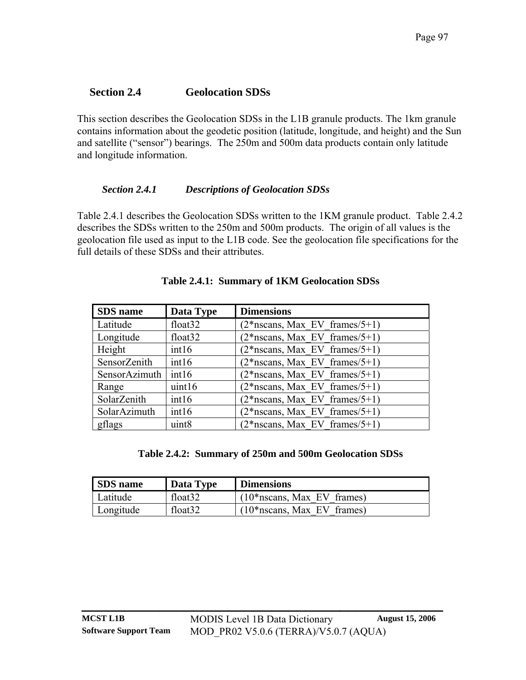## **Section 2.4 Geolocation SDSs**

This section describes the Geolocation SDSs in the L1B granule products. The 1km granule contains information about the geodetic position (latitude, longitude, and height) and the Sun and satellite ("sensor") bearings. The 250m and 500m data products contain only latitude and longitude information.

## *Section 2.4.1 Descriptions of Geolocation SDSs*

[Table 2.4.1](#page-100-0) describes the Geolocation SDSs written to the 1KM granule product. [Table 2.4.2](#page-100-1) describes the SDSs written to the 250m and 500m products. The origin of all values is the geolocation file used as input to the L1B code. See the geolocation file specifications for the full details of these SDSs and their attributes.

<span id="page-100-0"></span>

| SDS name      | Data Type           | <b>Dimensions</b>                |
|---------------|---------------------|----------------------------------|
| Latitude      | float <sub>32</sub> | $(2*$ nscans, Max EV frames/5+1) |
| Longitude     | float <sub>32</sub> | $(2*$ nscans, Max EV frames/5+1) |
| Height        | int16               | $(2*$ nscans, Max EV frames/5+1) |
| SensorZenith  | int16               | $(2*$ nscans, Max EV frames/5+1) |
| SensorAzimuth | int16               | $(2*$ nscans, Max EV frames/5+1) |
| Range         | uint16              | $(2*$ nscans, Max EV frames/5+1) |
| SolarZenith   | int16               | $(2*$ nscans, Max EV frames/5+1) |
| SolarAzimuth  | int16               | $(2*$ nscans, Max EV frames/5+1) |
| gflags        | uint <sub>8</sub>   | $(2*$ nscans, Max EV frames/5+1) |

## **Table 2.4.1: Summary of 1KM Geolocation SDSs**

## **Table 2.4.2: Summary of 250m and 500m Geolocation SDSs**

<span id="page-100-1"></span>

| <b>SDS</b> name | Data Type           | <b>Dimensions</b>             |
|-----------------|---------------------|-------------------------------|
| Latitude        | float <sub>32</sub> | $(10*$ nscans, Max EV frames) |
| Longitude       | float <sub>32</sub> | $(10*$ nscans, Max EV frames) |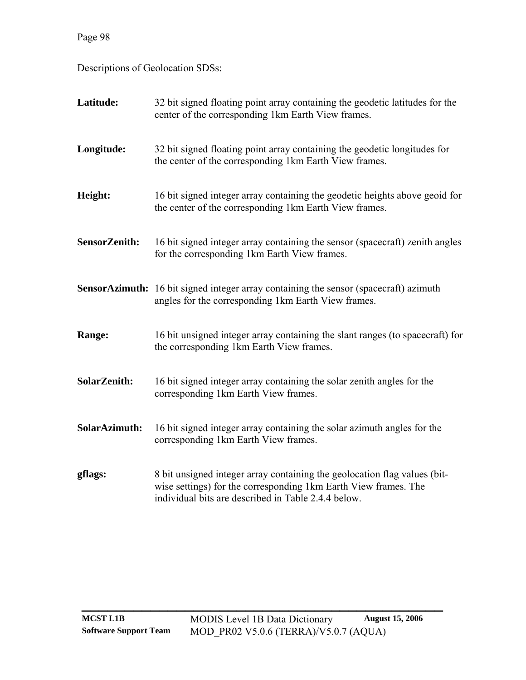Page 98

Descriptions of Geolocation SDSs:

| Latitude:     | 32 bit signed floating point array containing the geodetic latitudes for the<br>center of the corresponding 1km Earth View frames.                                                                  |
|---------------|-----------------------------------------------------------------------------------------------------------------------------------------------------------------------------------------------------|
| Longitude:    | 32 bit signed floating point array containing the geodetic longitudes for<br>the center of the corresponding 1km Earth View frames.                                                                 |
| Height:       | 16 bit signed integer array containing the geodetic heights above geoid for<br>the center of the corresponding 1km Earth View frames.                                                               |
| SensorZenith: | 16 bit signed integer array containing the sensor (spacecraft) zenith angles<br>for the corresponding 1km Earth View frames.                                                                        |
|               | <b>SensorAzimuth:</b> 16 bit signed integer array containing the sensor (spacecraft) azimuth<br>angles for the corresponding 1km Earth View frames.                                                 |
| Range:        | 16 bit unsigned integer array containing the slant ranges (to spacecraft) for<br>the corresponding 1km Earth View frames.                                                                           |
| SolarZenith:  | 16 bit signed integer array containing the solar zenith angles for the<br>corresponding 1km Earth View frames.                                                                                      |
| SolarAzimuth: | 16 bit signed integer array containing the solar azimuth angles for the<br>corresponding 1km Earth View frames.                                                                                     |
| gflags:       | 8 bit unsigned integer array containing the geolocation flag values (bit-<br>wise settings) for the corresponding 1km Earth View frames. The<br>individual bits are described in Table 2.4.4 below. |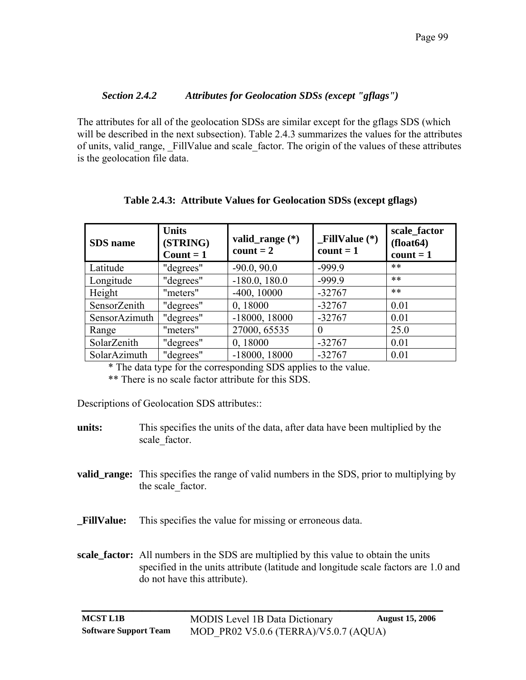#### *Section 2.4.2 Attributes for Geolocation SDSs (except "gflags")*

The attributes for all of the geolocation SDSs are similar except for the gflags SDS (which will be described in the next subsection). [Table 2.4.3](#page-102-0) summarizes the values for the attributes of units, valid range, FillValue and scale factor. The origin of the values of these attributes is the geolocation file data.

<span id="page-102-0"></span>

| SDS name      | <b>Units</b><br>(STRING)<br>Count = $1$ | valid_range $(*)$<br>$count = 2$ | $\_FillValue (*)$<br>$count = 1$ | scale_factor<br>(float64)<br>$count = 1$ |
|---------------|-----------------------------------------|----------------------------------|----------------------------------|------------------------------------------|
| Latitude      | "degrees"                               | $-90.0, 90.0$                    | $-999.9$                         | $***$                                    |
| Longitude     | "degrees"                               | $-180.0, 180.0$                  | $-999.9$                         | $***$                                    |
| Height        | "meters"                                | $-400, 10000$                    | $-32767$                         | $***$                                    |
| SensorZenith  | "degrees"                               | 0,18000                          | $-32767$                         | 0.01                                     |
| SensorAzimuth | "degrees"                               | $-18000, 18000$                  | $-32767$                         | 0.01                                     |
| Range         | "meters"                                | 27000, 65535                     | $\Omega$                         | 25.0                                     |
| SolarZenith   | "degrees"                               | 0,18000                          | $-32767$                         | 0.01                                     |
| SolarAzimuth  | "degrees"                               | $-18000, 18000$                  | $-32767$                         | 0.01                                     |

#### **Table 2.4.3: Attribute Values for Geolocation SDSs (except gflags)**

\* The data type for the corresponding SDS applies to the value.

\*\* There is no scale factor attribute for this SDS.

Descriptions of Geolocation SDS attributes::

**units:** This specifies the units of the data, after data have been multiplied by the scale\_factor.

- **valid\_range:** This specifies the range of valid numbers in the SDS, prior to multiplying by the scale factor.
- **\_FillValue:** This specifies the value for missing or erroneous data.
- **scale\_factor:** All numbers in the SDS are multiplied by this value to obtain the units specified in the units attribute (latitude and longitude scale factors are 1.0 and do not have this attribute).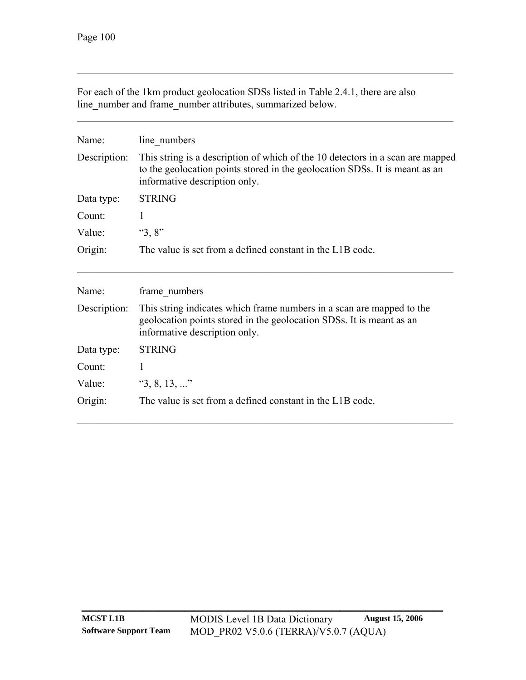| line number and frame number attributes, summarized below. |                                                                                                                                                                                                |  |  |
|------------------------------------------------------------|------------------------------------------------------------------------------------------------------------------------------------------------------------------------------------------------|--|--|
| Name:                                                      | line numbers                                                                                                                                                                                   |  |  |
| Description:                                               | This string is a description of which of the 10 detectors in a scan are mapped<br>to the geolocation points stored in the geolocation SDSs. It is meant as an<br>informative description only. |  |  |
| Data type:                                                 | <b>STRING</b>                                                                                                                                                                                  |  |  |
| Count:                                                     | 1                                                                                                                                                                                              |  |  |
| Value:                                                     | " $3, 8$ "                                                                                                                                                                                     |  |  |
| Origin:                                                    | The value is set from a defined constant in the L1B code.                                                                                                                                      |  |  |
| Name:                                                      | frame numbers                                                                                                                                                                                  |  |  |
| Description:                                               | This string indicates which frame numbers in a scan are mapped to the<br>geolocation points stored in the geolocation SDSs. It is meant as an<br>informative description only.                 |  |  |
| Data type:                                                 | <b>STRING</b>                                                                                                                                                                                  |  |  |
| Count:                                                     | 1                                                                                                                                                                                              |  |  |
| Value:                                                     | "3, 8, 13, "                                                                                                                                                                                   |  |  |
| Origin:                                                    | The value is set from a defined constant in the L1B code.                                                                                                                                      |  |  |

For each of the 1km product geolocation SDSs listed in [Table 2.4.1,](#page-100-0) there are also line\_number and frame\_number attributes, summarized below.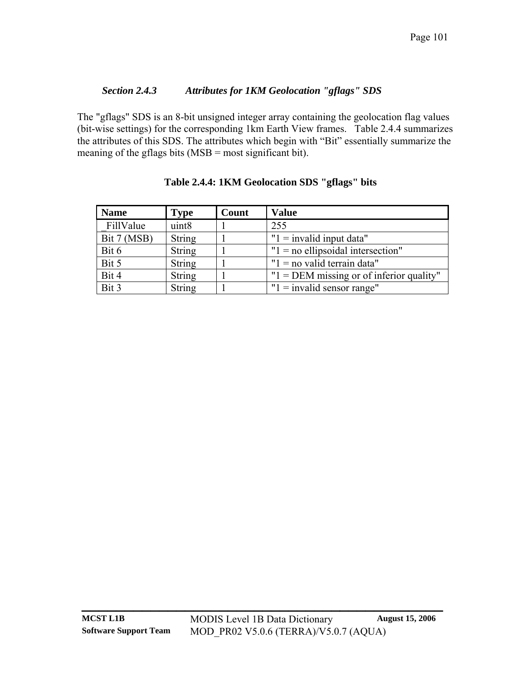## *Section 2.4.3 Attributes for 1KM Geolocation "gflags" SDS*

The "gflags" SDS is an 8-bit unsigned integer array containing the geolocation flag values (bit-wise settings) for the corresponding 1km Earth View frames. [Table 2.4.4](#page-104-0) summarizes the attributes of this SDS. The attributes which begin with "Bit" essentially summarize the meaning of the gflags bits (MSB = most significant bit).

<span id="page-104-0"></span>

| <b>Name</b> | <b>Type</b>       | Count | <b>Value</b>                               |
|-------------|-------------------|-------|--------------------------------------------|
| FillValue   | uint <sub>8</sub> |       | 255                                        |
| Bit 7 (MSB) | <b>String</b>     |       | " $1 =$ invalid input data"                |
| Bit 6       | <b>String</b>     |       | " $1 =$ no ellipsoidal intersection"       |
| Bit 5       | <b>String</b>     |       | " $1 = no$ valid terrain data"             |
| Bit 4       | <b>String</b>     |       | $"1 = DEM$ missing or of inferior quality" |
| Bit 3       | <b>String</b>     |       | " $1 =$ invalid sensor range"              |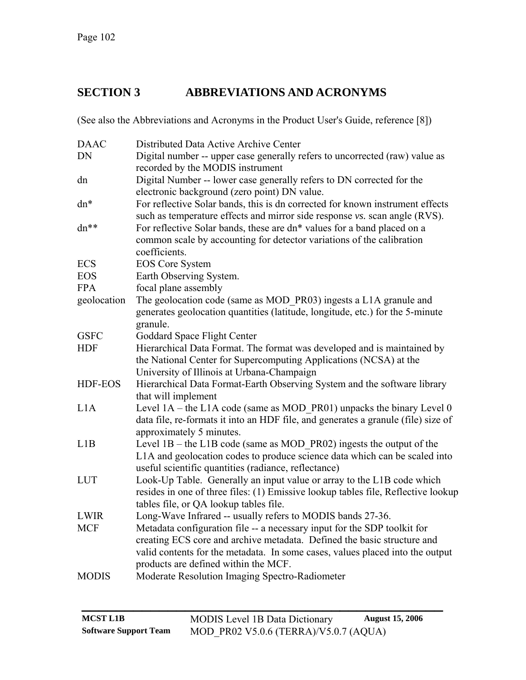# **SECTION 3 ABBREVIATIONS AND ACRONYMS**

(See also the Abbreviations and Acronyms in the Product User's Guide, reference [\[8\]\)](#page-107-1)

| <b>DAAC</b>    | Distributed Data Active Archive Center                                                                                      |
|----------------|-----------------------------------------------------------------------------------------------------------------------------|
| DN             | Digital number -- upper case generally refers to uncorrected (raw) value as                                                 |
|                | recorded by the MODIS instrument                                                                                            |
| dn             | Digital Number -- lower case generally refers to DN corrected for the                                                       |
|                | electronic background (zero point) DN value.                                                                                |
| dn*            | For reflective Solar bands, this is dn corrected for known instrument effects                                               |
|                | such as temperature effects and mirror side response vs. scan angle (RVS).                                                  |
| dn**           | For reflective Solar bands, these are dn* values for a band placed on a                                                     |
|                | common scale by accounting for detector variations of the calibration                                                       |
|                | coefficients.                                                                                                               |
| <b>ECS</b>     | <b>EOS</b> Core System                                                                                                      |
| <b>EOS</b>     | Earth Observing System.                                                                                                     |
| <b>FPA</b>     | focal plane assembly                                                                                                        |
| geolocation    | The geolocation code (same as MOD PR03) ingests a L1A granule and                                                           |
|                | generates geolocation quantities (latitude, longitude, etc.) for the 5-minute                                               |
|                | granule.                                                                                                                    |
| <b>GSFC</b>    | Goddard Space Flight Center                                                                                                 |
| <b>HDF</b>     | Hierarchical Data Format. The format was developed and is maintained by                                                     |
|                | the National Center for Supercomputing Applications (NCSA) at the                                                           |
|                | University of Illinois at Urbana-Champaign                                                                                  |
| <b>HDF-EOS</b> | Hierarchical Data Format-Earth Observing System and the software library                                                    |
|                | that will implement                                                                                                         |
| L1A            | Level $1A$ – the L1A code (same as MOD PR01) unpacks the binary Level 0                                                     |
|                | data file, re-formats it into an HDF file, and generates a granule (file) size of                                           |
|                | approximately 5 minutes.                                                                                                    |
| L1B            | Level $1B$ – the L1B code (same as MOD PR02) ingests the output of the                                                      |
|                | L1A and geolocation codes to produce science data which can be scaled into                                                  |
| <b>LUT</b>     | useful scientific quantities (radiance, reflectance)                                                                        |
|                | Look-Up Table. Generally an input value or array to the L1B code which                                                      |
|                | resides in one of three files: (1) Emissive lookup tables file, Reflective lookup<br>tables file, or QA lookup tables file. |
| <b>LWIR</b>    | Long-Wave Infrared -- usually refers to MODIS bands 27-36.                                                                  |
| <b>MCF</b>     | Metadata configuration file -- a necessary input for the SDP toolkit for                                                    |
|                | creating ECS core and archive metadata. Defined the basic structure and                                                     |
|                | valid contents for the metadata. In some cases, values placed into the output                                               |
|                | products are defined within the MCF.                                                                                        |
| <b>MODIS</b>   | Moderate Resolution Imaging Spectro-Radiometer                                                                              |
|                |                                                                                                                             |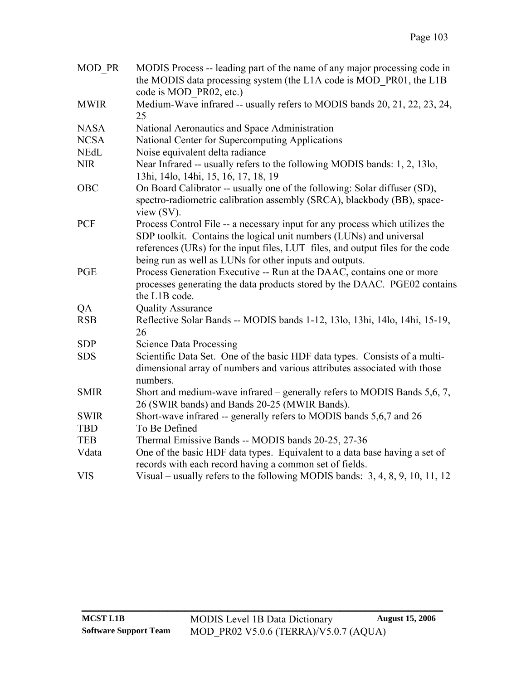| MOD PR      | MODIS Process -- leading part of the name of any major processing code in<br>the MODIS data processing system (the L1A code is MOD PR01, the L1B<br>code is MOD PR02, etc.)                                                                                                                      |
|-------------|--------------------------------------------------------------------------------------------------------------------------------------------------------------------------------------------------------------------------------------------------------------------------------------------------|
| <b>MWIR</b> | Medium-Wave infrared -- usually refers to MODIS bands 20, 21, 22, 23, 24,<br>25                                                                                                                                                                                                                  |
| <b>NASA</b> | National Aeronautics and Space Administration                                                                                                                                                                                                                                                    |
| <b>NCSA</b> | National Center for Supercomputing Applications                                                                                                                                                                                                                                                  |
| <b>NEdL</b> | Noise equivalent delta radiance                                                                                                                                                                                                                                                                  |
| <b>NIR</b>  | Near Infrared -- usually refers to the following MODIS bands: 1, 2, 13lo,<br>13hi, 14lo, 14hi, 15, 16, 17, 18, 19                                                                                                                                                                                |
| OBC         | On Board Calibrator -- usually one of the following: Solar diffuser (SD),<br>spectro-radiometric calibration assembly (SRCA), blackbody (BB), space-<br>view $(SV)$ .                                                                                                                            |
| <b>PCF</b>  | Process Control File -- a necessary input for any process which utilizes the<br>SDP toolkit. Contains the logical unit numbers (LUNs) and universal<br>references (URs) for the input files, LUT files, and output files for the code<br>being run as well as LUNs for other inputs and outputs. |
| <b>PGE</b>  | Process Generation Executive -- Run at the DAAC, contains one or more<br>processes generating the data products stored by the DAAC. PGE02 contains<br>the L1B code.                                                                                                                              |
| QA          | <b>Quality Assurance</b>                                                                                                                                                                                                                                                                         |
| <b>RSB</b>  | Reflective Solar Bands -- MODIS bands 1-12, 13lo, 13hi, 14lo, 14hi, 15-19,<br>26                                                                                                                                                                                                                 |
| <b>SDP</b>  | <b>Science Data Processing</b>                                                                                                                                                                                                                                                                   |
| <b>SDS</b>  | Scientific Data Set. One of the basic HDF data types. Consists of a multi-<br>dimensional array of numbers and various attributes associated with those<br>numbers.                                                                                                                              |
| <b>SMIR</b> | Short and medium-wave infrared – generally refers to MODIS Bands 5,6, 7,<br>26 (SWIR bands) and Bands 20-25 (MWIR Bands).                                                                                                                                                                        |
| <b>SWIR</b> | Short-wave infrared -- generally refers to MODIS bands 5,6,7 and 26                                                                                                                                                                                                                              |
| <b>TBD</b>  | To Be Defined                                                                                                                                                                                                                                                                                    |
| <b>TEB</b>  | Thermal Emissive Bands -- MODIS bands 20-25, 27-36                                                                                                                                                                                                                                               |
| Vdata       | One of the basic HDF data types. Equivalent to a data base having a set of<br>records with each record having a common set of fields.                                                                                                                                                            |
| <b>VIS</b>  | Visual – usually refers to the following MODIS bands: 3, 4, 8, 9, 10, 11, 12                                                                                                                                                                                                                     |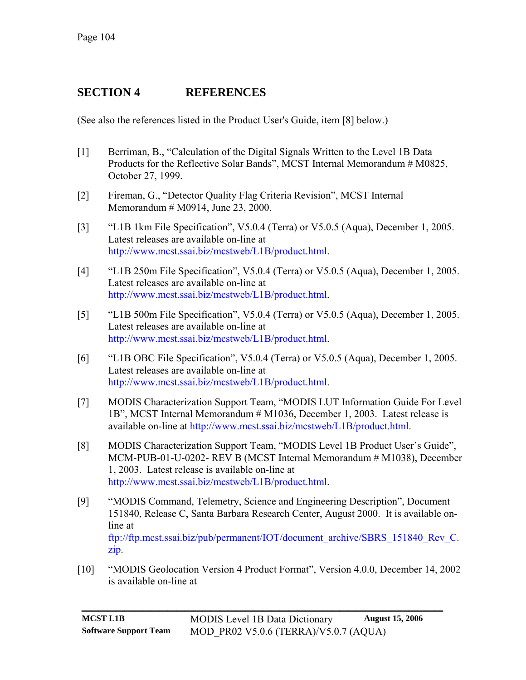# **SECTION 4 REFERENCES**

(See also the references listed in the Product User's Guide, item [\[8\]](#page-107-1) below.)

- [1] Berriman, B., "Calculation of the Digital Signals Written to the Level 1B Data Products for the Reflective Solar Bands", MCST Internal Memorandum # M0825, October 27, 1999.
- [2] Fireman, G., "Detector Quality Flag Criteria Revision", MCST Internal Memorandum # M0914, June 23, 2000.
- [3] "L1B 1km File Specification", V5.0.4 (Terra) or V5.0.5 (Aqua), December 1, 2005. Latest releases are available on-line at [http://www.mcst.ssai.biz/mcstweb/L1B/product.html.](http://www.mcst.ssai.biz/mcstweb/L1B/product.html)
- [4] "L1B 250m File Specification", V5.0.4 (Terra) or V5.0.5 (Aqua), December 1, 2005. Latest releases are available on-line at [http://www.mcst.ssai.biz/mcstweb/L1B/product.html.](http://www.mcst.ssai.biz/mcstweb/L1B/product.html)
- [5] "L1B 500m File Specification", V5.0.4 (Terra) or V5.0.5 (Aqua), December 1, 2005. Latest releases are available on-line at [http://www.mcst.ssai.biz/mcstweb/L1B/product.html.](http://www.mcst.ssai.biz/mcstweb/L1B/product.html)
- <span id="page-107-0"></span>[6] "L1B OBC File Specification", V5.0.4 (Terra) or V5.0.5 (Aqua), December 1, 2005. Latest releases are available on-line at [http://www.mcst.ssai.biz/mcstweb/L1B/product.html.](http://www.mcst.ssai.biz/mcstweb/L1B/product.html)
- [7] MODIS Characterization Support Team, "MODIS LUT Information Guide For Level 1B", MCST Internal Memorandum # M1036, December 1, 2003. Latest release is available on-line at [http://www.mcst.ssai.biz/mcstweb/L1B/product.html.](http://www.mcst.ssai.biz/mcstweb/L1B/product.html)
- <span id="page-107-1"></span>[8] MODIS Characterization Support Team, "MODIS Level 1B Product User's Guide", MCM-PUB-01-U-0202- REV B (MCST Internal Memorandum # M1038), December 1, 2003. Latest release is available on-line at [http://www.mcst.ssai.biz/mcstweb/L1B/product.html.](http://www.mcst.ssai.biz/L1B/product.html)
- [9] "MODIS Command, Telemetry, Science and Engineering Description", Document 151840, Release C, Santa Barbara Research Center, August 2000. It is available online at [ftp://ftp.mcst.ssai.biz/pub/permanent/IOT/document\\_archive/SBRS\\_151840\\_Rev\\_C.](ftp://ftp.mcst.ssai.biz/pub/permanent/IOT/document_archive/SBRS_151840_Rev_C.zip) [zip.](ftp://ftp.mcst.ssai.biz/pub/permanent/IOT/document_archive/SBRS_151840_Rev_C.zip)
- [10] "MODIS Geolocation Version 4 Product Format", Version 4.0.0, December 14, 2002 is available on-line at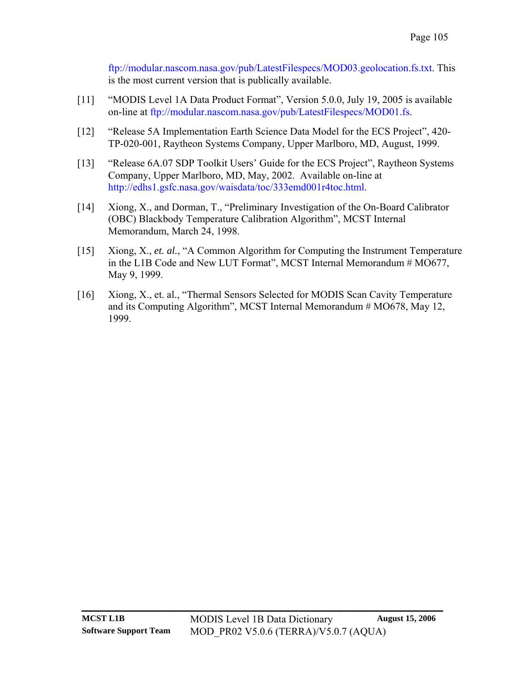[ftp://modular.nascom.nasa.gov/pub/LatestFilespecs/MOD03.geolocation.fs.txt.](ftp://modular.nascom.nasa.gov/pub/LatestFilespecs/MOD03.geolocation.fs.txt) This is the most current version that is publically available.

- [11] "MODIS Level 1A Data Product Format", Version 5.0.0, July 19, 2005 is available on-line at [ftp://modular.nascom.nasa.gov/pub/LatestFilespecs/MOD01.fs.](ftp://modular.nascom.nasa.gov/pub/LatestFilespecs/MOD01.fs)
- [12] "Release 5A Implementation Earth Science Data Model for the ECS Project", 420- TP-020-001, Raytheon Systems Company, Upper Marlboro, MD, August, 1999.
- [13] "Release 6A.07 SDP Toolkit Users' Guide for the ECS Project", Raytheon Systems Company, Upper Marlboro, MD, May, 2002. Available on-line at <http://edhs1.gsfc.nasa.gov/waisdata/toc/333emd001r4toc.html>.
- [14] Xiong, X., and Dorman, T., "Preliminary Investigation of the On-Board Calibrator (OBC) Blackbody Temperature Calibration Algorithm", MCST Internal Memorandum, March 24, 1998.
- [15] Xiong, X., *et. al.*, "A Common Algorithm for Computing the Instrument Temperature in the L1B Code and New LUT Format", MCST Internal Memorandum # MO677, May 9, 1999.
- [16] Xiong, X., et. al., "Thermal Sensors Selected for MODIS Scan Cavity Temperature and its Computing Algorithm", MCST Internal Memorandum # MO678, May 12, 1999.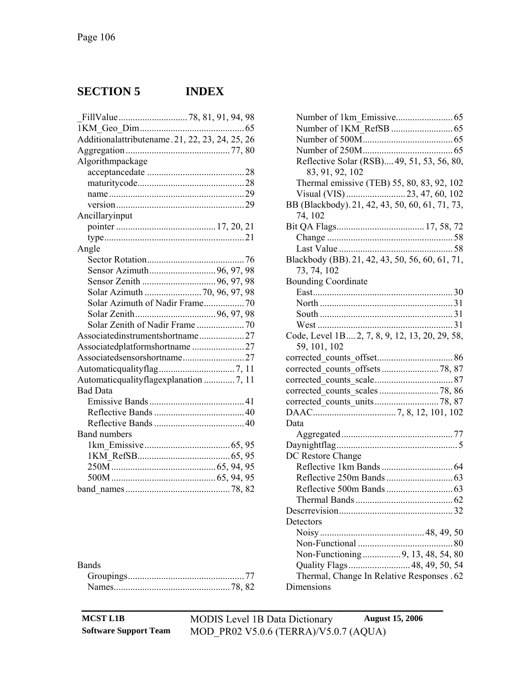## **SECTION 5 INDEX**

| Additionalattributename. 21, 22, 23, 24, 25, 26 |  |  |
|-------------------------------------------------|--|--|
|                                                 |  |  |
| Algorithmpackage                                |  |  |
|                                                 |  |  |
|                                                 |  |  |
|                                                 |  |  |
|                                                 |  |  |
| Ancillaryinput                                  |  |  |
|                                                 |  |  |
|                                                 |  |  |
| Angle                                           |  |  |
|                                                 |  |  |
|                                                 |  |  |
|                                                 |  |  |
|                                                 |  |  |
| Solar Azimuth of Nadir Frame 70                 |  |  |
|                                                 |  |  |
|                                                 |  |  |
| Associatedinstrumentshortname27                 |  |  |
| Associatedplatformshortname27                   |  |  |
|                                                 |  |  |
|                                                 |  |  |
| Automaticqualityflagexplanation 7, 11           |  |  |
| <b>Bad Data</b>                                 |  |  |
|                                                 |  |  |
|                                                 |  |  |
|                                                 |  |  |
| <b>Band numbers</b>                             |  |  |
|                                                 |  |  |
|                                                 |  |  |
|                                                 |  |  |
|                                                 |  |  |
|                                                 |  |  |

| <b>Bands</b> |  |
|--------------|--|
|              |  |
|              |  |

| Reflective Solar (RSB) 49, 51, 53, 56, 80,      |
|-------------------------------------------------|
| 83, 91, 92, 102                                 |
| Thermal emissive (TEB) 55, 80, 83, 92, 102      |
|                                                 |
|                                                 |
| BB (Blackbody). 21, 42, 43, 50, 60, 61, 71, 73, |
| 74, 102                                         |
|                                                 |
|                                                 |
|                                                 |
| Blackbody (BB). 21, 42, 43, 50, 56, 60, 61, 71, |
| 73, 74, 102                                     |
| <b>Bounding Coordinate</b>                      |
|                                                 |
|                                                 |
|                                                 |
|                                                 |
| Code, Level 1B 2, 7, 8, 9, 12, 13, 20, 29, 58,  |
|                                                 |
| 59, 101, 102                                    |
|                                                 |
|                                                 |
|                                                 |
|                                                 |
|                                                 |
|                                                 |
| Data                                            |
|                                                 |
|                                                 |
| DC Restore Change                               |
|                                                 |
|                                                 |
|                                                 |
|                                                 |
|                                                 |
|                                                 |
| Detectors                                       |
|                                                 |
| 80                                              |
| Non-Functioning9, 13, 48, 54, 80                |
| Quality Flags 48, 49, 50, 54                    |
| Thermal, Change In Relative Responses . 62      |
| Dimensions                                      |

**MCST L1B** MODIS Level 1B Data Dictionary **August 15, 2006 Software Support Team** MOD\_PR02 V5.0.6 (TERRA)/V5.0.7 (AQUA)

**\_\_\_\_\_\_\_\_\_\_\_\_\_\_\_\_\_\_\_\_\_\_\_\_\_\_\_\_\_\_\_\_\_\_\_\_\_\_\_\_\_\_**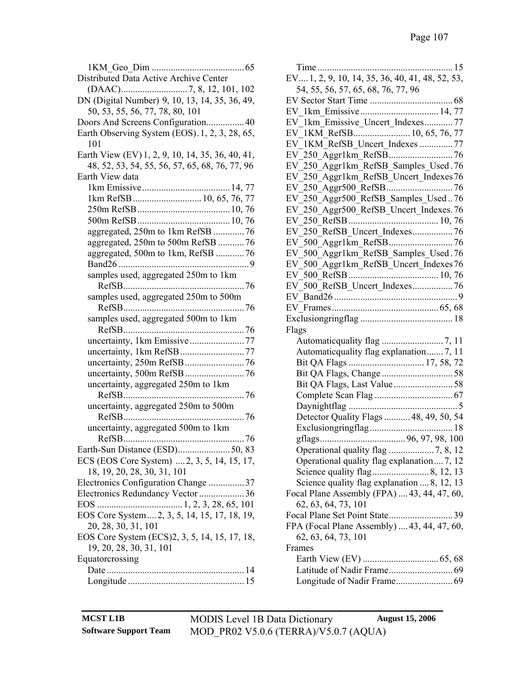| Distributed Data Active Archive Center           |
|--------------------------------------------------|
|                                                  |
| DN (Digital Number) 9, 10, 13, 14, 35, 36, 49,   |
| 50, 53, 55, 56, 77, 78, 80, 101                  |
| Doors And Screens Configuration 40               |
| Earth Observing System (EOS). 1, 2, 3, 28, 65,   |
| 101                                              |
| Earth View (EV) 1, 2, 9, 10, 14, 35, 36, 40, 41, |
| 48, 52, 53, 54, 55, 56, 57, 65, 68, 76, 77, 96   |
| Earth View data                                  |
|                                                  |
|                                                  |
|                                                  |
|                                                  |
| aggregated, 250m to 1km RefSB  76                |
| aggregated, 250m to 500m RefSB 76                |
| aggregated, 500m to 1km, RefSB 76                |
|                                                  |
| samples used, aggregated 250m to 1km             |
|                                                  |
| samples used, aggregated 250m to 500m            |
|                                                  |
| samples used, aggregated 500m to 1km             |
|                                                  |
|                                                  |
|                                                  |
|                                                  |
|                                                  |
| uncertainty, aggregated 250m to 1km              |
|                                                  |
| uncertainty, aggregated 250m to 500m             |
|                                                  |
| uncertainty, aggregated 500m to 1km              |
|                                                  |
| Earth-Sun Distance (ESD)<br>$\dots 50, 83$       |
| ECS (EOS Core System)  2, 3, 5, 14, 15, 17,      |
| 18, 19, 20, 28, 30, 31, 101                      |
| Electronics Configuration Change 37              |
| Electronics Redundancy Vector 36                 |
|                                                  |
| EOS Core System2, 3, 5, 14, 15, 17, 18, 19,      |
| 20, 28, 30, 31, 101                              |
| EOS Core System (ECS)2, 3, 5, 14, 15, 17, 18,    |
| 19, 20, 28, 30, 31, 101                          |
| Equatorcrossing                                  |
|                                                  |
|                                                  |

| EV, 1, 2, 9, 10, 14, 35, 36, 40, 41, 48, 52, 53, |
|--------------------------------------------------|
| 54, 55, 56, 57, 65, 68, 76, 77, 96               |
|                                                  |
|                                                  |
| EV_1km_Emissive_Uncert_Indexes77                 |
|                                                  |
| EV 1KM RefSB Uncert Indexes  77                  |
|                                                  |
| EV_250_Aggr1km_RefSB_Samples_Used.76             |
|                                                  |
| EV_250_Aggr1km_RefSB_Uncert_Indexes76            |
|                                                  |
| EV 250 Aggr500 RefSB Samples Used76              |
| EV_250_Aggr500_RefSB_Uncert_Indexes.76           |
|                                                  |
| EV 250 RefSB Uncert Indexes 76                   |
|                                                  |
| EV 500_Aggr1km_RefSB_Samples_Used.76             |
| EV_500_Aggr1km_RefSB_Uncert_Indexes76            |
|                                                  |
| EV_500_RefSB_Uncert Indexes 76                   |
|                                                  |
|                                                  |
|                                                  |
|                                                  |
|                                                  |
| Flags                                            |
|                                                  |
| Automatic quality flag explanation 7, 11         |
|                                                  |
|                                                  |
|                                                  |
|                                                  |
|                                                  |
| Detector Quality Flags  48, 49, 50, 54           |
|                                                  |
|                                                  |
|                                                  |
| Operational quality flag explanation 7, 12       |
|                                                  |
| Science quality flag explanation  8, 12, 13      |
| Focal Plane Assembly (FPA)  43, 44, 47, 60,      |
| 62, 63, 64, 73, 101                              |
| Focal Plane Set Point State<br>39                |
| FPA (Focal Plane Assembly)  43, 44, 47, 60,      |
| 62, 63, 64, 73, 101                              |
| Frames                                           |
|                                                  |
|                                                  |
|                                                  |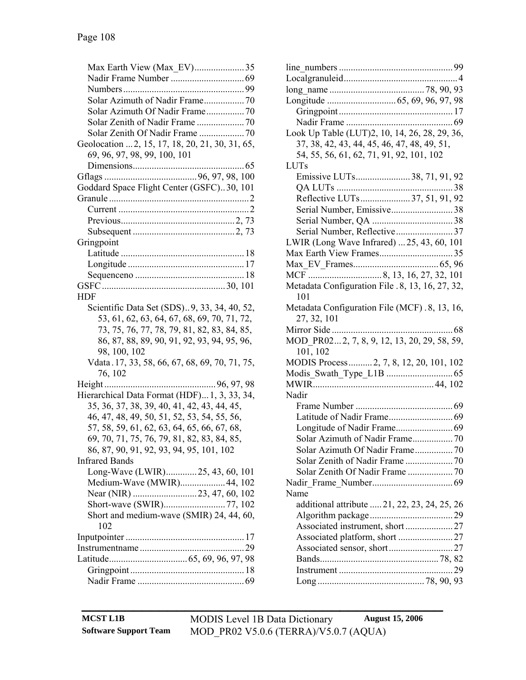| Max Earth View (Max_EV)35                                         |
|-------------------------------------------------------------------|
|                                                                   |
|                                                                   |
|                                                                   |
| Solar Azimuth Of Nadir Frame70                                    |
|                                                                   |
| Solar Zenith Of Nadir Frame  70                                   |
| Geolocation  2, 15, 17, 18, 20, 21, 30, 31, 65,                   |
| 69, 96, 97, 98, 99, 100, 101                                      |
|                                                                   |
|                                                                   |
| Goddard Space Flight Center (GSFC)30, 101                         |
|                                                                   |
|                                                                   |
|                                                                   |
|                                                                   |
| Gringpoint                                                        |
|                                                                   |
|                                                                   |
|                                                                   |
|                                                                   |
| <b>HDF</b>                                                        |
| Scientific Data Set (SDS)9, 33, 34, 40, 52,                       |
| 53, 61, 62, 63, 64, 67, 68, 69, 70, 71, 72,                       |
| 73, 75, 76, 77, 78, 79, 81, 82, 83, 84, 85,                       |
| 86, 87, 88, 89, 90, 91, 92, 93, 94, 95, 96,                       |
| 98, 100, 102                                                      |
| Vdata 17, 33, 58, 66, 67, 68, 69, 70, 71, 75,                     |
| 76, 102                                                           |
| $\ldots$ 96, 97, 98                                               |
| Hierarchical Data Format (HDF) 1, 3, 33, 34,                      |
| 35, 36, 37, 38, 39, 40, 41, 42, 43, 44, 45,                       |
| 46, 47, 48, 49, 50, 51, 52, 53, 54, 55, 56,                       |
| 57, 58, 59, 61, 62, 63, 64, 65, 66, 67, 68,                       |
| 69, 70, 71, 75, 76, 79, 81, 82, 83, 84, 85,                       |
| 86, 87, 90, 91, 92, 93, 94, 95, 101, 102<br><b>Infrared Bands</b> |
|                                                                   |
| Long-Wave (LWIR)25, 43, 60, 101<br>Medium-Wave (MWIR) 44, 102     |
|                                                                   |
|                                                                   |
| Short and medium-wave (SMIR) 24, 44, 60,                          |
| 102                                                               |
|                                                                   |
|                                                                   |
|                                                                   |
|                                                                   |
|                                                                   |
|                                                                   |

| Look Up Table (LUT)2, 10, 14, 26, 28, 29, 36,   |            |
|-------------------------------------------------|------------|
| 37, 38, 42, 43, 44, 45, 46, 47, 48, 49, 51,     |            |
| 54, 55, 56, 61, 62, 71, 91, 92, 101, 102        |            |
| LUTs                                            |            |
| Emissive LUTs38, 71, 91, 92                     |            |
|                                                 |            |
| Reflective LUTs37, 51, 91, 92                   |            |
| Serial Number, Emissive38                       |            |
|                                                 |            |
| Serial Number, Reflective37                     |            |
| LWIR (Long Wave Infrared)  25, 43, 60, 101      |            |
|                                                 |            |
|                                                 |            |
|                                                 |            |
| Metadata Configuration File .8, 13, 16, 27, 32, |            |
| 101                                             |            |
| Metadata Configuration File (MCF). 8, 13, 16,   |            |
| 27, 32, 101                                     |            |
|                                                 | . 68       |
| MOD PR022, 7, 8, 9, 12, 13, 20, 29, 58, 59,     |            |
| 101, 102                                        |            |
| MODIS Process 2, 7, 8, 12, 20, 101, 102         |            |
|                                                 |            |
|                                                 |            |
| Nadir                                           |            |
|                                                 |            |
|                                                 |            |
|                                                 |            |
|                                                 |            |
| Solar Azimuth Of Nadir Frame 70                 |            |
|                                                 |            |
|                                                 |            |
|                                                 |            |
| Name                                            |            |
| additional attribute  21, 22, 23, 24, 25, 26    |            |
|                                                 |            |
|                                                 |            |
|                                                 |            |
|                                                 |            |
|                                                 |            |
|                                                 | $\dots 29$ |
|                                                 |            |
|                                                 |            |

**\_\_\_\_\_\_\_\_\_\_\_\_\_\_\_\_\_\_\_\_\_\_\_\_\_\_\_\_\_\_\_\_\_\_\_\_\_\_\_\_\_\_ MCST L1B** MODIS Level 1B Data Dictionary **August 15, 2006 Software Support Team** MOD\_PR02 V5.0.6 (TERRA)/V5.0.7 (AQUA)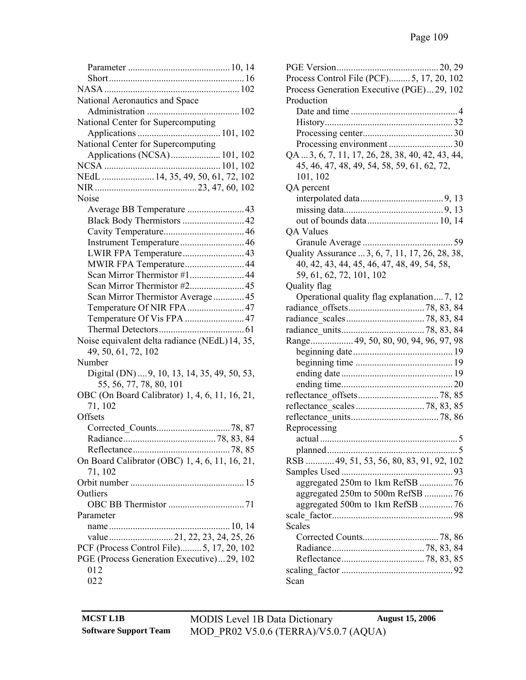| National Aeronautics and Space                 |
|------------------------------------------------|
|                                                |
| National Center for Supercomputing             |
|                                                |
| National Center for Supercomputing             |
| Applications (NCSA) 101, 102                   |
|                                                |
| NEdL  14, 35, 49, 50, 61, 72, 102              |
|                                                |
|                                                |
| Noise                                          |
| Average BB Temperature  43                     |
| Black Body Thermistors  42                     |
|                                                |
|                                                |
|                                                |
| MWIR FPA Temperature44                         |
| Scan Mirror Thermistor #1 44                   |
|                                                |
| Scan Mirror Thermistor Average45               |
| Temperature Of NIR FPA 47                      |
| Temperature Of Vis FPA  47                     |
|                                                |
| Noise equivalent delta radiance (NEdL) 14, 35, |
| 49, 50, 61, 72, 102                            |
| Number                                         |
| Digital (DN)  9, 10, 13, 14, 35, 49, 50, 53,   |
| 55, 56, 77, 78, 80, 101                        |
| OBC (On Board Calibrator) 1, 4, 6, 11, 16, 21, |
| 71, 102                                        |
| Offsets                                        |
|                                                |
|                                                |
|                                                |
|                                                |
| On Board Calibrator (OBC) 1, 4, 6, 11, 16, 21, |
| 71, 102                                        |
|                                                |
| Outliers                                       |
|                                                |
| Parameter                                      |
|                                                |
|                                                |
| PCF (Process Control File)5, 17, 20, 102       |
| PGE (Process Generation Executive)29, 102      |
| 012                                            |
| 022                                            |

| Process Control File (PCF)5, 17, 20, 102         |
|--------------------------------------------------|
| Process Generation Executive (PGE)29, 102        |
| Production                                       |
|                                                  |
|                                                  |
|                                                  |
|                                                  |
| QA  3, 6, 7, 11, 17, 26, 28, 38, 40, 42, 43, 44, |
| 45, 46, 47, 48, 49, 54, 58, 59, 61, 62, 72,      |
| 101, 102                                         |
| QA percent                                       |
|                                                  |
|                                                  |
| out of bounds data 10, 14                        |
| QA Values                                        |
|                                                  |
| Quality Assurance  3, 6, 7, 11, 17, 26, 28, 38,  |
| 40, 42, 43, 44, 45, 46, 47, 48, 49, 54, 58,      |
| 59, 61, 62, 72, 101, 102                         |
| Quality flag                                     |
|                                                  |
| Operational quality flag explanation 7, 12       |
|                                                  |
|                                                  |
|                                                  |
| Range 49, 50, 80, 90, 94, 96, 97, 98             |
|                                                  |
|                                                  |
|                                                  |
|                                                  |
|                                                  |
|                                                  |
|                                                  |
| Reprocessing                                     |
|                                                  |
|                                                  |
| RSB  49, 51, 53, 56, 80, 83, 91, 92, 102         |
|                                                  |
| aggregated 250m to 1km RefSB  76                 |
| aggregated 250m to 500m RefSB  76                |
| aggregated 500m to 1km RefSB 76                  |
|                                                  |
| Scales                                           |
|                                                  |
|                                                  |
|                                                  |
|                                                  |
| Scan                                             |
|                                                  |